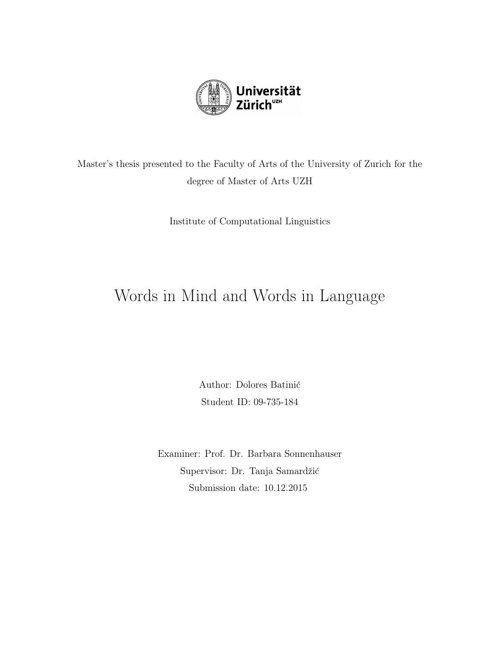

Master's thesis presented to the Faculty of Arts of the University of Zurich for the degree of Master of Arts UZH

Institute of Computational Linguistics

# Words in Mind and Words in Language

Author: Dolores Batinić Student ID: 09-735-184

Examiner: Prof. Dr. Barbara Sonnenhauser Supervisor: Dr. Tanja Samardžić Submission date: 10.12.2015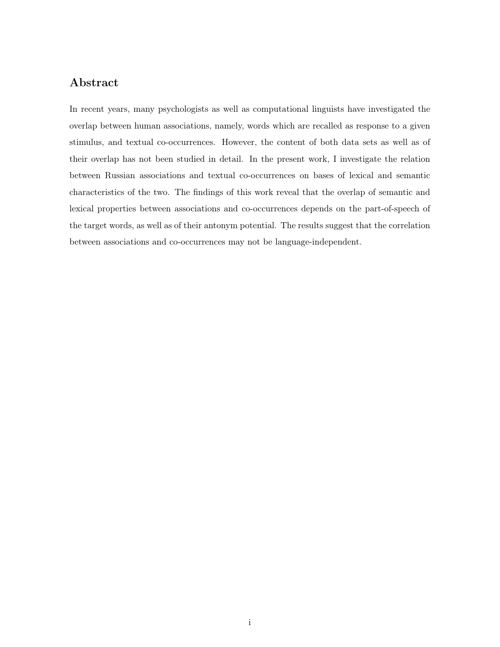### Abstract

In recent years, many psychologists as well as computational linguists have investigated the overlap between human associations, namely, words which are recalled as response to a given stimulus, and textual co-occurrences. However, the content of both data sets as well as of their overlap has not been studied in detail. In the present work, I investigate the relation between Russian associations and textual co-occurrences on bases of lexical and semantic characteristics of the two. The findings of this work reveal that the overlap of semantic and lexical properties between associations and co-occurrences depends on the part-of-speech of the target words, as well as of their antonym potential. The results suggest that the correlation between associations and co-occurrences may not be language-independent.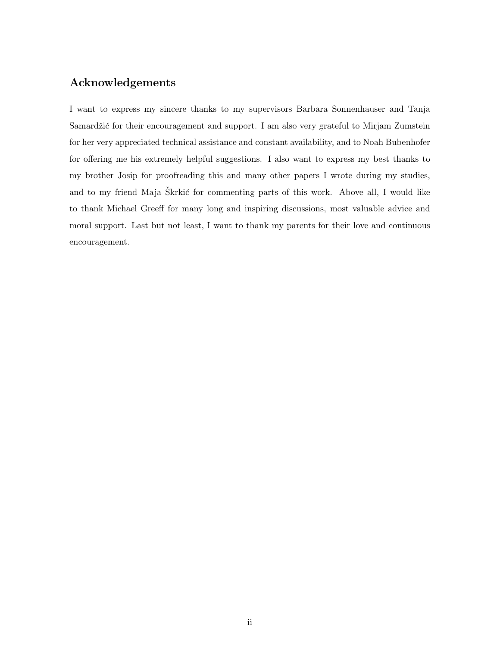# Acknowledgements

I want to express my sincere thanks to my supervisors Barbara Sonnenhauser and Tanja Samardžić for their encouragement and support. I am also very grateful to Mirjam Zumstein for her very appreciated technical assistance and constant availability, and to Noah Bubenhofer for offering me his extremely helpful suggestions. I also want to express my best thanks to my brother Josip for proofreading this and many other papers I wrote during my studies, and to my friend Maja Škrkić for commenting parts of this work. Above all, I would like to thank Michael Greeff for many long and inspiring discussions, most valuable advice and moral support. Last but not least, I want to thank my parents for their love and continuous encouragement.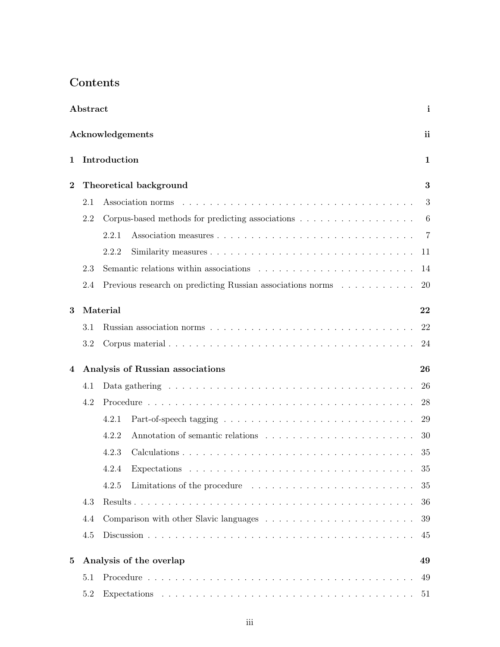# Contents

|                | Abstract |                                                            | $\mathbf{i}$ |
|----------------|----------|------------------------------------------------------------|--------------|
|                |          | Acknowledgements                                           | ii           |
| 1              |          | Introduction                                               | 1            |
| $\overline{2}$ |          | Theoretical background                                     | 3            |
|                | 2.1      |                                                            | 3            |
|                | 2.2      |                                                            | 6            |
|                |          | 2.2.1                                                      | -7           |
|                |          | 2.2.2                                                      | 11           |
|                | 2.3      |                                                            | 14           |
|                | 2.4      | Previous research on predicting Russian associations norms | 20           |
| 3              |          | Material                                                   | 22           |
|                | 3.1      |                                                            | 22           |
|                | 3.2      |                                                            | 24           |
| 4              |          | Analysis of Russian associations                           | 26           |
|                | 4.1      |                                                            | 26           |
|                | 4.2      |                                                            | 28           |
|                |          | 4.2.1                                                      | 29           |
|                |          | 4.2.2                                                      | 30           |
|                |          |                                                            |              |
|                |          | 4.2.3                                                      | 35           |
|                |          | 4.2.4                                                      | 35           |
|                |          | Limitations of the procedure<br>4.2.5                      | 35           |
|                | 4.3      |                                                            | 36           |
|                | 4.4      |                                                            | 39           |
|                | 4.5      |                                                            | 45           |
| $\bf{5}$       |          | Analysis of the overlap                                    | 49           |
|                | 5.1      |                                                            | 49           |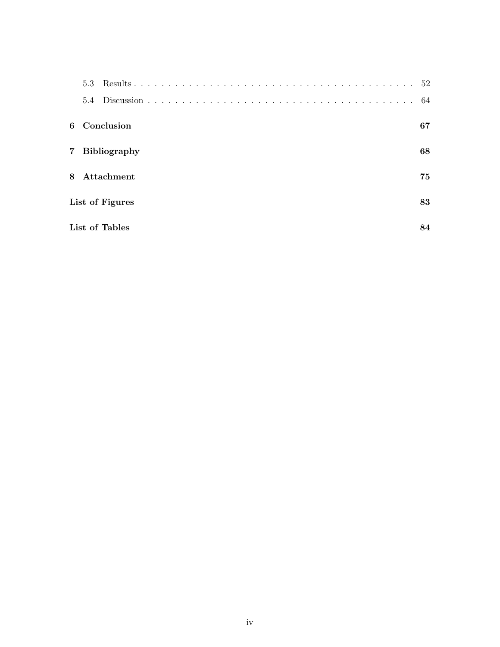|   | 5.3             | 52  |
|---|-----------------|-----|
|   | 5.4             | -64 |
|   | 6 Conclusion    | 67  |
|   | 7 Bibliography  | 68  |
| 8 | Attachment      | 75  |
|   | List of Figures | 83  |
|   | List of Tables  | 84  |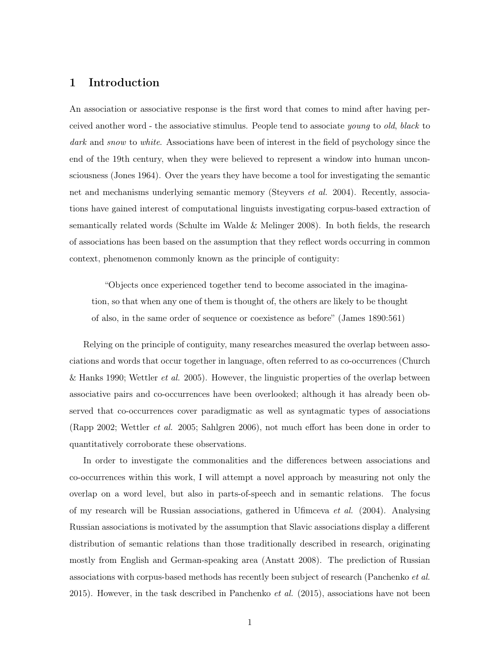### 1 Introduction

An association or associative response is the first word that comes to mind after having perceived another word - the associative stimulus. People tend to associate young to old, black to dark and snow to white. Associations have been of interest in the field of psychology since the end of the 19th century, when they were believed to represent a window into human unconsciousness (Jones 1964). Over the years they have become a tool for investigating the semantic net and mechanisms underlying semantic memory (Steyvers *et al.* 2004). Recently, associations have gained interest of computational linguists investigating corpus-based extraction of semantically related words (Schulte im Walde & Melinger 2008). In both fields, the research of associations has been based on the assumption that they reflect words occurring in common context, phenomenon commonly known as the principle of contiguity:

"Objects once experienced together tend to become associated in the imagination, so that when any one of them is thought of, the others are likely to be thought of also, in the same order of sequence or coexistence as before" (James 1890:561)

Relying on the principle of contiguity, many researches measured the overlap between associations and words that occur together in language, often referred to as co-occurrences (Church & Hanks 1990; Wettler *et al.* 2005). However, the linguistic properties of the overlap between associative pairs and co-occurrences have been overlooked; although it has already been observed that co-occurrences cover paradigmatic as well as syntagmatic types of associations (Rapp 2002; Wettler et al. 2005; Sahlgren 2006), not much effort has been done in order to quantitatively corroborate these observations.

In order to investigate the commonalities and the differences between associations and co-occurrences within this work, I will attempt a novel approach by measuring not only the overlap on a word level, but also in parts-of-speech and in semantic relations. The focus of my research will be Russian associations, gathered in Ufimceva *et al.* (2004). Analysing Russian associations is motivated by the assumption that Slavic associations display a different distribution of semantic relations than those traditionally described in research, originating mostly from English and German-speaking area (Anstatt 2008). The prediction of Russian associations with corpus-based methods has recently been subject of research (Panchenko et al. 2015). However, in the task described in Panchenko  $et$  al. (2015), associations have not been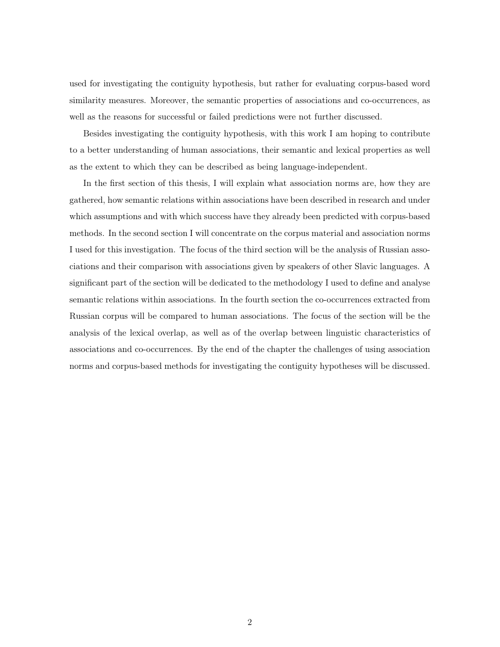used for investigating the contiguity hypothesis, but rather for evaluating corpus-based word similarity measures. Moreover, the semantic properties of associations and co-occurrences, as well as the reasons for successful or failed predictions were not further discussed.

Besides investigating the contiguity hypothesis, with this work I am hoping to contribute to a better understanding of human associations, their semantic and lexical properties as well as the extent to which they can be described as being language-independent.

In the first section of this thesis, I will explain what association norms are, how they are gathered, how semantic relations within associations have been described in research and under which assumptions and with which success have they already been predicted with corpus-based methods. In the second section I will concentrate on the corpus material and association norms I used for this investigation. The focus of the third section will be the analysis of Russian associations and their comparison with associations given by speakers of other Slavic languages. A significant part of the section will be dedicated to the methodology I used to define and analyse semantic relations within associations. In the fourth section the co-occurrences extracted from Russian corpus will be compared to human associations. The focus of the section will be the analysis of the lexical overlap, as well as of the overlap between linguistic characteristics of associations and co-occurrences. By the end of the chapter the challenges of using association norms and corpus-based methods for investigating the contiguity hypotheses will be discussed.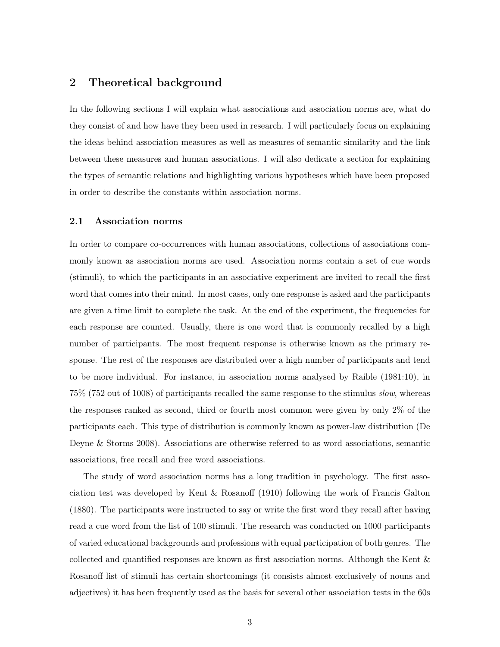# 2 Theoretical background

In the following sections I will explain what associations and association norms are, what do they consist of and how have they been used in research. I will particularly focus on explaining the ideas behind association measures as well as measures of semantic similarity and the link between these measures and human associations. I will also dedicate a section for explaining the types of semantic relations and highlighting various hypotheses which have been proposed in order to describe the constants within association norms.

#### 2.1 Association norms

In order to compare co-occurrences with human associations, collections of associations commonly known as association norms are used. Association norms contain a set of cue words (stimuli), to which the participants in an associative experiment are invited to recall the first word that comes into their mind. In most cases, only one response is asked and the participants are given a time limit to complete the task. At the end of the experiment, the frequencies for each response are counted. Usually, there is one word that is commonly recalled by a high number of participants. The most frequent response is otherwise known as the primary response. The rest of the responses are distributed over a high number of participants and tend to be more individual. For instance, in association norms analysed by Raible (1981:10), in 75% (752 out of 1008) of participants recalled the same response to the stimulus slow, whereas the responses ranked as second, third or fourth most common were given by only 2% of the participants each. This type of distribution is commonly known as power-law distribution (De Deyne & Storms 2008). Associations are otherwise referred to as word associations, semantic associations, free recall and free word associations.

The study of word association norms has a long tradition in psychology. The first association test was developed by Kent & Rosanoff (1910) following the work of Francis Galton (1880). The participants were instructed to say or write the first word they recall after having read a cue word from the list of 100 stimuli. The research was conducted on 1000 participants of varied educational backgrounds and professions with equal participation of both genres. The collected and quantified responses are known as first association norms. Although the Kent & Rosanoff list of stimuli has certain shortcomings (it consists almost exclusively of nouns and adjectives) it has been frequently used as the basis for several other association tests in the 60s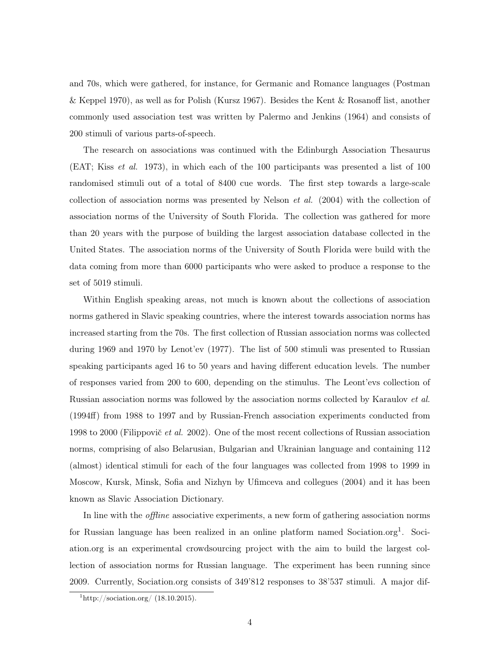and 70s, which were gathered, for instance, for Germanic and Romance languages (Postman & Keppel 1970), as well as for Polish (Kursz 1967). Besides the Kent & Rosanoff list, another commonly used association test was written by Palermo and Jenkins (1964) and consists of 200 stimuli of various parts-of-speech.

The research on associations was continued with the Edinburgh Association Thesaurus (EAT; Kiss et al. 1973), in which each of the 100 participants was presented a list of 100 randomised stimuli out of a total of 8400 cue words. The first step towards a large-scale collection of association norms was presented by Nelson *et al.*  $(2004)$  with the collection of association norms of the University of South Florida. The collection was gathered for more than 20 years with the purpose of building the largest association database collected in the United States. The association norms of the University of South Florida were build with the data coming from more than 6000 participants who were asked to produce a response to the set of 5019 stimuli.

Within English speaking areas, not much is known about the collections of association norms gathered in Slavic speaking countries, where the interest towards association norms has increased starting from the 70s. The first collection of Russian association norms was collected during 1969 and 1970 by Lenot'ev (1977). The list of 500 stimuli was presented to Russian speaking participants aged 16 to 50 years and having different education levels. The number of responses varied from 200 to 600, depending on the stimulus. The Leont'evs collection of Russian association norms was followed by the association norms collected by Karaulov et al. (1994ff) from 1988 to 1997 and by Russian-French association experiments conducted from 1998 to 2000 (Filippovič *et al.* 2002). One of the most recent collections of Russian association norms, comprising of also Belarusian, Bulgarian and Ukrainian language and containing 112 (almost) identical stimuli for each of the four languages was collected from 1998 to 1999 in Moscow, Kursk, Minsk, Sofia and Nizhyn by Ufimceva and collegues (2004) and it has been known as Slavic Association Dictionary.

In line with the offline associative experiments, a new form of gathering association norms for Russian language has been realized in an online platform named Sociation.org<sup>1</sup>. Sociation.org is an experimental crowdsourcing project with the aim to build the largest collection of association norms for Russian language. The experiment has been running since 2009. Currently, Sociation.org consists of 349'812 responses to 38'537 stimuli. A major dif-

 $\frac{1 \text{http://socialion.org/ (18.10.2015)}}{1}$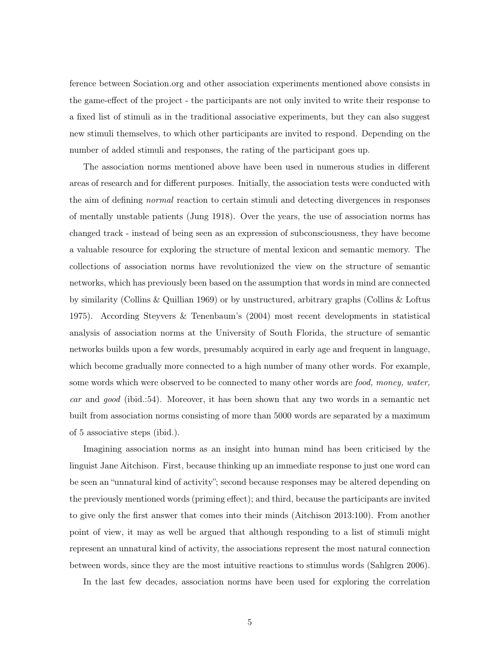ference between Sociation.org and other association experiments mentioned above consists in the game-effect of the project - the participants are not only invited to write their response to a fixed list of stimuli as in the traditional associative experiments, but they can also suggest new stimuli themselves, to which other participants are invited to respond. Depending on the number of added stimuli and responses, the rating of the participant goes up.

The association norms mentioned above have been used in numerous studies in different areas of research and for different purposes. Initially, the association tests were conducted with the aim of defining normal reaction to certain stimuli and detecting divergences in responses of mentally unstable patients (Jung 1918). Over the years, the use of association norms has changed track - instead of being seen as an expression of subconsciousness, they have become a valuable resource for exploring the structure of mental lexicon and semantic memory. The collections of association norms have revolutionized the view on the structure of semantic networks, which has previously been based on the assumption that words in mind are connected by similarity (Collins & Quillian 1969) or by unstructured, arbitrary graphs (Collins & Loftus 1975). According Steyvers & Tenenbaum's (2004) most recent developments in statistical analysis of association norms at the University of South Florida, the structure of semantic networks builds upon a few words, presumably acquired in early age and frequent in language, which become gradually more connected to a high number of many other words. For example, some words which were observed to be connected to many other words are food, money, water, car and good (ibid.:54). Moreover, it has been shown that any two words in a semantic net built from association norms consisting of more than 5000 words are separated by a maximum of 5 associative steps (ibid.).

Imagining association norms as an insight into human mind has been criticised by the linguist Jane Aitchison. First, because thinking up an immediate response to just one word can be seen an "unnatural kind of activity"; second because responses may be altered depending on the previously mentioned words (priming effect); and third, because the participants are invited to give only the first answer that comes into their minds (Aitchison 2013:100). From another point of view, it may as well be argued that although responding to a list of stimuli might represent an unnatural kind of activity, the associations represent the most natural connection between words, since they are the most intuitive reactions to stimulus words (Sahlgren 2006).

In the last few decades, association norms have been used for exploring the correlation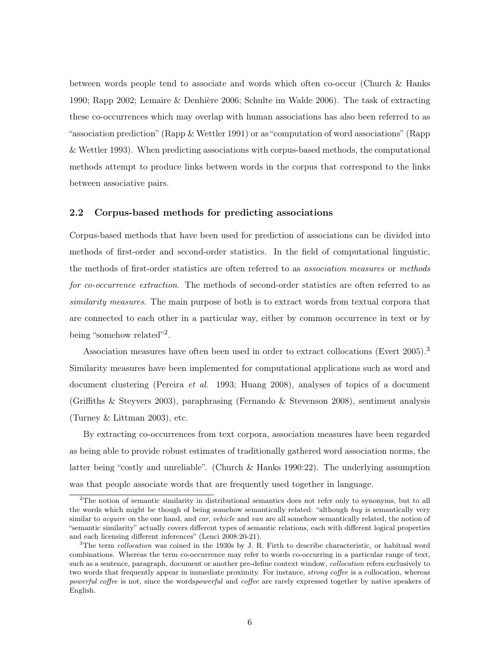between words people tend to associate and words which often co-occur (Church & Hanks 1990; Rapp 2002; Lemaire  $\&$  Denhière 2006; Schulte im Walde 2006). The task of extracting these co-occurrences which may overlap with human associations has also been referred to as "association prediction" (Rapp & Wettler 1991) or as "computation of word associations" (Rapp & Wettler 1993). When predicting associations with corpus-based methods, the computational methods attempt to produce links between words in the corpus that correspond to the links between associative pairs.

#### 2.2 Corpus-based methods for predicting associations

Corpus-based methods that have been used for prediction of associations can be divided into methods of first-order and second-order statistics. In the field of computational linguistic, the methods of first-order statistics are often referred to as association measures or methods for co-occurrence extraction. The methods of second-order statistics are often referred to as similarity measures. The main purpose of both is to extract words from textual corpora that are connected to each other in a particular way, either by common occurrence in text or by being "somehow related"<sup>2</sup>.

Association measures have often been used in order to extract collocations (Evert 2005).<sup>3</sup> Similarity measures have been implemented for computational applications such as word and document clustering (Pereira *et al.* 1993; Huang 2008), analyses of topics of a document (Griffiths & Steyvers 2003), paraphrasing (Fernando & Stevenson 2008), sentiment analysis (Turney & Littman 2003), etc.

By extracting co-occurrences from text corpora, association measures have been regarded as being able to provide robust estimates of traditionally gathered word association norms, the latter being "costly and unreliable". (Church & Hanks 1990:22). The underlying assumption was that people associate words that are frequently used together in language.

<sup>&</sup>lt;sup>2</sup>The notion of semantic similarity in distributional semantics does not refer only to synonyms, but to all the words which might be though of being somehow semantically related: "although buy is semantically very similar to *acquire* on the one hand, and *car*, *vehicle* and *van* are all somehow semantically related, the notion of "semantic similarity" actually covers different types of semantic relations, each with different logical properties and each licensing different inferences" (Lenci 2008:20-21).

<sup>&</sup>lt;sup>3</sup>The term *collocation* was coined in the 1930s by J. R. Firth to describe characteristic, or habitual word combinations. Whereas the term co-occurrence may refer to words co-occurring in a particular range of text, such as a sentence, paragraph, document or another pre-define context window, *collocation* refers exclusively to two words that frequently appear in immediate proximity. For instance, *strong coffee* is a collocation, whereas powerful coffee is not, since the wordspowerful and coffee are rarely expressed together by native speakers of English.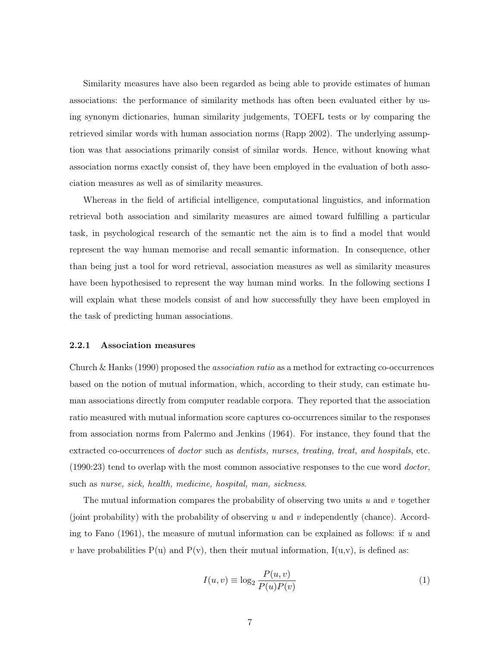Similarity measures have also been regarded as being able to provide estimates of human associations: the performance of similarity methods has often been evaluated either by using synonym dictionaries, human similarity judgements, TOEFL tests or by comparing the retrieved similar words with human association norms (Rapp 2002). The underlying assumption was that associations primarily consist of similar words. Hence, without knowing what association norms exactly consist of, they have been employed in the evaluation of both association measures as well as of similarity measures.

Whereas in the field of artificial intelligence, computational linguistics, and information retrieval both association and similarity measures are aimed toward fulfilling a particular task, in psychological research of the semantic net the aim is to find a model that would represent the way human memorise and recall semantic information. In consequence, other than being just a tool for word retrieval, association measures as well as similarity measures have been hypothesised to represent the way human mind works. In the following sections I will explain what these models consist of and how successfully they have been employed in the task of predicting human associations.

#### 2.2.1 Association measures

Church & Hanks (1990) proposed the association ratio as a method for extracting co-occurrences based on the notion of mutual information, which, according to their study, can estimate human associations directly from computer readable corpora. They reported that the association ratio measured with mutual information score captures co-occurrences similar to the responses from association norms from Palermo and Jenkins (1964). For instance, they found that the extracted co-occurrences of doctor such as dentists, nurses, treating, treat, and hospitals, etc. (1990:23) tend to overlap with the most common associative responses to the cue word doctor, such as nurse, sick, health, medicine, hospital, man, sickness.

The mutual information compares the probability of observing two units u and v together (joint probability) with the probability of observing  $u$  and  $v$  independently (chance). According to Fano (1961), the measure of mutual information can be explained as follows: if  $u$  and v have probabilities  $P(u)$  and  $P(v)$ , then their mutual information,  $I(u,v)$ , is defined as:

$$
I(u, v) \equiv \log_2 \frac{P(u, v)}{P(u)P(v)}
$$
\n<sup>(1)</sup>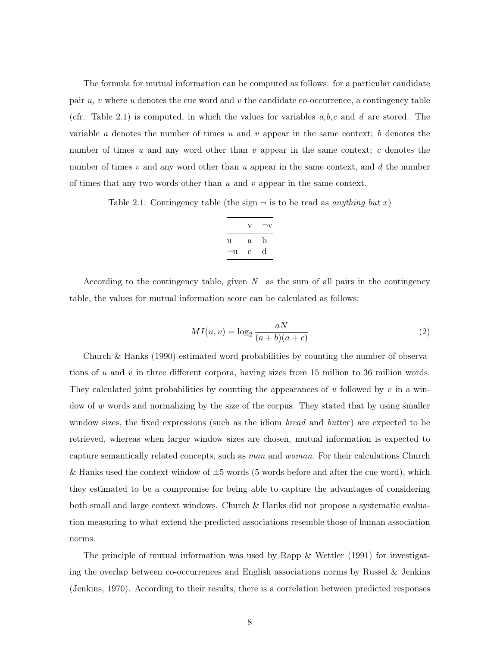The formula for mutual information can be computed as follows: for a particular candidate pair  $u, v$  where  $u$  denotes the cue word and  $v$  the candidate co-occurrence, a contingency table (cfr. Table 2.1) is computed, in which the values for variables  $a, b, c$  and d are stored. The variable a denotes the number of times u and v appear in the same context; b denotes the number of times u and any word other than v appear in the same context; c denotes the number of times  $v$  and any word other than  $u$  appear in the same context, and  $d$  the number of times that any two words other than  $u$  and  $v$  appear in the same context.

Table 2.1: Contingency table (the sign  $\neg$  is to be read as anything but x)

|    | $\mathbf{V}$ | $\neg$ v    |
|----|--------------|-------------|
| u  | $\mathbf{a}$ | $\mathbf b$ |
| ⊣u | С            | d           |

According to the contingency table, given  $N$  as the sum of all pairs in the contingency table, the values for mutual information score can be calculated as follows:

$$
MI(u,v) = \log_2 \frac{aN}{(a+b)(a+c)}
$$
\n<sup>(2)</sup>

Church & Hanks (1990) estimated word probabilities by counting the number of observations of u and v in three different corpora, having sizes from 15 million to 36 million words. They calculated joint probabilities by counting the appearances of u followed by v in a window of w words and normalizing by the size of the corpus. They stated that by using smaller window sizes, the fixed expressions (such as the idiom bread and butter) are expected to be retrieved, whereas when larger window sizes are chosen, mutual information is expected to capture semantically related concepts, such as man and woman. For their calculations Church & Hanks used the context window of  $\pm 5$  words (5 words before and after the cue word), which they estimated to be a compromise for being able to capture the advantages of considering both small and large context windows. Church & Hanks did not propose a systematic evaluation measuring to what extend the predicted associations resemble those of human association norms.

The principle of mutual information was used by Rapp & Wettler (1991) for investigating the overlap between co-occurrences and English associations norms by Russel & Jenkins (Jenkins, 1970). According to their results, there is a correlation between predicted responses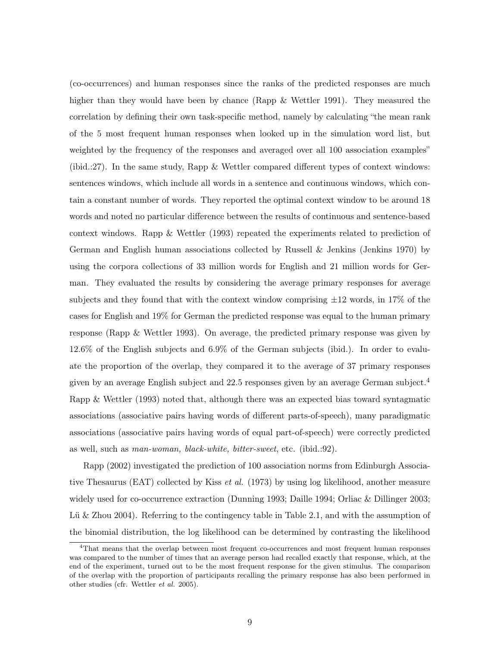(co-occurrences) and human responses since the ranks of the predicted responses are much higher than they would have been by chance (Rapp & Wettler 1991). They measured the correlation by defining their own task-specific method, namely by calculating "the mean rank of the 5 most frequent human responses when looked up in the simulation word list, but weighted by the frequency of the responses and averaged over all 100 association examples" (ibid.:27). In the same study, Rapp & Wettler compared different types of context windows: sentences windows, which include all words in a sentence and continuous windows, which contain a constant number of words. They reported the optimal context window to be around 18 words and noted no particular difference between the results of continuous and sentence-based context windows. Rapp & Wettler (1993) repeated the experiments related to prediction of German and English human associations collected by Russell & Jenkins (Jenkins 1970) by using the corpora collections of 33 million words for English and 21 million words for German. They evaluated the results by considering the average primary responses for average subjects and they found that with the context window comprising  $\pm 12$  words, in 17% of the cases for English and 19% for German the predicted response was equal to the human primary response (Rapp & Wettler 1993). On average, the predicted primary response was given by 12.6% of the English subjects and 6.9% of the German subjects (ibid.). In order to evaluate the proportion of the overlap, they compared it to the average of 37 primary responses given by an average English subject and 22.5 responses given by an average German subject.<sup>4</sup> Rapp & Wettler (1993) noted that, although there was an expected bias toward syntagmatic associations (associative pairs having words of different parts-of-speech), many paradigmatic associations (associative pairs having words of equal part-of-speech) were correctly predicted as well, such as man-woman, black-white, bitter-sweet, etc. (ibid.:92).

Rapp (2002) investigated the prediction of 100 association norms from Edinburgh Associative Thesaurus (EAT) collected by Kiss *et al.* (1973) by using log likelihood, another measure widely used for co-occurrence extraction (Dunning 1993; Daille 1994; Orliac & Dillinger 2003; Lü & Zhou 2004). Referring to the contingency table in Table 2.1, and with the assumption of the binomial distribution, the log likelihood can be determined by contrasting the likelihood

<sup>4</sup>That means that the overlap between most frequent co-occurrences and most frequent human responses was compared to the number of times that an average person had recalled exactly that response, which, at the end of the experiment, turned out to be the most frequent response for the given stimulus. The comparison of the overlap with the proportion of participants recalling the primary response has also been performed in other studies (cfr. Wettler et al. 2005).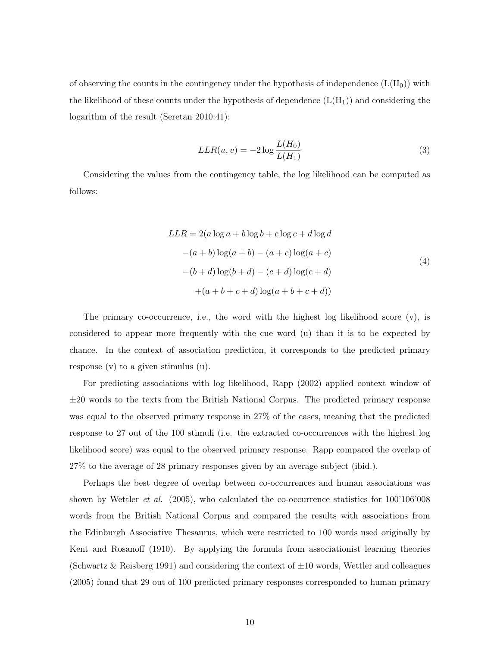of observing the counts in the contingency under the hypothesis of independence  $(L(H_0))$  with the likelihood of these counts under the hypothesis of dependence  $(L(H_1))$  and considering the logarithm of the result (Seretan 2010:41):

$$
LLR(u, v) = -2\log\frac{L(H_0)}{L(H_1)}
$$
\n(3)

Considering the values from the contingency table, the log likelihood can be computed as follows:

$$
LLR = 2(a \log a + b \log b + c \log c + d \log d
$$
  
-(a+b) \log(a+b) - (a+c) \log(a+c)  
-(b+d) \log(b+d) - (c+d) \log(c+d)  
+(a+b+c+d) \log(a+b+c+d)) (4)

The primary co-occurrence, i.e., the word with the highest log likelihood score (v), is considered to appear more frequently with the cue word (u) than it is to be expected by chance. In the context of association prediction, it corresponds to the predicted primary response (v) to a given stimulus (u).

For predicting associations with log likelihood, Rapp (2002) applied context window of  $\pm 20$  words to the texts from the British National Corpus. The predicted primary response was equal to the observed primary response in 27% of the cases, meaning that the predicted response to 27 out of the 100 stimuli (i.e. the extracted co-occurrences with the highest log likelihood score) was equal to the observed primary response. Rapp compared the overlap of 27% to the average of 28 primary responses given by an average subject (ibid.).

Perhaps the best degree of overlap between co-occurrences and human associations was shown by Wettler *et al.* (2005), who calculated the co-occurrence statistics for  $100'106'008$ words from the British National Corpus and compared the results with associations from the Edinburgh Associative Thesaurus, which were restricted to 100 words used originally by Kent and Rosanoff (1910). By applying the formula from associationist learning theories (Schwartz & Reisberg 1991) and considering the context of  $\pm 10$  words, Wettler and colleagues (2005) found that 29 out of 100 predicted primary responses corresponded to human primary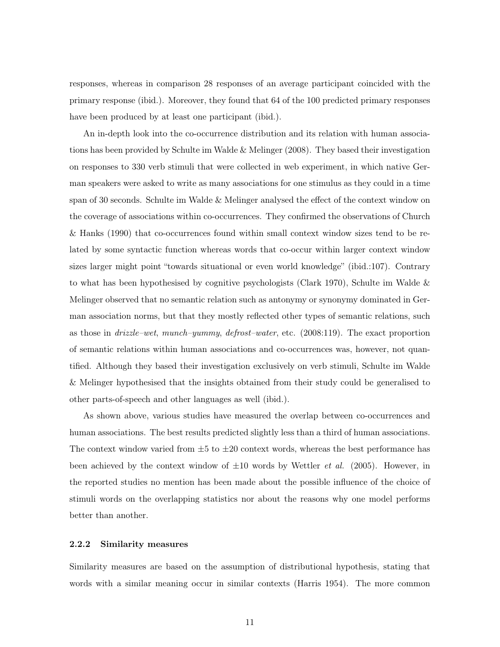responses, whereas in comparison 28 responses of an average participant coincided with the primary response (ibid.). Moreover, they found that 64 of the 100 predicted primary responses have been produced by at least one participant (ibid.).

An in-depth look into the co-occurrence distribution and its relation with human associations has been provided by Schulte im Walde & Melinger (2008). They based their investigation on responses to 330 verb stimuli that were collected in web experiment, in which native German speakers were asked to write as many associations for one stimulus as they could in a time span of 30 seconds. Schulte im Walde & Melinger analysed the effect of the context window on the coverage of associations within co-occurrences. They confirmed the observations of Church & Hanks (1990) that co-occurrences found within small context window sizes tend to be related by some syntactic function whereas words that co-occur within larger context window sizes larger might point "towards situational or even world knowledge" (ibid.:107). Contrary to what has been hypothesised by cognitive psychologists (Clark 1970), Schulte im Walde & Melinger observed that no semantic relation such as antonymy or synonymy dominated in German association norms, but that they mostly reflected other types of semantic relations, such as those in drizzle–wet, munch–yummy, defrost–water, etc. (2008:119). The exact proportion of semantic relations within human associations and co-occurrences was, however, not quantified. Although they based their investigation exclusively on verb stimuli, Schulte im Walde & Melinger hypothesised that the insights obtained from their study could be generalised to other parts-of-speech and other languages as well (ibid.).

As shown above, various studies have measured the overlap between co-occurrences and human associations. The best results predicted slightly less than a third of human associations. The context window varied from  $\pm 5$  to  $\pm 20$  context words, whereas the best performance has been achieved by the context window of  $\pm 10$  words by Wettler *et al.* (2005). However, in the reported studies no mention has been made about the possible influence of the choice of stimuli words on the overlapping statistics nor about the reasons why one model performs better than another.

#### 2.2.2 Similarity measures

Similarity measures are based on the assumption of distributional hypothesis, stating that words with a similar meaning occur in similar contexts (Harris 1954). The more common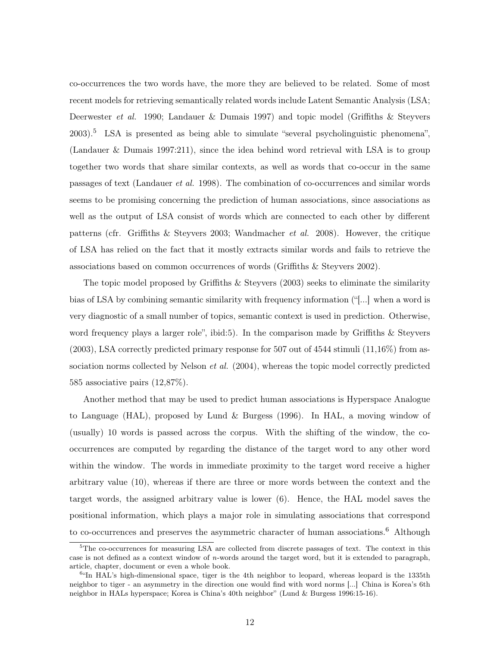co-occurrences the two words have, the more they are believed to be related. Some of most recent models for retrieving semantically related words include Latent Semantic Analysis (LSA; Deerwester et al. 1990; Landauer & Dumais 1997) and topic model (Griffiths & Steyvers 2003).<sup>5</sup> LSA is presented as being able to simulate "several psycholinguistic phenomena", (Landauer & Dumais 1997:211), since the idea behind word retrieval with LSA is to group together two words that share similar contexts, as well as words that co-occur in the same passages of text (Landauer et al. 1998). The combination of co-occurrences and similar words seems to be promising concerning the prediction of human associations, since associations as well as the output of LSA consist of words which are connected to each other by different patterns (cfr. Griffiths & Steyvers 2003; Wandmacher et al. 2008). However, the critique of LSA has relied on the fact that it mostly extracts similar words and fails to retrieve the associations based on common occurrences of words (Griffiths & Steyvers 2002).

The topic model proposed by Griffiths & Steyvers (2003) seeks to eliminate the similarity bias of LSA by combining semantic similarity with frequency information ("[...] when a word is very diagnostic of a small number of topics, semantic context is used in prediction. Otherwise, word frequency plays a larger role", ibid:5). In the comparison made by Griffiths & Steyvers  $(2003)$ , LSA correctly predicted primary response for 507 out of 4544 stimuli  $(11,16\%)$  from association norms collected by Nelson *et al.* (2004), whereas the topic model correctly predicted 585 associative pairs (12,87%).

Another method that may be used to predict human associations is Hyperspace Analogue to Language (HAL), proposed by Lund & Burgess (1996). In HAL, a moving window of (usually) 10 words is passed across the corpus. With the shifting of the window, the cooccurrences are computed by regarding the distance of the target word to any other word within the window. The words in immediate proximity to the target word receive a higher arbitrary value (10), whereas if there are three or more words between the context and the target words, the assigned arbitrary value is lower (6). Hence, the HAL model saves the positional information, which plays a major role in simulating associations that correspond to co-occurrences and preserves the asymmetric character of human associations.<sup>6</sup> Although

 $5$ The co-occurrences for measuring LSA are collected from discrete passages of text. The context in this case is not defined as a context window of n-words around the target word, but it is extended to paragraph, article, chapter, document or even a whole book.

<sup>&</sup>lt;sup>6.</sup>In HAL's high-dimensional space, tiger is the 4th neighbor to leopard, whereas leopard is the 1335th neighbor to tiger - an asymmetry in the direction one would find with word norms [...] China is Korea's 6th neighbor in HALs hyperspace; Korea is China's 40th neighbor" (Lund & Burgess 1996:15-16).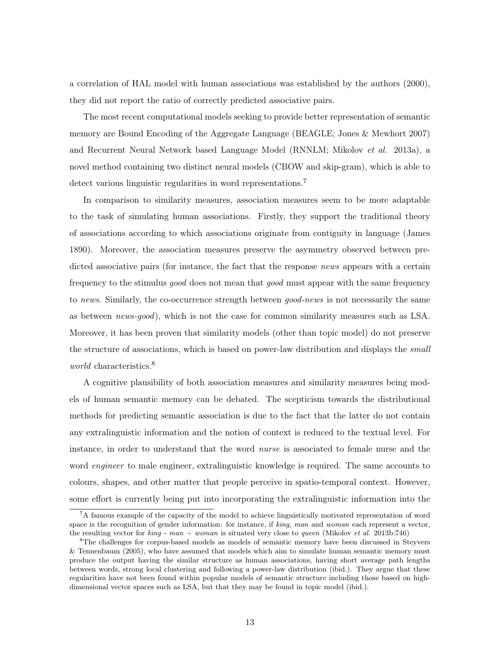a correlation of HAL model with human associations was established by the authors (2000), they did not report the ratio of correctly predicted associative pairs.

The most recent computational models seeking to provide better representation of semantic memory are Bound Encoding of the Aggregate Language (BEAGLE; Jones & Mewhort 2007) and Recurrent Neural Network based Language Model (RNNLM; Mikolov et al. 2013a), a novel method containing two distinct neural models (CBOW and skip-gram), which is able to detect various linguistic regularities in word representations.<sup>7</sup>

In comparison to similarity measures, association measures seem to be more adaptable to the task of simulating human associations. Firstly, they support the traditional theory of associations according to which associations originate from contiguity in language (James 1890). Moreover, the association measures preserve the asymmetry observed between predicted associative pairs (for instance, the fact that the response *news* appears with a certain frequency to the stimulus good does not mean that good must appear with the same frequency to news. Similarly, the co-occurrence strength between good-news is not necessarily the same as between news-good), which is not the case for common similarity measures such as LSA. Moreover, it has been proven that similarity models (other than topic model) do not preserve the structure of associations, which is based on power-law distribution and displays the *small world* characteristics.<sup>8</sup>

A cognitive plausibility of both association measures and similarity measures being models of human semantic memory can be debated. The scepticism towards the distributional methods for predicting semantic association is due to the fact that the latter do not contain any extralinguistic information and the notion of context is reduced to the textual level. For instance, in order to understand that the word nurse is associated to female nurse and the word *engineer* to male engineer, extralinguistic knowledge is required. The same accounts to colours, shapes, and other matter that people perceive in spatio-temporal context. However, some effort is currently being put into incorporating the extralinguistic information into the

<sup>&</sup>lt;sup>7</sup>A famous example of the capacity of the model to achieve linguistically motivated representation of word space is the recognition of gender information: for instance, if king, man and woman each represent a vector, the resulting vector for  $\text{kin}q$  - man + woman is situated very close to queen (Mikolov et al. 2013b:746)

<sup>8</sup>The challenges for corpus-based models as models of semantic memory have been discussed in Steyvers & Tennenbaum (2005), who have assumed that models which aim to simulate human semantic memory must produce the output having the similar structure as human associations, having short average path lengths between words, strong local clustering and following a power-law distribution (ibid.). They argue that these regularities have not been found within popular models of semantic structure including those based on highdimensional vector spaces such as LSA, but that they may be found in topic model (ibid.).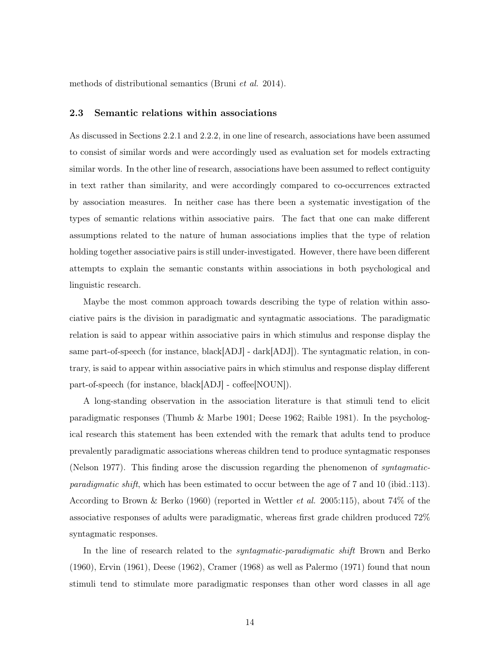methods of distributional semantics (Bruni et al. 2014).

#### 2.3 Semantic relations within associations

As discussed in Sections 2.2.1 and 2.2.2, in one line of research, associations have been assumed to consist of similar words and were accordingly used as evaluation set for models extracting similar words. In the other line of research, associations have been assumed to reflect contiguity in text rather than similarity, and were accordingly compared to co-occurrences extracted by association measures. In neither case has there been a systematic investigation of the types of semantic relations within associative pairs. The fact that one can make different assumptions related to the nature of human associations implies that the type of relation holding together associative pairs is still under-investigated. However, there have been different attempts to explain the semantic constants within associations in both psychological and linguistic research.

Maybe the most common approach towards describing the type of relation within associative pairs is the division in paradigmatic and syntagmatic associations. The paradigmatic relation is said to appear within associative pairs in which stimulus and response display the same part-of-speech (for instance, black[ADJ] - dark[ADJ]). The syntagmatic relation, in contrary, is said to appear within associative pairs in which stimulus and response display different part-of-speech (for instance, black[ADJ] - coffee[NOUN]).

A long-standing observation in the association literature is that stimuli tend to elicit paradigmatic responses (Thumb & Marbe 1901; Deese 1962; Raible 1981). In the psychological research this statement has been extended with the remark that adults tend to produce prevalently paradigmatic associations whereas children tend to produce syntagmatic responses (Nelson 1977). This finding arose the discussion regarding the phenomenon of *syntagmatic*paradigmatic shift, which has been estimated to occur between the age of 7 and 10 (ibid.:113). According to Brown & Berko (1960) (reported in Wettler et al. 2005:115), about 74% of the associative responses of adults were paradigmatic, whereas first grade children produced 72% syntagmatic responses.

In the line of research related to the *syntagmatic-paradigmatic shift* Brown and Berko (1960), Ervin (1961), Deese (1962), Cramer (1968) as well as Palermo (1971) found that noun stimuli tend to stimulate more paradigmatic responses than other word classes in all age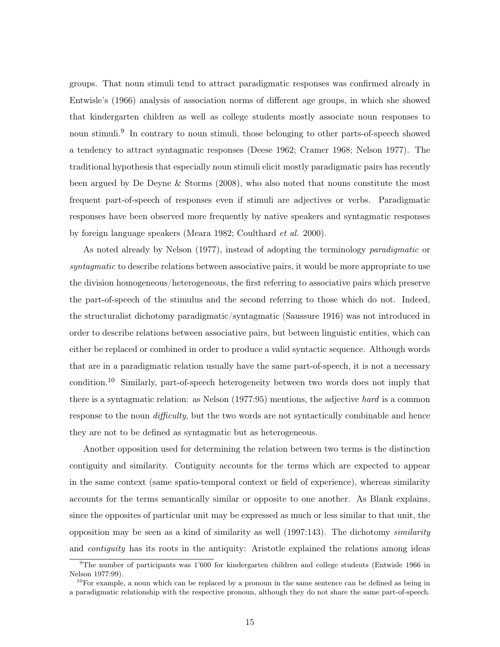groups. That noun stimuli tend to attract paradigmatic responses was confirmed already in Entwisle's (1966) analysis of association norms of different age groups, in which she showed that kindergarten children as well as college students mostly associate noun responses to noun stimuli.<sup>9</sup> In contrary to noun stimuli, those belonging to other parts-of-speech showed a tendency to attract syntagmatic responses (Deese 1962; Cramer 1968; Nelson 1977). The traditional hypothesis that especially noun stimuli elicit mostly paradigmatic pairs has recently been argued by De Deyne & Storms (2008), who also noted that nouns constitute the most frequent part-of-speech of responses even if stimuli are adjectives or verbs. Paradigmatic responses have been observed more frequently by native speakers and syntagmatic responses by foreign language speakers (Meara 1982; Coulthard et al. 2000).

As noted already by Nelson (1977), instead of adopting the terminology paradigmatic or syntagmatic to describe relations between associative pairs, it would be more appropriate to use the division homogeneous/heterogeneous, the first referring to associative pairs which preserve the part-of-speech of the stimulus and the second referring to those which do not. Indeed, the structuralist dichotomy paradigmatic/syntagmatic (Saussure 1916) was not introduced in order to describe relations between associative pairs, but between linguistic entities, which can either be replaced or combined in order to produce a valid syntactic sequence. Although words that are in a paradigmatic relation usually have the same part-of-speech, it is not a necessary condition.<sup>10</sup> Similarly, part-of-speech heterogeneity between two words does not imply that there is a syntagmatic relation: as Nelson (1977:95) mentions, the adjective hard is a common response to the noun *difficulty*, but the two words are not syntactically combinable and hence they are not to be defined as syntagmatic but as heterogeneous.

Another opposition used for determining the relation between two terms is the distinction contiguity and similarity. Contiguity accounts for the terms which are expected to appear in the same context (same spatio-temporal context or field of experience), whereas similarity accounts for the terms semantically similar or opposite to one another. As Blank explains, since the opposites of particular unit may be expressed as much or less similar to that unit, the opposition may be seen as a kind of similarity as well  $(1997:143)$ . The dichotomy similarity and contiguity has its roots in the antiquity: Aristotle explained the relations among ideas

<sup>9</sup>The number of participants was 1'600 for kindergarten children and college students (Entwisle 1966 in Nelson 1977:99).

<sup>&</sup>lt;sup>10</sup>For example, a noun which can be replaced by a pronoun in the same sentence can be defined as being in a paradigmatic relationship with the respective pronoun, although they do not share the same part-of-speech.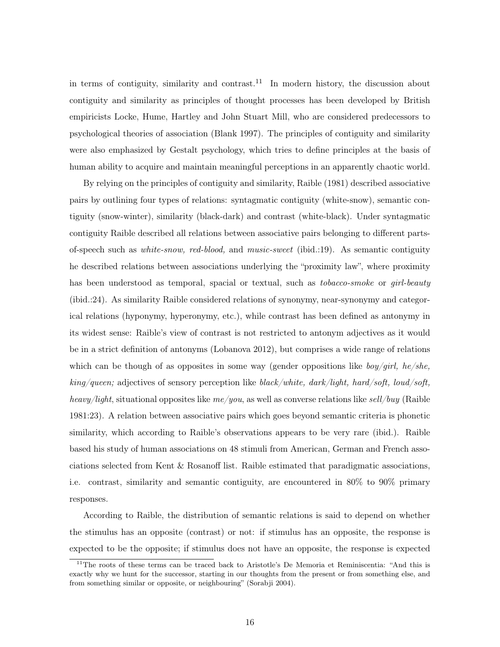in terms of contiguity, similarity and contrast.<sup>11</sup> In modern history, the discussion about contiguity and similarity as principles of thought processes has been developed by British empiricists Locke, Hume, Hartley and John Stuart Mill, who are considered predecessors to psychological theories of association (Blank 1997). The principles of contiguity and similarity were also emphasized by Gestalt psychology, which tries to define principles at the basis of human ability to acquire and maintain meaningful perceptions in an apparently chaotic world.

By relying on the principles of contiguity and similarity, Raible (1981) described associative pairs by outlining four types of relations: syntagmatic contiguity (white-snow), semantic contiguity (snow-winter), similarity (black-dark) and contrast (white-black). Under syntagmatic contiguity Raible described all relations between associative pairs belonging to different partsof-speech such as white-snow, red-blood, and music-sweet (ibid.:19). As semantic contiguity he described relations between associations underlying the "proximity law", where proximity has been understood as temporal, spacial or textual, such as *tobacco-smoke* or *girl-beauty* (ibid.:24). As similarity Raible considered relations of synonymy, near-synonymy and categorical relations (hyponymy, hyperonymy, etc.), while contrast has been defined as antonymy in its widest sense: Raible's view of contrast is not restricted to antonym adjectives as it would be in a strict definition of antonyms (Lobanova 2012), but comprises a wide range of relations which can be though of as opposites in some way (gender oppositions like  $\frac{boy}{qirl}$ , he/she,  $king/queen$ ; adjectives of sensory perception like black/white, dark/light, hard/soft, loud/soft, heavy/light, situational opposites like  $me/you$ , as well as converse relations like sell/buy (Raible 1981:23). A relation between associative pairs which goes beyond semantic criteria is phonetic similarity, which according to Raible's observations appears to be very rare (ibid.). Raible based his study of human associations on 48 stimuli from American, German and French associations selected from Kent & Rosanoff list. Raible estimated that paradigmatic associations, i.e. contrast, similarity and semantic contiguity, are encountered in 80% to 90% primary responses.

According to Raible, the distribution of semantic relations is said to depend on whether the stimulus has an opposite (contrast) or not: if stimulus has an opposite, the response is expected to be the opposite; if stimulus does not have an opposite, the response is expected

<sup>&</sup>lt;sup>11</sup>The roots of these terms can be traced back to Aristotle's De Memoria et Reminiscentia: "And this is exactly why we hunt for the successor, starting in our thoughts from the present or from something else, and from something similar or opposite, or neighbouring" (Sorabji 2004).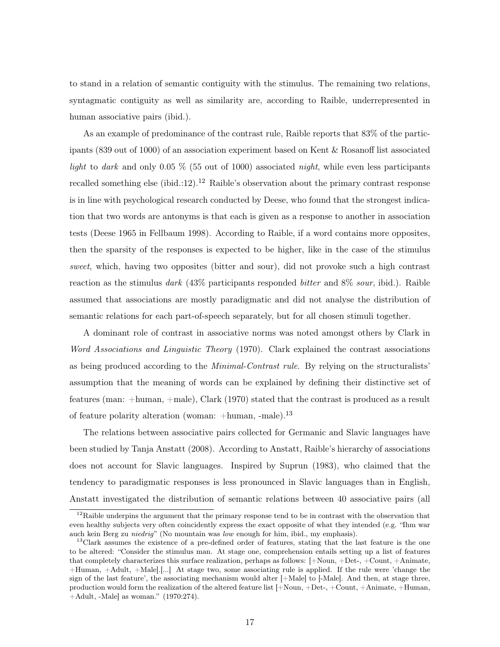to stand in a relation of semantic contiguity with the stimulus. The remaining two relations, syntagmatic contiguity as well as similarity are, according to Raible, underrepresented in human associative pairs (ibid.).

As an example of predominance of the contrast rule, Raible reports that 83% of the participants (839 out of 1000) of an association experiment based on Kent & Rosanoff list associated light to dark and only 0.05 % (55 out of 1000) associated night, while even less participants recalled something else (ibid.:12).<sup>12</sup> Raible's observation about the primary contrast response is in line with psychological research conducted by Deese, who found that the strongest indication that two words are antonyms is that each is given as a response to another in association tests (Deese 1965 in Fellbaum 1998). According to Raible, if a word contains more opposites, then the sparsity of the responses is expected to be higher, like in the case of the stimulus sweet, which, having two opposites (bitter and sour), did not provoke such a high contrast reaction as the stimulus dark (43% participants responded bitter and 8% sour, ibid.). Raible assumed that associations are mostly paradigmatic and did not analyse the distribution of semantic relations for each part-of-speech separately, but for all chosen stimuli together.

A dominant role of contrast in associative norms was noted amongst others by Clark in Word Associations and Linguistic Theory (1970). Clark explained the contrast associations as being produced according to the Minimal-Contrast rule. By relying on the structuralists' assumption that the meaning of words can be explained by defining their distinctive set of features (man: +human, +male), Clark (1970) stated that the contrast is produced as a result of feature polarity alteration (woman:  $+$ human,  $-$ male).<sup>13</sup>

The relations between associative pairs collected for Germanic and Slavic languages have been studied by Tanja Anstatt (2008). According to Anstatt, Raible's hierarchy of associations does not account for Slavic languages. Inspired by Suprun (1983), who claimed that the tendency to paradigmatic responses is less pronounced in Slavic languages than in English, Anstatt investigated the distribution of semantic relations between 40 associative pairs (all

<sup>&</sup>lt;sup>12</sup>Raible underpins the argument that the primary response tend to be in contrast with the observation that even healthy subjects very often coincidently express the exact opposite of what they intended (e.g. "Ihm war auch kein Berg zu niedrig" (No mountain was low enough for him, ibid., my emphasis).

 $13$ Clark assumes the existence of a pre-defined order of features, stating that the last feature is the one to be altered: "Consider the stimulus man. At stage one, comprehension entails setting up a list of features that completely characterizes this surface realization, perhaps as follows: [+Noun, +Det-, +Count, +Animate, +Human, +Adult, +Male].[...] At stage two, some associating rule is applied. If the rule were 'change the sign of the last feature', the associating mechanism would alter [+Male] to [-Male]. And then, at stage three, production would form the realization of the altered feature list [+Noun, +Det-, +Count, +Animate, +Human, +Adult, -Male] as woman." (1970:274).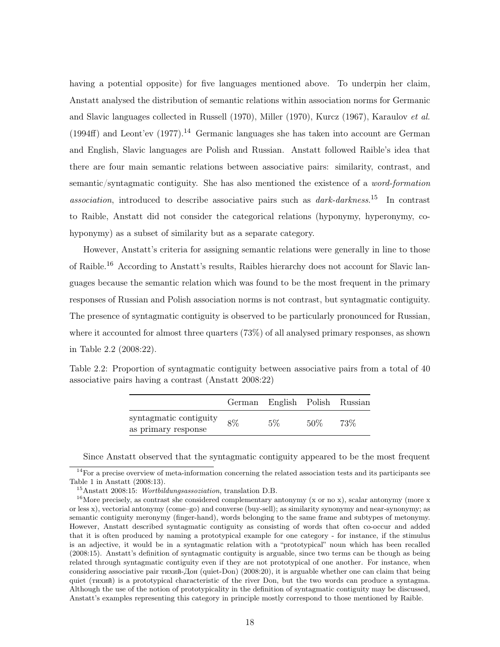having a potential opposite) for five languages mentioned above. To underpin her claim, Anstatt analysed the distribution of semantic relations within association norms for Germanic and Slavic languages collected in Russell (1970), Miller (1970), Kurcz (1967), Karaulov et al.  $(1994ff)$  and Leont'ev  $(1977).<sup>14</sup>$  Germanic languages she has taken into account are German and English, Slavic languages are Polish and Russian. Anstatt followed Raible's idea that there are four main semantic relations between associative pairs: similarity, contrast, and semantic/syntagmatic contiguity. She has also mentioned the existence of a word-formation association, introduced to describe associative pairs such as  $dark\text{-}dark\text{-}less.$ <sup>15</sup> In contrast to Raible, Anstatt did not consider the categorical relations (hyponymy, hyperonymy, cohyponymy) as a subset of similarity but as a separate category.

However, Anstatt's criteria for assigning semantic relations were generally in line to those of Raible.<sup>16</sup> According to Anstatt's results, Raibles hierarchy does not account for Slavic languages because the semantic relation which was found to be the most frequent in the primary responses of Russian and Polish association norms is not contrast, but syntagmatic contiguity. The presence of syntagmatic contiguity is observed to be particularly pronounced for Russian, where it accounted for almost three quarters (73%) of all analysed primary responses, as shown in Table 2.2 (2008:22).

Table 2.2: Proportion of syntagmatic contiguity between associative pairs from a total of 40 associative pairs having a contrast (Anstatt 2008:22)

|                                               |    | German English Polish Russian |        |     |
|-----------------------------------------------|----|-------------------------------|--------|-----|
| syntagmatic contiguity<br>as primary response | 8% | $5\%$                         | $50\%$ | 73% |

Since Anstatt observed that the syntagmatic contiguity appeared to be the most frequent

<sup>&</sup>lt;sup>14</sup>For a precise overview of meta-information concerning the related association tests and its participants see Table 1 in Anstatt (2008:13).

<sup>15</sup>Anstatt 2008:15: Wortbildungsassoziation, translation D.B.

<sup>&</sup>lt;sup>16</sup>More precisely, as contrast she considered complementary antonymy (x or no x), scalar antonymy (more x or less x), vectorial antonymy (come–go) and converse (buy-sell); as similarity synonymy and near-synonymy; as semantic contiguity meronymy (finger-hand), words belonging to the same frame and subtypes of metonymy. However, Anstatt described syntagmatic contiguity as consisting of words that often co-occur and added that it is often produced by naming a prototypical example for one category - for instance, if the stimulus is an adjective, it would be in a syntagmatic relation with a "prototypical" noun which has been recalled (2008:15). Anstatt's definition of syntagmatic contiguity is arguable, since two terms can be though as being related through syntagmatic contiguity even if they are not prototypical of one another. For instance, when considering associative pair тихий-Дон (quiet-Don) (2008:20), it is arguable whether one can claim that being quiet (тихий) is a prototypical characteristic of the river Don, but the two words can produce a syntagma. Although the use of the notion of prototypicality in the definition of syntagmatic contiguity may be discussed, Anstatt's examples representing this category in principle mostly correspond to those mentioned by Raible.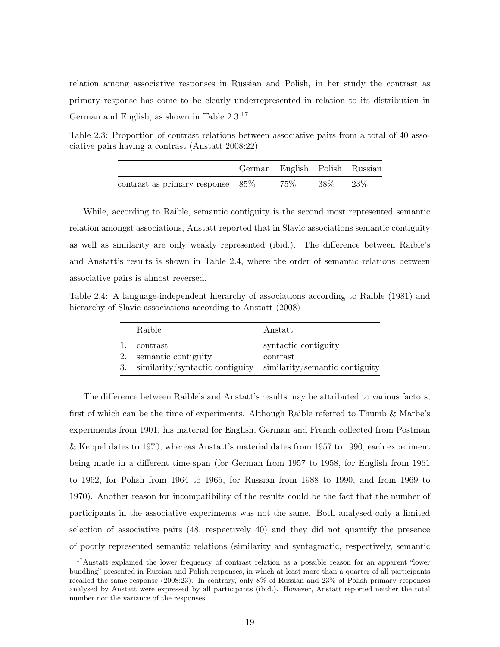relation among associative responses in Russian and Polish, in her study the contrast as primary response has come to be clearly underrepresented in relation to its distribution in German and English, as shown in Table 2.3.<sup>17</sup>

Table 2.3: Proportion of contrast relations between associative pairs from a total of 40 associative pairs having a contrast (Anstatt 2008:22)

|                                              | German English Polish Russian |        |        |
|----------------------------------------------|-------------------------------|--------|--------|
| $\text{contrast}$ as primary response $85\%$ | $75\%$                        | $38\%$ | $23\%$ |

While, according to Raible, semantic contiguity is the second most represented semantic relation amongst associations, Anstatt reported that in Slavic associations semantic contiguity as well as similarity are only weakly represented (ibid.). The difference between Raible's and Anstatt's results is shown in Table 2.4, where the order of semantic relations between associative pairs is almost reversed.

Table 2.4: A language-independent hierarchy of associations according to Raible (1981) and hierarchy of Slavic associations according to Anstatt (2008)

|    | Raible                                                                                                  | Anstatt                          |
|----|---------------------------------------------------------------------------------------------------------|----------------------------------|
| 1. | contrast<br>2. semantic contiguity<br>3. similarity/syntactic contiguity similarity/semantic contiguity | syntactic contiguity<br>contrast |

The difference between Raible's and Anstatt's results may be attributed to various factors, first of which can be the time of experiments. Although Raible referred to Thumb & Marbe's experiments from 1901, his material for English, German and French collected from Postman & Keppel dates to 1970, whereas Anstatt's material dates from 1957 to 1990, each experiment being made in a different time-span (for German from 1957 to 1958, for English from 1961 to 1962, for Polish from 1964 to 1965, for Russian from 1988 to 1990, and from 1969 to 1970). Another reason for incompatibility of the results could be the fact that the number of participants in the associative experiments was not the same. Both analysed only a limited selection of associative pairs (48, respectively 40) and they did not quantify the presence of poorly represented semantic relations (similarity and syntagmatic, respectively, semantic

<sup>&</sup>lt;sup>17</sup>Anstatt explained the lower frequency of contrast relation as a possible reason for an apparent "lower bundling" presented in Russian and Polish responses, in which at least more than a quarter of all participants recalled the same response (2008:23). In contrary, only 8% of Russian and 23% of Polish primary responses analysed by Anstatt were expressed by all participants (ibid.). However, Anstatt reported neither the total number nor the variance of the responses.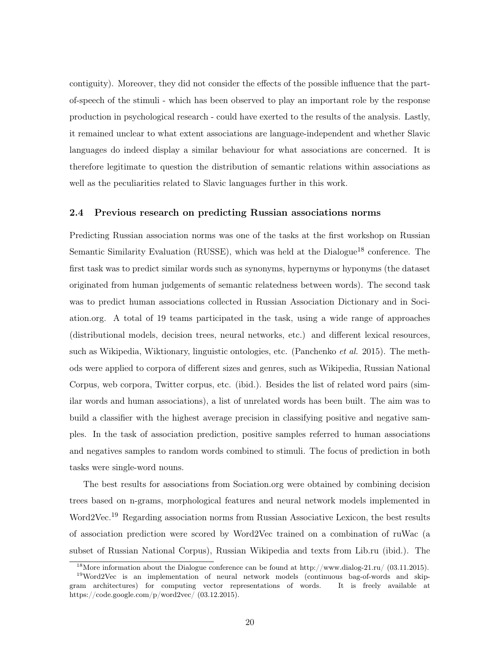contiguity). Moreover, they did not consider the effects of the possible influence that the partof-speech of the stimuli - which has been observed to play an important role by the response production in psychological research - could have exerted to the results of the analysis. Lastly, it remained unclear to what extent associations are language-independent and whether Slavic languages do indeed display a similar behaviour for what associations are concerned. It is therefore legitimate to question the distribution of semantic relations within associations as well as the peculiarities related to Slavic languages further in this work.

#### 2.4 Previous research on predicting Russian associations norms

Predicting Russian association norms was one of the tasks at the first workshop on Russian Semantic Similarity Evaluation (RUSSE), which was held at the Dialogue<sup>18</sup> conference. The first task was to predict similar words such as synonyms, hypernyms or hyponyms (the dataset originated from human judgements of semantic relatedness between words). The second task was to predict human associations collected in Russian Association Dictionary and in Sociation.org. A total of 19 teams participated in the task, using a wide range of approaches (distributional models, decision trees, neural networks, etc.) and different lexical resources, such as Wikipedia, Wiktionary, linguistic ontologies, etc. (Panchenko et al. 2015). The methods were applied to corpora of different sizes and genres, such as Wikipedia, Russian National Corpus, web corpora, Twitter corpus, etc. (ibid.). Besides the list of related word pairs (similar words and human associations), a list of unrelated words has been built. The aim was to build a classifier with the highest average precision in classifying positive and negative samples. In the task of association prediction, positive samples referred to human associations and negatives samples to random words combined to stimuli. The focus of prediction in both tasks were single-word nouns.

The best results for associations from Sociation.org were obtained by combining decision trees based on n-grams, morphological features and neural network models implemented in Word2Vec.<sup>19</sup> Regarding association norms from Russian Associative Lexicon, the best results of association prediction were scored by Word2Vec trained on a combination of ruWac (a subset of Russian National Corpus), Russian Wikipedia and texts from Lib.ru (ibid.). The

<sup>&</sup>lt;sup>18</sup>More information about the Dialogue conference can be found at http://www.dialog-21.ru/ (03.11.2015). <sup>19</sup>Word2Vec is an implementation of neural network models (continuous bag-of-words and skip-

gram architectures) for computing vector representations of words. It is freely available at https://code.google.com/p/word2vec/ (03.12.2015).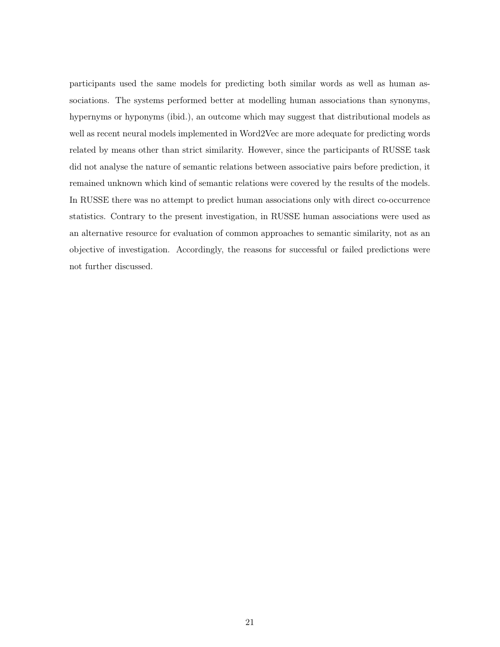participants used the same models for predicting both similar words as well as human associations. The systems performed better at modelling human associations than synonyms, hypernyms or hyponyms (ibid.), an outcome which may suggest that distributional models as well as recent neural models implemented in Word2Vec are more adequate for predicting words related by means other than strict similarity. However, since the participants of RUSSE task did not analyse the nature of semantic relations between associative pairs before prediction, it remained unknown which kind of semantic relations were covered by the results of the models. In RUSSE there was no attempt to predict human associations only with direct co-occurrence statistics. Contrary to the present investigation, in RUSSE human associations were used as an alternative resource for evaluation of common approaches to semantic similarity, not as an objective of investigation. Accordingly, the reasons for successful or failed predictions were not further discussed.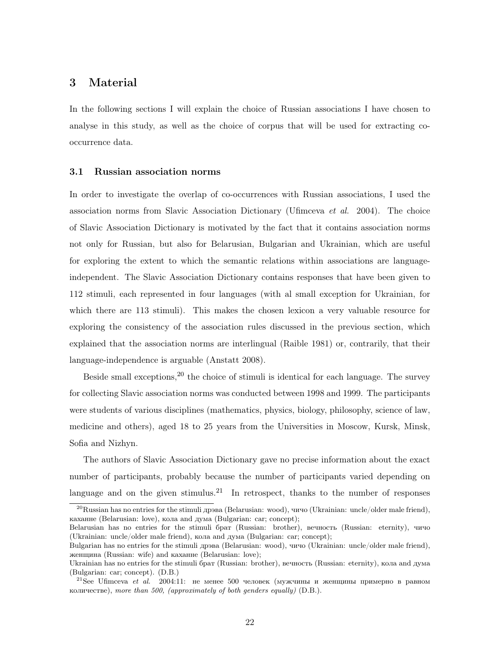### 3 Material

In the following sections I will explain the choice of Russian associations I have chosen to analyse in this study, as well as the choice of corpus that will be used for extracting cooccurrence data.

#### 3.1 Russian association norms

In order to investigate the overlap of co-occurrences with Russian associations, I used the association norms from Slavic Association Dictionary (Ufimceva *et al.* 2004). The choice of Slavic Association Dictionary is motivated by the fact that it contains association norms not only for Russian, but also for Belarusian, Bulgarian and Ukrainian, which are useful for exploring the extent to which the semantic relations within associations are languageindependent. The Slavic Association Dictionary contains responses that have been given to 112 stimuli, each represented in four languages (with al small exception for Ukrainian, for which there are 113 stimuli). This makes the chosen lexicon a very valuable resource for exploring the consistency of the association rules discussed in the previous section, which explained that the association norms are interlingual (Raible 1981) or, contrarily, that their language-independence is arguable (Anstatt 2008).

Beside small exceptions,<sup>20</sup> the choice of stimuli is identical for each language. The survey for collecting Slavic association norms was conducted between 1998 and 1999. The participants were students of various disciplines (mathematics, physics, biology, philosophy, science of law, medicine and others), aged 18 to 25 years from the Universities in Moscow, Kursk, Minsk, Sofia and Nizhyn.

The authors of Slavic Association Dictionary gave no precise information about the exact number of participants, probably because the number of participants varied depending on language and on the given stimulus.<sup>21</sup> In retrospect, thanks to the number of responses

<sup>&</sup>lt;sup>20</sup>Russian has no entries for the stimuli дрэва (Belarusian: wood), чичо (Ukrainian: uncle/older male friend), каханне (Belarusian: love), кола and дума (Bulgarian: car; concept);

Belarusian has no entries for the stimuli брат (Russian: brother), вечность (Russian: eternity), чичо (Ukrainian: uncle/older male friend), кола and дума (Bulgarian: car; concept);

Bulgarian has no entries for the stimuli дрэва (Belarusian: wood), чичо (Ukrainian: uncle/older male friend), женщина (Russian: wife) and каханне (Belarusian: love);

Ukrainian has no entries for the stimuli брат (Russian: brother), вечность (Russian: eternity), кола and дума (Bulgarian: car; concept). (D.B.)

<sup>&</sup>lt;sup>21</sup>See Ufimceva *et al.* 2004:11: не менее 500 человек (мужчины и женщины примерно в равном количестве), more than 500, (approximately of both genders equally) (D.B.).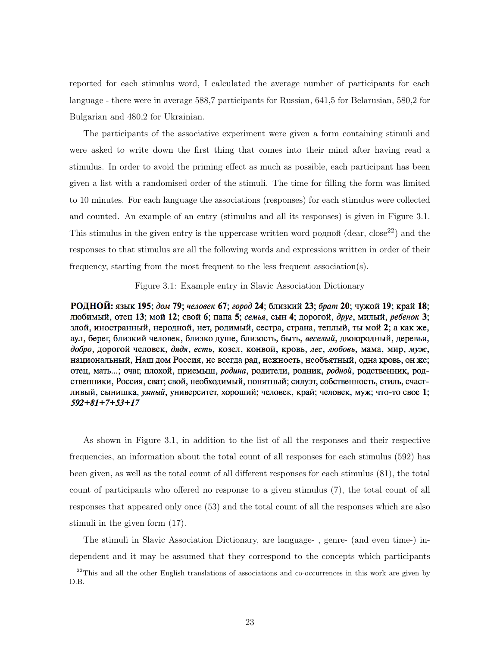reported for each stimulus word, I calculated the average number of participants for each language - there were in average 588,7 participants for Russian, 641,5 for Belarusian, 580,2 for Bulgarian and 480,2 for Ukrainian.

The participants of the associative experiment were given a form containing stimuli and were asked to write down the first thing that comes into their mind after having read a stimulus. In order to avoid the priming effect as much as possible, each participant has been given a list with a randomised order of the stimuli. The time for filling the form was limited to 10 minutes. For each language the associations (responses) for each stimulus were collected and counted. An example of an entry (stimulus and all its responses) is given in Figure 3.1. This stimulus in the given entry is the uppercase written word родной (dear, close<sup>22</sup>) and the responses to that stimulus are all the following words and expressions written in order of their frequency, starting from the most frequent to the less frequent association(s).

#### Figure 3.1: Example entry in Slavic Association Dictionary

РОДНОЙ: язык 195; дом 79; человек 67; город 24; близкий 23; брат 20; чужой 19; край 18; любимый, отец 13; мой 12; свой 6; папа 5; семья, сын 4; дорогой, друг, милый, ребенок 3; злой, иностранный, неродной, нет, родимый, сестра, страна, теплый, ты мой 2; а как же, аул, берег, близкий человек, близко душе, близость, быть, веселый, двоюродный, деревья, добро, дорогой человек, дядя, есть, козел, конвой, кровь, лес, любовь, мама, мир, муж, национальный, Наш дом Россия, не всегда рад, нежность, необъятный, одна кровь, он же; отец, мать...; очаг, плохой, приемыш, родина, родители, родник, родной, родственник, родственники, Россия, сват; свой, необходимый, понятный; силуэт, собственность, стиль, счастливый, сынишка, умный, университет, хороший; человек, край; человек, муж; что-то свое 1;  $592 + 81 + 7 + 53 + 17$ 

As shown in Figure 3.1, in addition to the list of all the responses and their respective frequencies, an information about the total count of all responses for each stimulus (592) has been given, as well as the total count of all different responses for each stimulus (81), the total count of participants who offered no response to a given stimulus (7), the total count of all responses that appeared only once (53) and the total count of all the responses which are also stimuli in the given form (17).

The stimuli in Slavic Association Dictionary, are language- , genre- (and even time-) independent and it may be assumed that they correspond to the concepts which participants

 $^{22}$ This and all the other English translations of associations and co-occurrences in this work are given by D.B.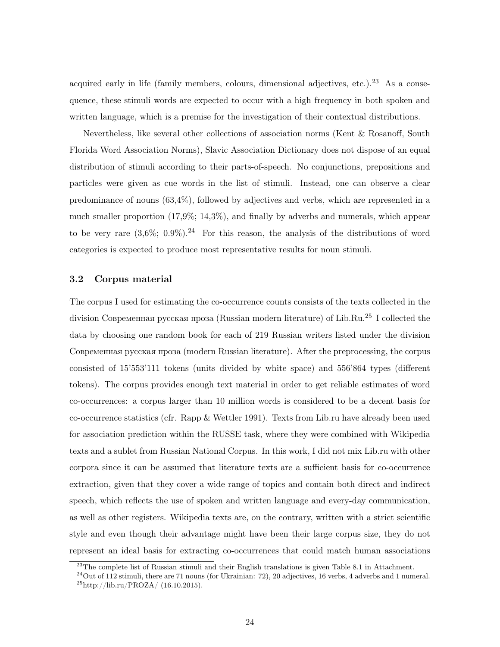acquired early in life (family members, colours, dimensional adjectives, etc.).<sup>23</sup> As a consequence, these stimuli words are expected to occur with a high frequency in both spoken and written language, which is a premise for the investigation of their contextual distributions.

Nevertheless, like several other collections of association norms (Kent & Rosanoff, South Florida Word Association Norms), Slavic Association Dictionary does not dispose of an equal distribution of stimuli according to their parts-of-speech. No conjunctions, prepositions and particles were given as cue words in the list of stimuli. Instead, one can observe a clear predominance of nouns (63,4%), followed by adjectives and verbs, which are represented in a much smaller proportion (17,9%; 14,3%), and finally by adverbs and numerals, which appear to be very rare  $(3,6\%, 0.9\%)$ .<sup>24</sup> For this reason, the analysis of the distributions of word categories is expected to produce most representative results for noun stimuli.

#### 3.2 Corpus material

The corpus I used for estimating the co-occurrence counts consists of the texts collected in the division Современная русская проза (Russian modern literature) of Lib.Ru.<sup>25</sup> I collected the data by choosing one random book for each of 219 Russian writers listed under the division Современная русская проза (modern Russian literature). After the preprocessing, the corpus consisted of 15'553'111 tokens (units divided by white space) and 556'864 types (different tokens). The corpus provides enough text material in order to get reliable estimates of word co-occurrences: a corpus larger than 10 million words is considered to be a decent basis for co-occurrence statistics (cfr. Rapp & Wettler 1991). Texts from Lib.ru have already been used for association prediction within the RUSSE task, where they were combined with Wikipedia texts and a sublet from Russian National Corpus. In this work, I did not mix Lib.ru with other corpora since it can be assumed that literature texts are a sufficient basis for co-occurrence extraction, given that they cover a wide range of topics and contain both direct and indirect speech, which reflects the use of spoken and written language and every-day communication, as well as other registers. Wikipedia texts are, on the contrary, written with a strict scientific style and even though their advantage might have been their large corpus size, they do not represent an ideal basis for extracting co-occurrences that could match human associations

 $^{23}$ The complete list of Russian stimuli and their English translations is given Table 8.1 in Attachment.

 $24$ Out of 112 stimuli, there are 71 nouns (for Ukrainian: 72), 20 adjectives, 16 verbs, 4 adverbs and 1 numeral.  $^{25}$ http://lib.ru/PROZA/ (16.10.2015).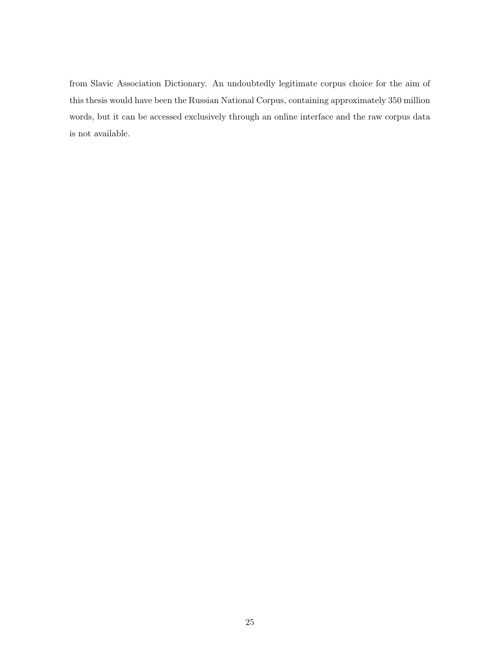from Slavic Association Dictionary. An undoubtedly legitimate corpus choice for the aim of this thesis would have been the Russian National Corpus, containing approximately 350 million words, but it can be accessed exclusively through an online interface and the raw corpus data is not available.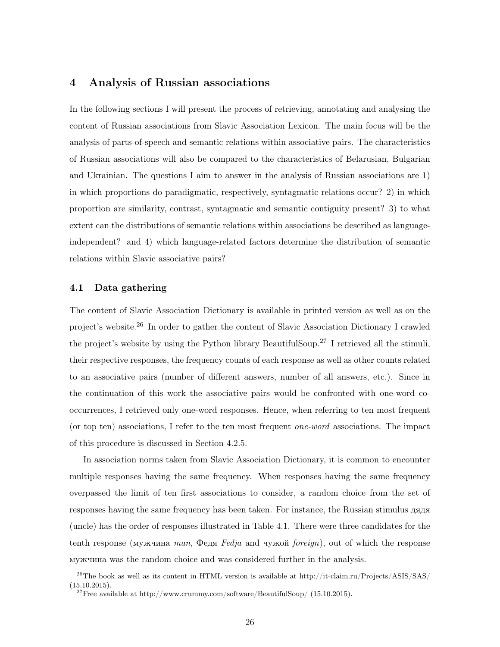### 4 Analysis of Russian associations

In the following sections I will present the process of retrieving, annotating and analysing the content of Russian associations from Slavic Association Lexicon. The main focus will be the analysis of parts-of-speech and semantic relations within associative pairs. The characteristics of Russian associations will also be compared to the characteristics of Belarusian, Bulgarian and Ukrainian. The questions I aim to answer in the analysis of Russian associations are 1) in which proportions do paradigmatic, respectively, syntagmatic relations occur? 2) in which proportion are similarity, contrast, syntagmatic and semantic contiguity present? 3) to what extent can the distributions of semantic relations within associations be described as languageindependent? and 4) which language-related factors determine the distribution of semantic relations within Slavic associative pairs?

#### 4.1 Data gathering

The content of Slavic Association Dictionary is available in printed version as well as on the project's website.<sup>26</sup> In order to gather the content of Slavic Association Dictionary I crawled the project's website by using the Python library BeautifulSoup.<sup>27</sup> I retrieved all the stimuli, their respective responses, the frequency counts of each response as well as other counts related to an associative pairs (number of different answers, number of all answers, etc.). Since in the continuation of this work the associative pairs would be confronted with one-word cooccurrences, I retrieved only one-word responses. Hence, when referring to ten most frequent (or top ten) associations, I refer to the ten most frequent one-word associations. The impact of this procedure is discussed in Section 4.2.5.

In association norms taken from Slavic Association Dictionary, it is common to encounter multiple responses having the same frequency. When responses having the same frequency overpassed the limit of ten first associations to consider, a random choice from the set of responses having the same frequency has been taken. For instance, the Russian stimulus дядя (uncle) has the order of responses illustrated in Table 4.1. There were three candidates for the tenth response (мужчина man, Федя Fedja and чужой foreign), out of which the response мужчина was the random choice and was considered further in the analysis.

<sup>26</sup>The book as well as its content in HTML version is available at http://it-claim.ru/Projects/ASIS/SAS/  $(15.10.2015).$ 

<sup>&</sup>lt;sup>27</sup>Free available at http://www.crummy.com/software/BeautifulSoup/ (15.10.2015).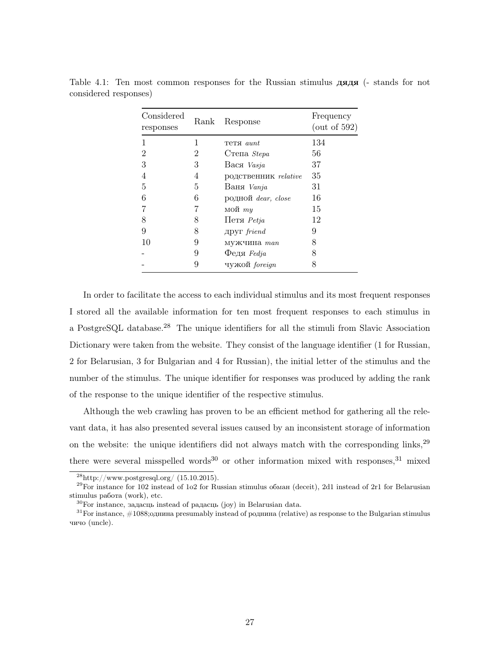| Considered<br>responses | Rank | Response             | Frequency<br>(out of $592$ ) |
|-------------------------|------|----------------------|------------------------------|
| 1                       | 1    | Teta <i>aunt</i>     | 134                          |
| $\overline{2}$          | 2    | Степа Stepa          | 56                           |
| 3                       | 3    | Вася Vasja           | 37                           |
| 4                       | 4    | родственник relative | 35                           |
| 5                       | 5    | Ваня Vanja           | 31                           |
| 6                       | 6    | родной dear, close   | 16                           |
| 7                       |      | мой $my$             | 15                           |
| 8                       | 8    | $Hersi$ <i>Petja</i> | 12                           |
| 9                       | 8    | $\text{ADYT}$ friend | 9                            |
| 10                      | 9    | мужчина man          | 8                            |
|                         | 9    | $\Phi$ едя Fedja     | 8                            |
|                         | 9    | чужой foreign        | 8                            |

Table 4.1: Ten most common responses for the Russian stimulus дядя (- stands for not considered responses)

In order to facilitate the access to each individual stimulus and its most frequent responses I stored all the available information for ten most frequent responses to each stimulus in a PostgreSQL database.<sup>28</sup> The unique identifiers for all the stimuli from Slavic Association Dictionary were taken from the website. They consist of the language identifier (1 for Russian, 2 for Belarusian, 3 for Bulgarian and 4 for Russian), the initial letter of the stimulus and the number of the stimulus. The unique identifier for responses was produced by adding the rank of the response to the unique identifier of the respective stimulus.

Although the web crawling has proven to be an efficient method for gathering all the relevant data, it has also presented several issues caused by an inconsistent storage of information on the website: the unique identifiers did not always match with the corresponding links,  $29$ there were several misspelled words<sup>30</sup> or other information mixed with responses,  $31$  mixed

 $^{28}$ http://www.postgresql.org/ (15.10.2015).

 $^{29}$ For instance for 102 instead of 1o2 for Russian stimulus обман (deceit), 2d1 instead of 2r1 for Belarusian stimulus pабота (work), etc.

<sup>30</sup>For instance, задасць instead of радасць (joy) in Belarusian data.

 $31$  For instance,  $\#1088$ ; однина presumably instead of роднина (relative) as response to the Bulgarian stimulus чичо (uncle).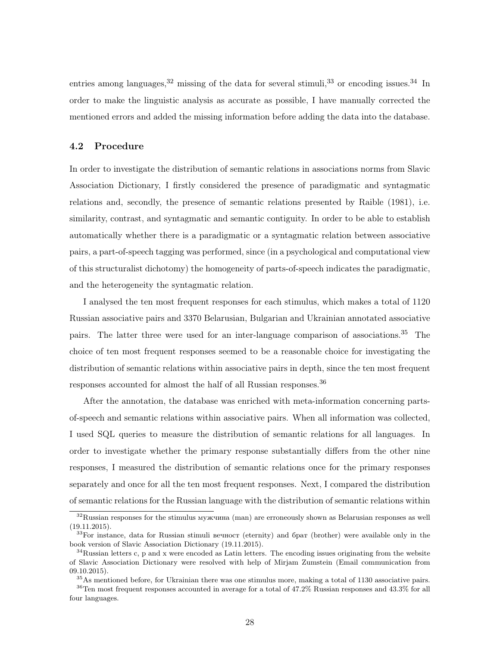entries among languages,  $32$  missing of the data for several stimuli,  $33$  or encoding issues.  $34$  In order to make the linguistic analysis as accurate as possible, I have manually corrected the mentioned errors and added the missing information before adding the data into the database.

#### 4.2 Procedure

In order to investigate the distribution of semantic relations in associations norms from Slavic Association Dictionary, I firstly considered the presence of paradigmatic and syntagmatic relations and, secondly, the presence of semantic relations presented by Raible (1981), i.e. similarity, contrast, and syntagmatic and semantic contiguity. In order to be able to establish automatically whether there is a paradigmatic or a syntagmatic relation between associative pairs, a part-of-speech tagging was performed, since (in a psychological and computational view of this structuralist dichotomy) the homogeneity of parts-of-speech indicates the paradigmatic, and the heterogeneity the syntagmatic relation.

I analysed the ten most frequent responses for each stimulus, which makes a total of 1120 Russian associative pairs and 3370 Belarusian, Bulgarian and Ukrainian annotated associative pairs. The latter three were used for an inter-language comparison of associations.<sup>35</sup> The choice of ten most frequent responses seemed to be a reasonable choice for investigating the distribution of semantic relations within associative pairs in depth, since the ten most frequent responses accounted for almost the half of all Russian responses.<sup>36</sup>

After the annotation, the database was enriched with meta-information concerning partsof-speech and semantic relations within associative pairs. When all information was collected, I used SQL queries to measure the distribution of semantic relations for all languages. In order to investigate whether the primary response substantially differs from the other nine responses, I measured the distribution of semantic relations once for the primary responses separately and once for all the ten most frequent responses. Next, I compared the distribution of semantic relations for the Russian language with the distribution of semantic relations within

<sup>&</sup>lt;sup>32</sup>Russian responses for the stimulus мужчина (man) are erroneously shown as Belarusian responses as well (19.11.2015).

 $33$ For instance, data for Russian stimuli вечност (eternity) and брат (brother) were available only in the book version of Slavic Association Dictionary (19.11.2015).

 $34$ Russian letters c, p and x were encoded as Latin letters. The encoding issues originating from the website of Slavic Association Dictionary were resolved with help of Mirjam Zumstein (Email communication from 09.10.2015).

<sup>35</sup>As mentioned before, for Ukrainian there was one stimulus more, making a total of 1130 associative pairs.

<sup>36</sup>Ten most frequent responses accounted in average for a total of 47.2% Russian responses and 43.3% for all four languages.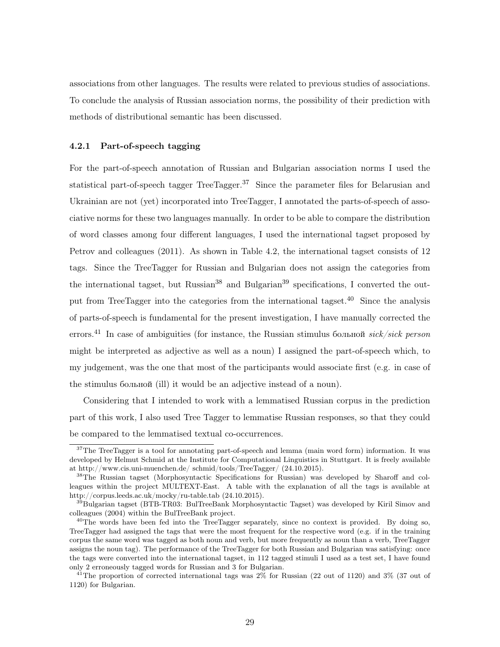associations from other languages. The results were related to previous studies of associations. To conclude the analysis of Russian association norms, the possibility of their prediction with methods of distributional semantic has been discussed.

#### 4.2.1 Part-of-speech tagging

For the part-of-speech annotation of Russian and Bulgarian association norms I used the statistical part-of-speech tagger TreeTagger.<sup>37</sup> Since the parameter files for Belarusian and Ukrainian are not (yet) incorporated into TreeTagger, I annotated the parts-of-speech of associative norms for these two languages manually. In order to be able to compare the distribution of word classes among four different languages, I used the international tagset proposed by Petrov and colleagues (2011). As shown in Table 4.2, the international tagset consists of 12 tags. Since the TreeTagger for Russian and Bulgarian does not assign the categories from the international tagset, but Russian<sup>38</sup> and Bulgarian<sup>39</sup> specifications, I converted the output from TreeTagger into the categories from the international tagset.<sup>40</sup> Since the analysis of parts-of-speech is fundamental for the present investigation, I have manually corrected the errors.<sup>41</sup> In case of ambiguities (for instance, the Russian stimulus больной sick/sick person might be interpreted as adjective as well as a noun) I assigned the part-of-speech which, to my judgement, was the one that most of the participants would associate first (e.g. in case of the stimulus больной (ill) it would be an adjective instead of a noun).

Considering that I intended to work with a lemmatised Russian corpus in the prediction part of this work, I also used Tree Tagger to lemmatise Russian responses, so that they could be compared to the lemmatised textual co-occurrences.

 $37$ The TreeTagger is a tool for annotating part-of-speech and lemma (main word form) information. It was developed by Helmut Schmid at the Institute for Computational Linguistics in Stuttgart. It is freely available at http://www.cis.uni-muenchen.de/ schmid/tools/TreeTagger/ (24.10.2015).

<sup>38</sup>The Russian tagset (Morphosyntactic Specifications for Russian) was developed by Sharoff and colleagues within the project MULTEXT-East. A table with the explanation of all the tags is available at http://corpus.leeds.ac.uk/mocky/ru-table.tab (24.10.2015).

<sup>&</sup>lt;sup>39</sup>Bulgarian tagset (BTB-TR03: BulTreeBank Morphosyntactic Tagset) was developed by Kiril Simov and colleagues (2004) within the BulTreeBank project.

 $^{40}$ The words have been fed into the TreeTagger separately, since no context is provided. By doing so, TreeTagger had assigned the tags that were the most frequent for the respective word (e.g. if in the training corpus the same word was tagged as both noun and verb, but more frequently as noun than a verb, TreeTagger assigns the noun tag). The performance of the TreeTagger for both Russian and Bulgarian was satisfying: once the tags were converted into the international tagset, in 112 tagged stimuli I used as a test set, I have found only 2 erroneously tagged words for Russian and 3 for Bulgarian.

<sup>&</sup>lt;sup>41</sup>The proportion of corrected international tags was  $2\%$  for Russian (22 out of 1120) and  $3\%$  (37 out of 1120) for Bulgarian.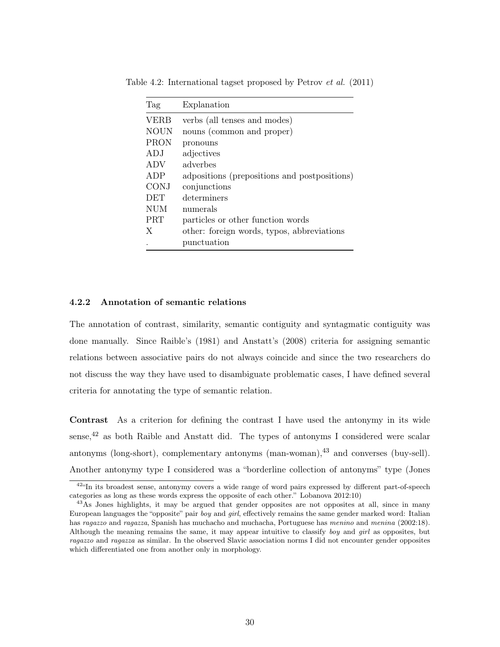| Tag         | Explanation                                  |
|-------------|----------------------------------------------|
| <b>VERB</b> | verbs (all tenses and modes)                 |
| <b>NOUN</b> | nouns (common and proper)                    |
| <b>PRON</b> | pronouns                                     |
| ADJ         | adjectives                                   |
| ADV         | adverbes                                     |
| ADP         | adpositions (prepositions and postpositions) |
| <b>CONJ</b> | conjunctions                                 |
| <b>DET</b>  | determiners                                  |
| <b>NUM</b>  | numerals                                     |
| <b>PRT</b>  | particles or other function words            |
| X           | other: foreign words, typos, abbreviations   |
|             | punctuation                                  |

Table 4.2: International tagset proposed by Petrov et al. (2011)

#### 4.2.2 Annotation of semantic relations

The annotation of contrast, similarity, semantic contiguity and syntagmatic contiguity was done manually. Since Raible's (1981) and Anstatt's (2008) criteria for assigning semantic relations between associative pairs do not always coincide and since the two researchers do not discuss the way they have used to disambiguate problematic cases, I have defined several criteria for annotating the type of semantic relation.

Contrast As a criterion for defining the contrast I have used the antonymy in its wide sense, $42$  as both Raible and Anstatt did. The types of antonyms I considered were scalar antonyms (long-short), complementary antonyms  $(\text{man-woman})$ ,  $^{43}$  and converses (buy-sell). Another antonymy type I considered was a "borderline collection of antonyms" type (Jones

<sup>&</sup>lt;sup>42"</sup>In its broadest sense, antonymy covers a wide range of word pairs expressed by different part-of-speech categories as long as these words express the opposite of each other." Lobanova 2012:10)

<sup>&</sup>lt;sup>43</sup>As Jones highlights, it may be argued that gender opposites are not opposites at all, since in many European languages the "opposite" pair boy and girl, effectively remains the same gender marked word: Italian has ragazzo and ragazza, Spanish has muchacho and muchacha, Portuguese has menino and menina (2002:18). Although the meaning remains the same, it may appear intuitive to classify boy and girl as opposites, but ragazzo and ragazza as similar. In the observed Slavic association norms I did not encounter gender opposites which differentiated one from another only in morphology.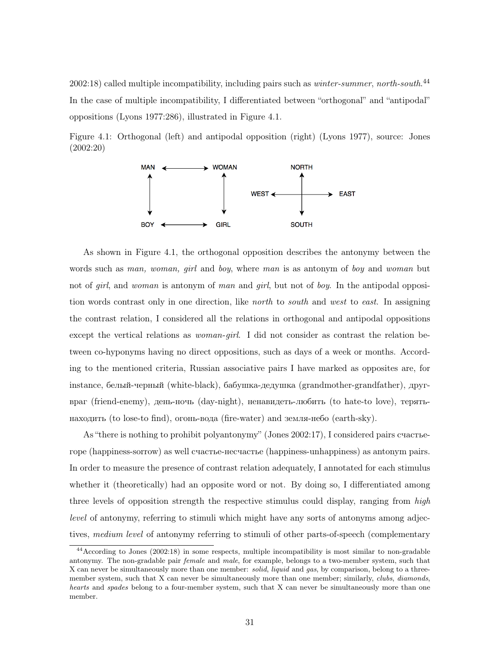$2002:18$ ) called multiple incompatibility, including pairs such as *winter-summer*, north-south.<sup>44</sup> In the case of multiple incompatibility, I differentiated between "orthogonal" and "antipodal" oppositions (Lyons 1977:286), illustrated in Figure 4.1.

Figure 4.1: Orthogonal (left) and antipodal opposition (right) (Lyons 1977), source: Jones (2002:20)



As shown in Figure 4.1, the orthogonal opposition describes the antonymy between the words such as man, woman, girl and boy, where man is as antonym of boy and woman but not of girl, and woman is antonym of man and girl, but not of boy. In the antipodal opposition words contrast only in one direction, like *north* to *south* and *west* to *east*. In assigning the contrast relation, I considered all the relations in orthogonal and antipodal oppositions except the vertical relations as woman-girl. I did not consider as contrast the relation between co-hyponyms having no direct oppositions, such as days of a week or months. According to the mentioned criteria, Russian associative pairs I have marked as opposites are, for instance, белый-черный (white-black), бабушка-дедушка (grandmother-grandfather), другвраг (friend-enemy), день-ночь (day-night), ненавидеть-любить (to hate-to love), терятьнаходить (to lose-to find), огонь-вода (fire-water) and земля-небо (earth-sky).

As "there is nothing to prohibit polyantonymy" (Jones 2002:17), I considered pairs cчастьегоре (happiness-sorrow) as well cчастье-несчастье (happiness-unhappiness) as antonym pairs. In order to measure the presence of contrast relation adequately, I annotated for each stimulus whether it (theoretically) had an opposite word or not. By doing so, I differentiated among three levels of opposition strength the respective stimulus could display, ranging from high level of antonymy, referring to stimuli which might have any sorts of antonyms among adjectives, medium level of antonymy referring to stimuli of other parts-of-speech (complementary

<sup>44</sup>According to Jones (2002:18) in some respects, multiple incompatibility is most similar to non-gradable antonymy. The non-gradable pair female and male, for example, belongs to a two-member system, such that X can never be simultaneously more than one member: *solid, liquid* and gas, by comparison, belong to a threemember system, such that X can never be simultaneously more than one member; similarly, clubs, diamonds, hearts and spades belong to a four-member system, such that X can never be simultaneously more than one member.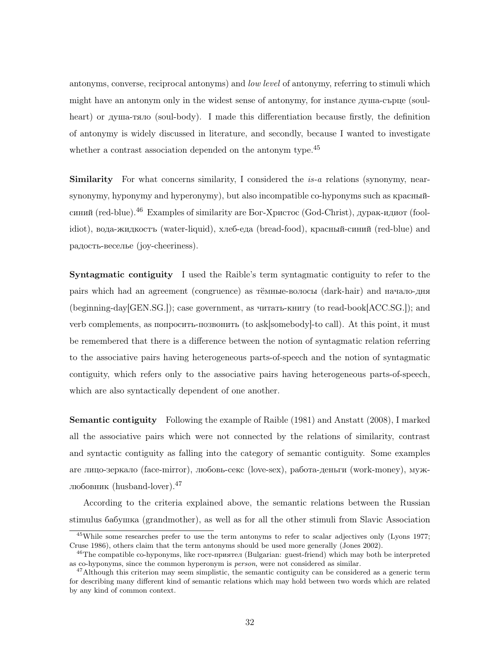antonyms, converse, reciprocal antonyms) and low level of antonymy, referring to stimuli which might have an antonym only in the widest sense of antonymy, for instance душа-сърце (soulheart) or душа-тяло (soul-body). I made this differentiation because firstly, the definition of antonymy is widely discussed in literature, and secondly, because I wanted to investigate whether a contrast association depended on the antonym type.<sup>45</sup>

Similarity For what concerns similarity, I considered the is-a relations (synonymy, nearsynonymy, hyponymy and hyperonymy), but also incompatible co-hyponyms such as красныйсиний (red-blue).<sup>46</sup> Examples of similarity are Бог-Христос (God-Christ), дурак-идиот (foolidiot), вода-жидкостъ (water-liquid), хлеб-еда (bread-food), красный-синий (red-blue) and радость-веселье (joy-cheeriness).

Syntagmatic contiguity I used the Raible's term syntagmatic contiguity to refer to the pairs which had an agreement (congruence) as тёмные-волосы (dark-hair) and начало-дня (beginning-day[GEN.SG.]); case government, as читать-книгу (to read-book[ACC.SG.]); and verb complements, as попросить-позвонить (to ask[somebody]-to call). At this point, it must be remembered that there is a difference between the notion of syntagmatic relation referring to the associative pairs having heterogeneous parts-of-speech and the notion of syntagmatic contiguity, which refers only to the associative pairs having heterogeneous parts-of-speech, which are also syntactically dependent of one another.

Semantic contiguity Following the example of Raible (1981) and Anstatt (2008), I marked all the associative pairs which were not connected by the relations of similarity, contrast and syntactic contiguity as falling into the category of semantic contiguity. Some examples are лицо-зеркало (face-mirror), любовь-секс (love-sex), работа-деньги (work-money), мужлюбовник (husband-lover).<sup>47</sup>

According to the criteria explained above, the semantic relations between the Russian stimulus бабушка (grandmother), as well as for all the other stimuli from Slavic Association

<sup>45</sup>While some researches prefer to use the term antonyms to refer to scalar adjectives only (Lyons 1977; Cruse 1986), others claim that the term antonyms should be used more generally (Jones 2002).

<sup>&</sup>lt;sup>46</sup>The compatible co-hyponyms, like гост-приятел (Bulgarian: guest-friend) which may both be interpreted as co-hyponyms, since the common hyperonym is person, were not considered as similar.

 $^{47}$ Although this criterion may seem simplistic, the semantic contiguity can be considered as a generic term for describing many different kind of semantic relations which may hold between two words which are related by any kind of common context.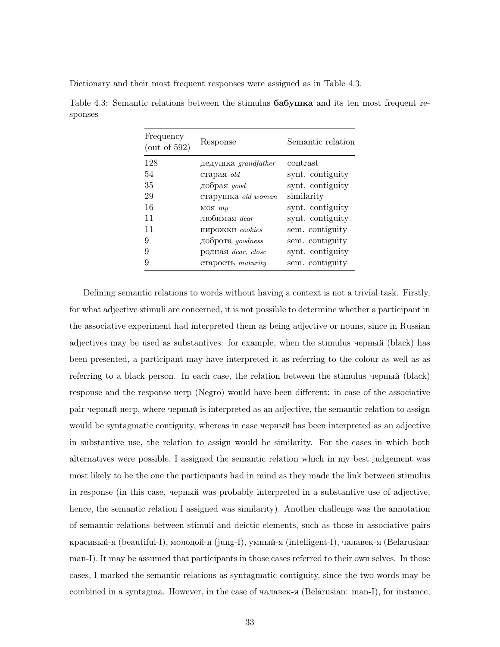Dictionary and their most frequent responses were assigned as in Table 4.3.

| Frequency<br>$($ out of 592 $)$ | Response                         | Semantic relation |
|---------------------------------|----------------------------------|-------------------|
| 128                             | $\mu$ дедушка <i>qrandfather</i> | contrast          |
| 54                              | старая $old$                     | synt. contiguity  |
| 35                              | добрая доод                      | synt. contiguity  |
| 29                              | старушка old woman               | similarity        |
| 16                              | $MOH$ $my$                       | synt. contiguity  |
| 11                              | любимая dear                     | synt. contiguity  |
| 11                              | пирожки cookies                  | sem. contiguity   |
| 9                               | доброта <i>goodness</i>          | sem. contiguity   |
| 9                               | родная dear, close               | synt. contiguity  |
| 9                               | старость maturity                | sem. contiguity   |
|                                 |                                  |                   |

Table 4.3: Semantic relations between the stimulus бабушка and its ten most frequent responses

Defining semantic relations to words without having a context is not a trivial task. Firstly, for what adjective stimuli are concerned, it is not possible to determine whether a participant in the associative experiment had interpreted them as being adjective or nouns, since in Russian adjectives may be used as substantives: for example, when the stimulus черный (black) has been presented, a participant may have interpreted it as referring to the colour as well as as referring to a black person. In each case, the relation between the stimulus черный (black) response and the response негр (Negro) would have been different: in case of the associative pair черный-негр, where черный is interpreted as an adjective, the semantic relation to assign would be syntagmatic contiguity, whereas in case черный has been interpreted as an adjective in substantive use, the relation to assign would be similarity. For the cases in which both alternatives were possible, I assigned the semantic relation which in my best judgement was most likely to be the one the participants had in mind as they made the link between stimulus in response (in this case, черный was probably interpreted in a substantive use of adjective, hence, the semantic relation I assigned was similarity). Another challenge was the annotation of semantic relations between stimuli and deictic elements, such as those in associative pairs красивый-я (beautiful-I), молодой-я (jung-I), умный-я (intelligent-I), чалавек-я (Belarusian: man-I). It may be assumed that participants in those cases referred to their own selves. In those cases, I marked the semantic relations as syntagmatic contiguity, since the two words may be combined in a syntagma. However, in the case of чалавек-я (Belarusian: man-I), for instance,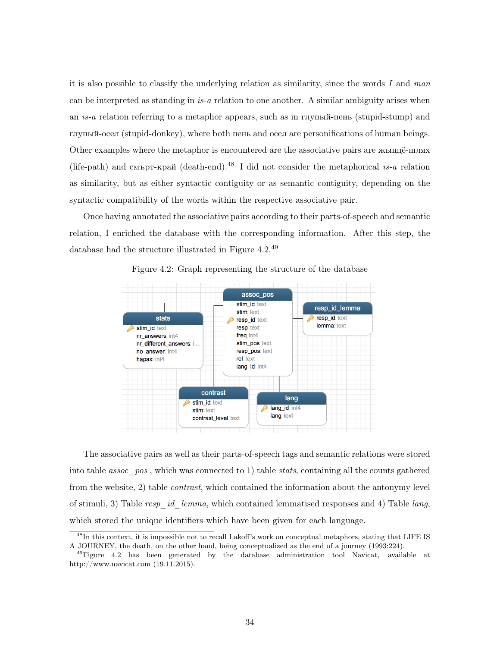it is also possible to classify the underlying relation as similarity, since the words I and man can be interpreted as standing in  $is-a$  relation to one another. A similar ambiguity arises when an is-a relation referring to a metaphor appears, such as in глупый-пень (stupid-stump) and глупый-осел (stupid-donkey), where both пень and осел are personifications of human beings. Other examples where the metaphor is encountered are the associative pairs are жыццё-шлях (life-path) and cмърт-край (death-end).<sup>48</sup> I did not consider the metaphorical is-a relation as similarity, but as either syntactic contiguity or as semantic contiguity, depending on the syntactic compatibility of the words within the respective associative pair.

Once having annotated the associative pairs according to their parts-of-speech and semantic relation, I enriched the database with the corresponding information. After this step, the database had the structure illustrated in Figure 4.2.<sup>49</sup>



Figure 4.2: Graph representing the structure of the database

The associative pairs as well as their parts-of-speech tags and semantic relations were stored into table *assoc*  $pos$ , which was connected to 1) table *stats*, containing all the counts gathered from the website, 2) table contrast, which contained the information about the antonymy level of stimuli, 3) Table resp id lemma, which contained lemmatised responses and 4) Table lang, which stored the unique identifiers which have been given for each language.

<sup>48</sup>In this context, it is impossible not to recall Lakoff's work on conceptual metaphors, stating that LIFE IS A JOURNEY, the death, on the other hand, being conceptualized as the end of a journey (1993:224).

 $^{49}$ Figure 4.2 has been generated by the database administration tool Navicat, available at http://www.navicat.com (19.11.2015).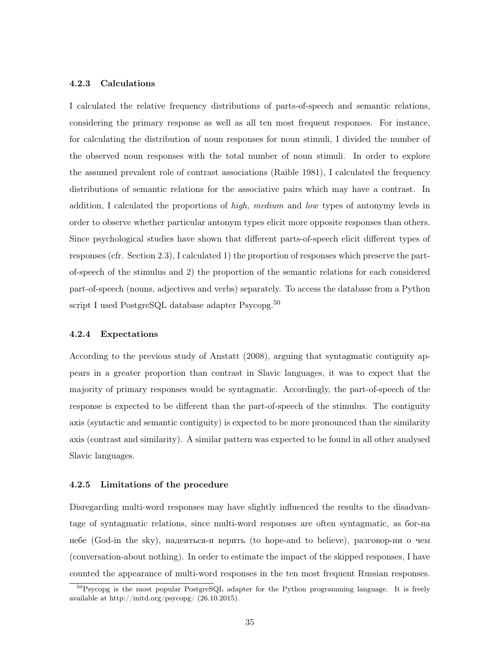### 4.2.3 Calculations

I calculated the relative frequency distributions of parts-of-speech and semantic relations, considering the primary response as well as all ten most frequent responses. For instance, for calculating the distribution of noun responses for noun stimuli, I divided the number of the observed noun responses with the total number of noun stimuli. In order to explore the assumed prevalent role of contrast associations (Raible 1981), I calculated the frequency distributions of semantic relations for the associative pairs which may have a contrast. In addition, I calculated the proportions of high, medium and low types of antonymy levels in order to observe whether particular antonym types elicit more opposite responses than others. Since psychological studies have shown that different parts-of-speech elicit different types of responses (cfr. Section 2.3), I calculated 1) the proportion of responses which preserve the partof-speech of the stimulus and 2) the proportion of the semantic relations for each considered part-of-speech (nouns, adjectives and verbs) separately. To access the database from a Python script I used PostgreSQL database adapter Psycopg.<sup>50</sup>

#### 4.2.4 Expectations

According to the previous study of Anstatt (2008), arguing that syntagmatic contiguity appears in a greater proportion than contrast in Slavic languages, it was to expect that the majority of primary responses would be syntagmatic. Accordingly, the part-of-speech of the response is expected to be different than the part-of-speech of the stimulus. The contiguity axis (syntactic and semantic contiguity) is expected to be more pronounced than the similarity axis (contrast and similarity). A similar pattern was expected to be found in all other analysed Slavic languages.

#### 4.2.5 Limitations of the procedure

Disregarding multi-word responses may have slightly influenced the results to the disadvantage of syntagmatic relations, since multi-word responses are often syntagmatic, as бог-на небе (God-in the sky), надеяться-и верить (to hope-and to believe), pазговор-ни о чем (conversation-about nothing). In order to estimate the impact of the skipped responses, I have counted the appearance of multi-word responses in the ten most frequent Russian responses.

<sup>50</sup>Psycopg is the most popular PostgreSQL adapter for the Python programming language. It is freely available at http://initd.org/psycopg/ (26.10.2015).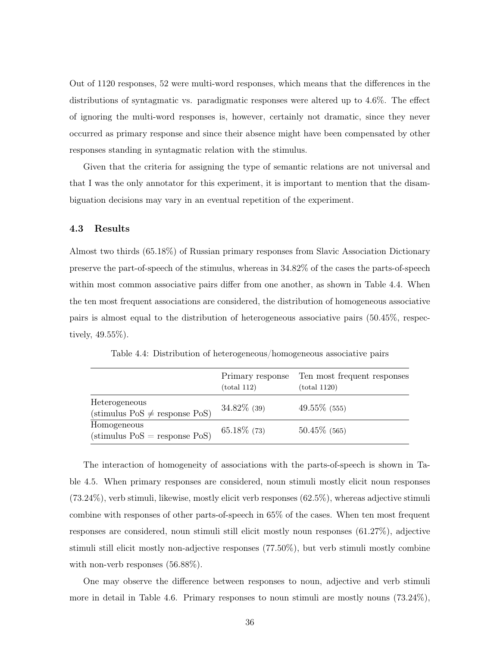Out of 1120 responses, 52 were multi-word responses, which means that the differences in the distributions of syntagmatic vs. paradigmatic responses were altered up to 4.6%. The effect of ignoring the multi-word responses is, however, certainly not dramatic, since they never occurred as primary response and since their absence might have been compensated by other responses standing in syntagmatic relation with the stimulus.

Given that the criteria for assigning the type of semantic relations are not universal and that I was the only annotator for this experiment, it is important to mention that the disambiguation decisions may vary in an eventual repetition of the experiment.

## 4.3 Results

Almost two thirds (65.18%) of Russian primary responses from Slavic Association Dictionary preserve the part-of-speech of the stimulus, whereas in 34.82% of the cases the parts-of-speech within most common associative pairs differ from one another, as shown in Table 4.4. When the ten most frequent associations are considered, the distribution of homogeneous associative pairs is almost equal to the distribution of heterogeneous associative pairs (50.45%, respectively, 49.55%).

|                                                                   | Primary response<br>(total 112) | Ten most frequent responses<br>(total 1120) |
|-------------------------------------------------------------------|---------------------------------|---------------------------------------------|
| Heterogeneous<br>$(\text{stimulus Pos} \neq \text{response Pos})$ | $34.82\%$ (39)                  | $49.55\%$ (555)                             |
| Homogeneous<br>$(stimulus PoS = response PoS)$                    | $65.18\%$ (73)                  | $50.45\%$ (565)                             |

Table 4.4: Distribution of heterogeneous/homogeneous associative pairs

The interaction of homogeneity of associations with the parts-of-speech is shown in Table 4.5. When primary responses are considered, noun stimuli mostly elicit noun responses (73.24%), verb stimuli, likewise, mostly elicit verb responses (62.5%), whereas adjective stimuli combine with responses of other parts-of-speech in 65% of the cases. When ten most frequent responses are considered, noun stimuli still elicit mostly noun responses (61.27%), adjective stimuli still elicit mostly non-adjective responses (77.50%), but verb stimuli mostly combine with non-verb responses  $(56.88\%).$ 

One may observe the difference between responses to noun, adjective and verb stimuli more in detail in Table 4.6. Primary responses to noun stimuli are mostly nouns (73.24%),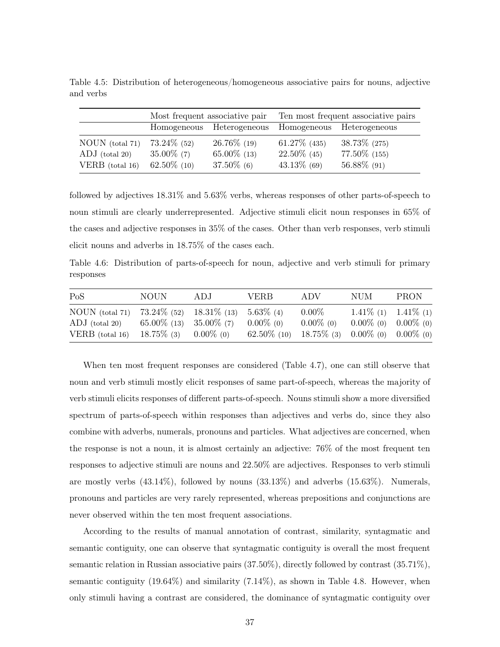|                                     | Most frequent associative pair  |                                  | Ten most frequent associative pairs |                                  |  |
|-------------------------------------|---------------------------------|----------------------------------|-------------------------------------|----------------------------------|--|
|                                     |                                 | Homogeneous Heterogeneous        |                                     | Homogeneous Heterogeneous        |  |
| NOUN (total 71)<br>$ADJ$ (total 20) | $73.24\%$ (52)<br>$35.00\%$ (7) | $26.76\%$ (19)<br>$65.00\%$ (13) | $61.27\%$ (435)<br>$22.50\%$ (45)   | $38.73\%$ (275)<br>77.50\% (155) |  |
| VERB $(total 16)$                   | $62.50\%$ (10)                  | $37.50\%$ (6)                    | $43.13\%$ (69)                      | 56.88% (91)                      |  |

Table 4.5: Distribution of heterogeneous/homogeneous associative pairs for nouns, adjective and verbs

followed by adjectives 18.31% and 5.63% verbs, whereas responses of other parts-of-speech to noun stimuli are clearly underrepresented. Adjective stimuli elicit noun responses in 65% of the cases and adjective responses in 35% of the cases. Other than verb responses, verb stimuli elicit nouns and adverbs in 18.75% of the cases each.

Table 4.6: Distribution of parts-of-speech for noun, adjective and verb stimuli for primary responses

| PoS                                                        | NOUN.                                                                                                  | ADJ. | <b>VERB</b>                    | ADV                                                                 | NUM                                                    | <b>PRON</b> |
|------------------------------------------------------------|--------------------------------------------------------------------------------------------------------|------|--------------------------------|---------------------------------------------------------------------|--------------------------------------------------------|-------------|
| $NOUN$ (total 71)<br>$ADJ$ (total 20)<br>VERB $(total 16)$ | $73.24\%$ (52) $18.31\%$ (13) $5.63\%$ (4)<br>$65.00\%$ (13) $35.00\%$ (7)<br>$18.75\%$ (3) 0.00\% (0) |      | $0.00\%$ (0)<br>$62.50\%$ (10) | $0.00\%$<br>$0.00\%$ (0)<br>$18.75\%$ (3) $0.00\%$ (0) $0.00\%$ (0) | $1.41\%$ (1) $1.41\%$ (1)<br>$0.00\%$ (0) $0.00\%$ (0) |             |

When ten most frequent responses are considered (Table 4.7), one can still observe that noun and verb stimuli mostly elicit responses of same part-of-speech, whereas the majority of verb stimuli elicits responses of different parts-of-speech. Nouns stimuli show a more diversified spectrum of parts-of-speech within responses than adjectives and verbs do, since they also combine with adverbs, numerals, pronouns and particles. What adjectives are concerned, when the response is not a noun, it is almost certainly an adjective: 76% of the most frequent ten responses to adjective stimuli are nouns and 22.50% are adjectives. Responses to verb stimuli are mostly verbs  $(43.14\%)$ , followed by nouns  $(33.13\%)$  and adverbs  $(15.63\%)$ . Numerals, pronouns and particles are very rarely represented, whereas prepositions and conjunctions are never observed within the ten most frequent associations.

According to the results of manual annotation of contrast, similarity, syntagmatic and semantic contiguity, one can observe that syntagmatic contiguity is overall the most frequent semantic relation in Russian associative pairs (37.50%), directly followed by contrast (35.71%), semantic contiguity (19.64%) and similarity (7.14%), as shown in Table 4.8. However, when only stimuli having a contrast are considered, the dominance of syntagmatic contiguity over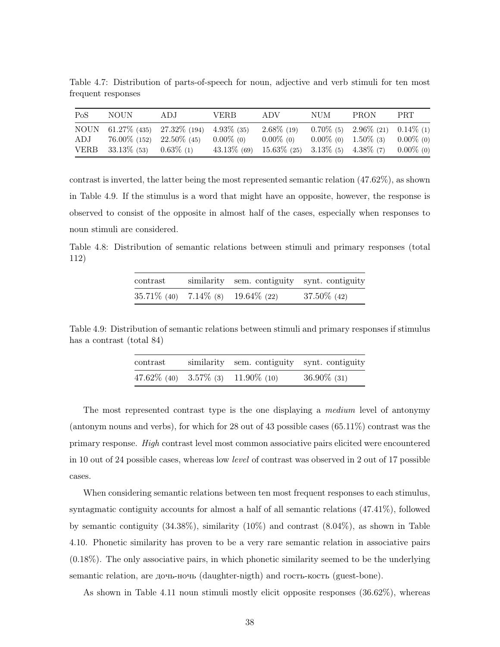Table 4.7: Distribution of parts-of-speech for noun, adjective and verb stimuli for ten most frequent responses

| PoS | NOUN                                                               | ADJ.                                         | <b>VERB</b>                    | ADV                                                                       | <b>NUM</b> | <b>PRON</b>                                                                       | PRT.         |
|-----|--------------------------------------------------------------------|----------------------------------------------|--------------------------------|---------------------------------------------------------------------------|------------|-----------------------------------------------------------------------------------|--------------|
| ADJ | $76.00\%$ (152) $22.50\%$ (45)<br>VERB $33.13\%$ (53) $0.63\%$ (1) | NOUN 61.27\% (435) 27.32\% (194) 4.93\% (35) | $0.00\%$ (0)<br>$43.13\%$ (69) | $2.68\%$ (19)<br>$0.00\%$ (0)<br>$15.63\%$ (25) $3.13\%$ (5) $4.38\%$ (7) |            | $0.70\%$ (5) $2.96\%$ (21) $0.14\%$ (1)<br>$0.00\%$ (0) $1.50\%$ (3) $0.00\%$ (0) | $0.00\%$ (0) |

contrast is inverted, the latter being the most represented semantic relation (47.62%), as shown in Table 4.9. If the stimulus is a word that might have an opposite, however, the response is observed to consist of the opposite in almost half of the cases, especially when responses to noun stimuli are considered.

Table 4.8: Distribution of semantic relations between stimuli and primary responses (total 112)

| contrast                                   | similarity sem. contiguity synt. contiguity |                |
|--------------------------------------------|---------------------------------------------|----------------|
| $35.71\%$ (40) $7.14\%$ (8) $19.64\%$ (22) |                                             | $37.50\%$ (42) |

Table 4.9: Distribution of semantic relations between stimuli and primary responses if stimulus has a contrast (total 84)

| contrast                             | similarity sem. contiguity synt. contiguity |                |
|--------------------------------------|---------------------------------------------|----------------|
| 47.62\% (40) 3.57\% (3) 11.90\% (10) |                                             | $36.90\%$ (31) |

The most represented contrast type is the one displaying a medium level of antonymy (antonym nouns and verbs), for which for 28 out of 43 possible cases (65.11%) contrast was the primary response. High contrast level most common associative pairs elicited were encountered in 10 out of 24 possible cases, whereas low level of contrast was observed in 2 out of 17 possible cases.

When considering semantic relations between ten most frequent responses to each stimulus, syntagmatic contiguity accounts for almost a half of all semantic relations (47.41%), followed by semantic contiguity  $(34.38\%)$ , similarity  $(10\%)$  and contrast  $(8.04\%)$ , as shown in Table 4.10. Phonetic similarity has proven to be a very rare semantic relation in associative pairs (0.18%). The only associative pairs, in which phonetic similarity seemed to be the underlying semantic relation, are дочь-ночь (daughter-nigth) and гость-кость (guest-bone).

As shown in Table 4.11 noun stimuli mostly elicit opposite responses (36.62%), whereas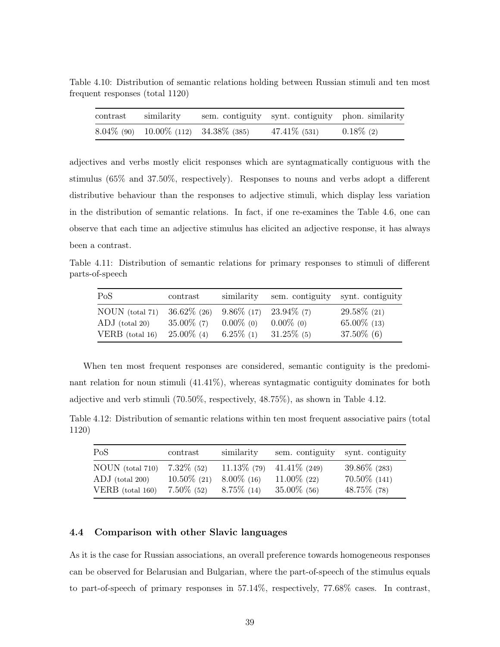Table 4.10: Distribution of semantic relations holding between Russian stimuli and ten most frequent responses (total 1120)

| contrast | similarity                                    | sem. contiguity synt. contiguity phon. similarity |              |
|----------|-----------------------------------------------|---------------------------------------------------|--------------|
|          | $8.04\%$ (90) $10.00\%$ (112) $34.38\%$ (385) | $47.41\%$ (531)                                   | $0.18\%$ (2) |

adjectives and verbs mostly elicit responses which are syntagmatically contiguous with the stimulus (65% and 37.50%, respectively). Responses to nouns and verbs adopt a different distributive behaviour than the responses to adjective stimuli, which display less variation in the distribution of semantic relations. In fact, if one re-examines the Table 4.6, one can observe that each time an adjective stimulus has elicited an adjective response, it has always been a contrast.

Table 4.11: Distribution of semantic relations for primary responses to stimuli of different parts-of-speech

| PoS                                                                            | contrast      | similarity   |               | sem. contiguity synt. contiguity |
|--------------------------------------------------------------------------------|---------------|--------------|---------------|----------------------------------|
| NOUN (total 71) $36.62\%$ (26) $9.86\%$ (17) $23.94\%$ (7)<br>$ADJ$ (total 20) | $35.00\%$ (7) | $0.00\%$ (0) | $0.00\%$ (0)  | $29.58\%$ (21)<br>$65.00\%$ (13) |
| VERB (total $16$ )                                                             | $25.00\%$ (4) | $6.25\%$ (1) | $31.25\%$ (5) | $37.50\%$ (6)                    |

When ten most frequent responses are considered, semantic contiguity is the predominant relation for noun stimuli (41.41%), whereas syntagmatic contiguity dominates for both adjective and verb stimuli (70.50%, respectively, 48.75%), as shown in Table 4.12.

Table 4.12: Distribution of semantic relations within ten most frequent associative pairs (total 1120)

| PoS                                                         | contrast                                         | similarity                     |                                                                    | sem. contiguity synt. contiguity                   |
|-------------------------------------------------------------|--------------------------------------------------|--------------------------------|--------------------------------------------------------------------|----------------------------------------------------|
| NOUN (total 710)<br>$ADJ$ (total 200)<br>VERB $(total 160)$ | $7.32\%$ (52)<br>$10.50\%$ (21)<br>$7.50\%$ (52) | $8.00\%$ (16)<br>$8.75\%$ (14) | $11.13\%$ (79) $41.41\%$ (249)<br>$11.00\%$ (22)<br>$35.00\%$ (56) | $39.86\%$ (283)<br>$70.50\%$ (141)<br>48.75\% (78) |

### 4.4 Comparison with other Slavic languages

As it is the case for Russian associations, an overall preference towards homogeneous responses can be observed for Belarusian and Bulgarian, where the part-of-speech of the stimulus equals to part-of-speech of primary responses in 57.14%, respectively, 77.68% cases. In contrast,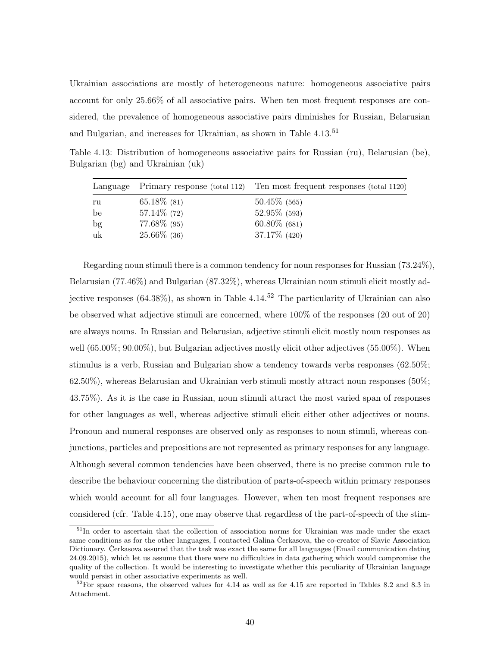Ukrainian associations are mostly of heterogeneous nature: homogeneous associative pairs account for only 25.66% of all associative pairs. When ten most frequent responses are considered, the prevalence of homogeneous associative pairs diminishes for Russian, Belarusian and Bulgarian, and increases for Ukrainian, as shown in Table 4.13.<sup>51</sup>

Table 4.13: Distribution of homogeneous associative pairs for Russian (ru), Belarusian (be), Bulgarian (bg) and Ukrainian (uk)

|    | Language Primary response (total 112) | Ten most frequent responses (total 1120) |
|----|---------------------------------------|------------------------------------------|
| ru | $65.18\%$ (81)                        | $50.45\%$ (565)                          |
| be | $57.14\%$ (72)                        | $52.95\%$ (593)                          |
| bg | $77.68\%$ (95)                        | $60.80\%$ (681)                          |
| uk | $25.66\%$ (36)                        | $37.17\%$ (420)                          |

Regarding noun stimuli there is a common tendency for noun responses for Russian (73.24%), Belarusian (77.46%) and Bulgarian (87.32%), whereas Ukrainian noun stimuli elicit mostly adjective responses  $(64.38\%)$ , as shown in Table  $4.14<sup>52</sup>$  The particularity of Ukrainian can also be observed what adjective stimuli are concerned, where 100% of the responses (20 out of 20) are always nouns. In Russian and Belarusian, adjective stimuli elicit mostly noun responses as well (65.00%; 90.00%), but Bulgarian adjectives mostly elicit other adjectives (55.00%). When stimulus is a verb, Russian and Bulgarian show a tendency towards verbs responses (62.50%; 62.50%), whereas Belarusian and Ukrainian verb stimuli mostly attract noun responses (50%; 43.75%). As it is the case in Russian, noun stimuli attract the most varied span of responses for other languages as well, whereas adjective stimuli elicit either other adjectives or nouns. Pronoun and numeral responses are observed only as responses to noun stimuli, whereas conjunctions, particles and prepositions are not represented as primary responses for any language. Although several common tendencies have been observed, there is no precise common rule to describe the behaviour concerning the distribution of parts-of-speech within primary responses which would account for all four languages. However, when ten most frequent responses are considered (cfr. Table 4.15), one may observe that regardless of the part-of-speech of the stim-

<sup>51</sup>In order to ascertain that the collection of association norms for Ukrainian was made under the exact same conditions as for the other languages, I contacted Galina Čerkasova, the co-creator of Slavic Association Dictionary. Čerkasova assured that the task was exact the same for all languages (Email communication dating 24.09.2015), which let us assume that there were no difficulties in data gathering which would compromise the quality of the collection. It would be interesting to investigate whether this peculiarity of Ukrainian language would persist in other associative experiments as well.

 $52$ For space reasons, the observed values for 4.14 as well as for 4.15 are reported in Tables 8.2 and 8.3 in Attachment.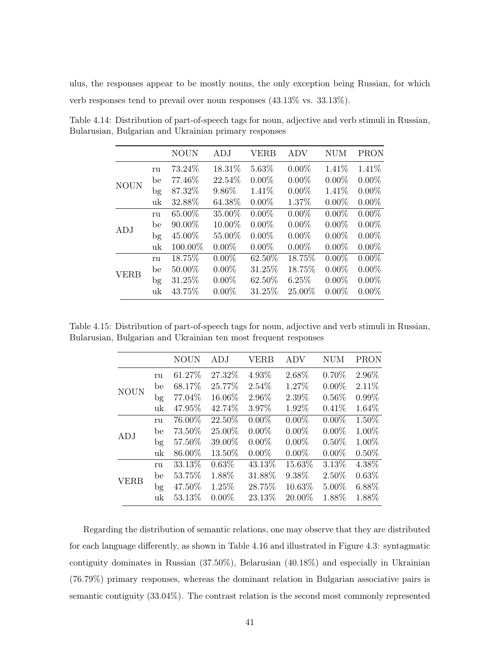ulus, the responses appear to be mostly nouns, the only exception being Russian, for which verb responses tend to prevail over noun responses (43.13% vs. 33.13%).

|             |    | <b>NOUN</b> | ADJ      | VERB     | ADV      | NUM      | <b>PRON</b> |
|-------------|----|-------------|----------|----------|----------|----------|-------------|
|             | ru | 73.24%      | 18.31\%  | 5.63%    | $0.00\%$ | 1.41\%   | 1.41%       |
| <b>NOUN</b> | be | 77.46%      | 22.54%   | $0.00\%$ | $0.00\%$ | $0.00\%$ | $0.00\%$    |
|             | bg | 87.32%      | 9.86%    | 1.41%    | $0.00\%$ | 1.41%    | $0.00\%$    |
|             | uk | 32.88%      | 64.38%   | $0.00\%$ | 1.37%    | $0.00\%$ | $0.00\%$    |
|             | ru | 65.00%      | 35.00%   | $0.00\%$ | $0.00\%$ | $0.00\%$ | $0.00\%$    |
| ADJ         | be | $90.00\%$   | 10.00%   | $0.00\%$ | $0.00\%$ | $0.00\%$ | $0.00\%$    |
|             | bg | 45.00%      | 55.00%   | $0.00\%$ | $0.00\%$ | $0.00\%$ | $0.00\%$    |
|             | uk | 100.00%     | $0.00\%$ | $0.00\%$ | $0.00\%$ | $0.00\%$ | $0.00\%$    |
| <b>VERB</b> | ru | 18.75%      | $0.00\%$ | 62.50%   | 18.75%   | $0.00\%$ | $0.00\%$    |
|             | be | 50.00%      | $0.00\%$ | 31.25%   | 18.75%   | $0.00\%$ | $0.00\%$    |
|             | bg | 31.25%      | $0.00\%$ | 62.50%   | 6.25%    | $0.00\%$ | $0.00\%$    |
|             | uk | 43.75%      | $0.00\%$ | 31.25%   | 25.00%   | $0.00\%$ | $0.00\%$    |

Table 4.14: Distribution of part-of-speech tags for noun, adjective and verb stimuli in Russian, Bularusian, Bulgarian and Ukrainian primary responses

Table 4.15: Distribution of part-of-speech tags for noun, adjective and verb stimuli in Russian, Bularusian, Bulgarian and Ukrainian ten most frequent responses

|             |        | NOUN    | ADJ      | VERB     | ADV      | NUM      | <b>PRON</b> |
|-------------|--------|---------|----------|----------|----------|----------|-------------|
|             | ru     | 61.27\% | 27.32\%  | 4.93%    | 2.68%    | $0.70\%$ | 2.96%       |
| <b>NOUN</b> | be     | 68.17\% | 25.77%   | 2.54%    | 1.27%    | $0.00\%$ | 2.11\%      |
|             | bg     | 77.04%  | 16.06%   | 2.96%    | 2.39%    | $0.56\%$ | $0.99\%$    |
|             | uk     | 47.95\% | 42.74%   | 3.97%    | 1.92%    | 0.41%    | 1.64\%      |
|             | ru     | 76.00%  | 22.50%   | $0.00\%$ | $0.00\%$ | $0.00\%$ | 1.50%       |
| ADJ         | be     | 73.50%  | 25.00%   | $0.00\%$ | $0.00\%$ | $0.00\%$ | 1.00%       |
|             | $\log$ | 57.50%  | 39.00%   | $0.00\%$ | $0.00\%$ | $0.50\%$ | 1.00%       |
|             | uk     | 86.00%  | 13.50%   | $0.00\%$ | $0.00\%$ | $0.00\%$ | $0.50\%$    |
|             | ru     | 33.13%  | 0.63%    | 43.13%   | 15.63%   | 3.13\%   | 4.38%       |
| <b>VERB</b> | be     | 53.75%  | 1.88%    | 31.88%   | 9.38%    | 2.50%    | 0.63%       |
|             | $\log$ | 47.50%  | 1.25%    | 28.75%   | 10.63%   | 5.00%    | 6.88%       |
|             | uk     | 53.13\% | $0.00\%$ | 23.13%   | 20.00%   | 1.88%    | 1.88%       |

Regarding the distribution of semantic relations, one may observe that they are distributed for each language differently, as shown in Table 4.16 and illustrated in Figure 4.3: syntagmatic contiguity dominates in Russian (37.50%), Belarusian (40.18%) and especially in Ukrainian (76.79%) primary responses, whereas the dominant relation in Bulgarian associative pairs is semantic contiguity (33.04%). The contrast relation is the second most commonly represented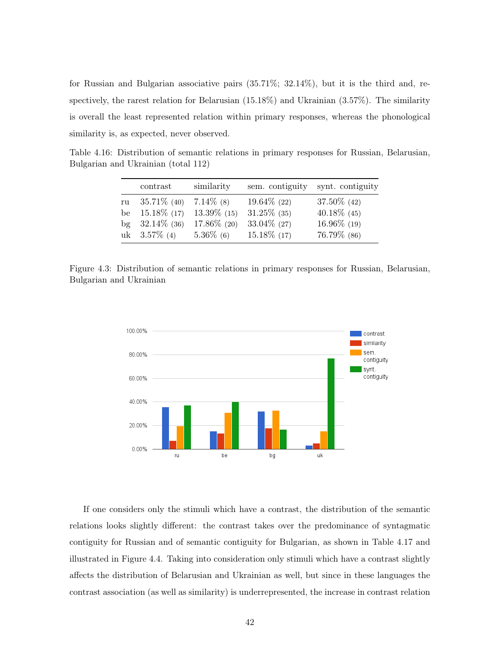for Russian and Bulgarian associative pairs (35.71%; 32.14%), but it is the third and, respectively, the rarest relation for Belarusian (15.18%) and Ukrainian (3.57%). The similarity is overall the least represented relation within primary responses, whereas the phonological similarity is, as expected, never observed.

Table 4.16: Distribution of semantic relations in primary responses for Russian, Belarusian, Bulgarian and Ukrainian (total 112)

|        | contrast        | similarity     | sem. contiguity | synt. contiguity |
|--------|-----------------|----------------|-----------------|------------------|
| ru     | $35.71\%$ (40)  | $7.14\%$ (8)   | $19.64\%$ (22)  | $37.50\%$ (42)   |
| be     | $15.18\%$ (17)  | $13.39\%$ (15) | $31.25\%$ (35)  | $40.18\%$ (45)   |
| $\log$ | $32.14\%$ (36)  | $17.86\%$ (20) | $33.04\%$ (27)  | $16.96\%$ (19)   |
|        | uk $3.57\%$ (4) | $5.36\%$ (6)   | $15.18\%$ (17)  | 76.79% (86)      |

Figure 4.3: Distribution of semantic relations in primary responses for Russian, Belarusian, Bulgarian and Ukrainian



If one considers only the stimuli which have a contrast, the distribution of the semantic relations looks slightly different: the contrast takes over the predominance of syntagmatic contiguity for Russian and of semantic contiguity for Bulgarian, as shown in Table 4.17 and illustrated in Figure 4.4. Taking into consideration only stimuli which have a contrast slightly affects the distribution of Belarusian and Ukrainian as well, but since in these languages the contrast association (as well as similarity) is underrepresented, the increase in contrast relation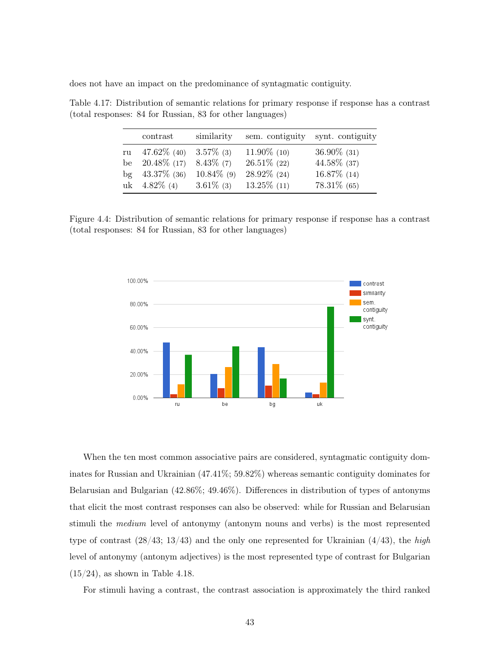does not have an impact on the predominance of syntagmatic contiguity.

|        | contrast                | similarity    | sem. contiguity | synt. contiguity |
|--------|-------------------------|---------------|-----------------|------------------|
| ru     | 47.62\% (40) 3.57\% (3) |               | $11.90\%$ (10)  | $36.90\%$ (31)   |
| be     | $20.48\%$ (17)          | $8.43\%$ (7)  | $26.51\%$ (22)  | 44.58% (37)      |
| $\log$ | $43.37\%$ (36)          | $10.84\%$ (9) | $28.92\%$ (24)  | $16.87\%$ (14)   |
|        | uk $4.82\%$ (4)         | $3.61\%$ (3)  | $13.25\%$ (11)  | $78.31\%$ (65)   |

Table 4.17: Distribution of semantic relations for primary response if response has a contrast (total responses: 84 for Russian, 83 for other languages)

Figure 4.4: Distribution of semantic relations for primary response if response has a contrast (total responses: 84 for Russian, 83 for other languages)



When the ten most common associative pairs are considered, syntagmatic contiguity dominates for Russian and Ukrainian (47.41%; 59.82%) whereas semantic contiguity dominates for Belarusian and Bulgarian (42.86%; 49.46%). Differences in distribution of types of antonyms that elicit the most contrast responses can also be observed: while for Russian and Belarusian stimuli the medium level of antonymy (antonym nouns and verbs) is the most represented type of contrast  $(28/43; 13/43)$  and the only one represented for Ukrainian  $(4/43)$ , the high level of antonymy (antonym adjectives) is the most represented type of contrast for Bulgarian  $(15/24)$ , as shown in Table 4.18.

For stimuli having a contrast, the contrast association is approximately the third ranked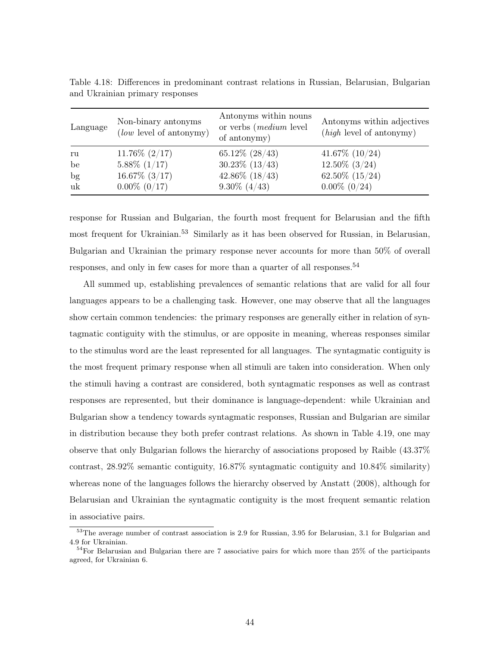| Language | Non-binary antonyms<br>(low level of antonymy) | Antonyms within nouns<br>or verbs ( <i>medium</i> level<br>of antonymy) | Antonyms within adjectives<br>$(high \text{ level of antonymy})$ |
|----------|------------------------------------------------|-------------------------------------------------------------------------|------------------------------------------------------------------|
| ru       | $11.76\%$ $(2/17)$                             | $65.12\%$ $(28/43)$                                                     | $41.67\%$ $(10/24)$                                              |
| be       | $5.88\%$ (1/17)                                | $30.23\%$ $(13/43)$                                                     | $12.50\%$ $(3/24)$                                               |
| bg       | $16.67\%$ (3/17)                               | $42.86\%$ (18/43)                                                       | $62.50\%$ $(15/24)$                                              |
| uk       | $0.00\%$ $(0/17)$                              | $9.30\%~(4/43)$                                                         | $0.00\%$ $(0/24)$                                                |

Table 4.18: Differences in predominant contrast relations in Russian, Belarusian, Bulgarian and Ukrainian primary responses

response for Russian and Bulgarian, the fourth most frequent for Belarusian and the fifth most frequent for Ukrainian.<sup>53</sup> Similarly as it has been observed for Russian, in Belarusian, Bulgarian and Ukrainian the primary response never accounts for more than 50% of overall responses, and only in few cases for more than a quarter of all responses.<sup>54</sup>

All summed up, establishing prevalences of semantic relations that are valid for all four languages appears to be a challenging task. However, one may observe that all the languages show certain common tendencies: the primary responses are generally either in relation of syntagmatic contiguity with the stimulus, or are opposite in meaning, whereas responses similar to the stimulus word are the least represented for all languages. The syntagmatic contiguity is the most frequent primary response when all stimuli are taken into consideration. When only the stimuli having a contrast are considered, both syntagmatic responses as well as contrast responses are represented, but their dominance is language-dependent: while Ukrainian and Bulgarian show a tendency towards syntagmatic responses, Russian and Bulgarian are similar in distribution because they both prefer contrast relations. As shown in Table 4.19, one may observe that only Bulgarian follows the hierarchy of associations proposed by Raible (43.37% contrast, 28.92% semantic contiguity, 16.87% syntagmatic contiguity and 10.84% similarity) whereas none of the languages follows the hierarchy observed by Anstatt (2008), although for Belarusian and Ukrainian the syntagmatic contiguity is the most frequent semantic relation in associative pairs.

<sup>53</sup>The average number of contrast association is 2.9 for Russian, 3.95 for Belarusian, 3.1 for Bulgarian and 4.9 for Ukrainian.

 $54$ For Belarusian and Bulgarian there are 7 associative pairs for which more than 25% of the participants agreed, for Ukrainian 6.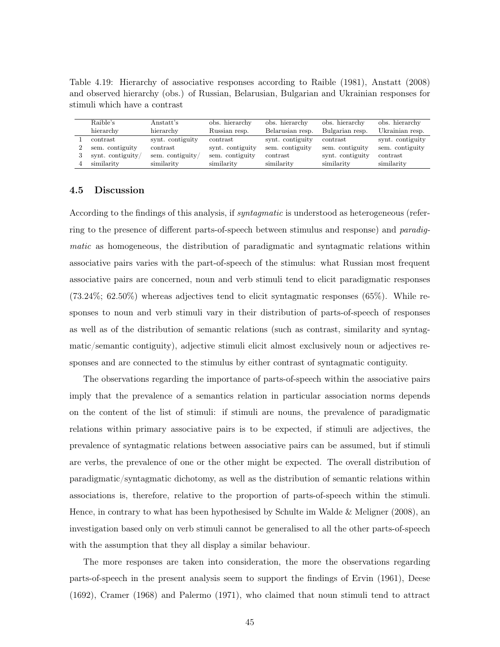Table 4.19: Hierarchy of associative responses according to Raible (1981), Anstatt (2008) and observed hierarchy (obs.) of Russian, Belarusian, Bulgarian and Ukrainian responses for stimuli which have a contrast

| Raible's          | Anstatt's        | obs. hierarchy   | obs. hierarchy   | obs. hierarchy   | obs. hierarchy   |
|-------------------|------------------|------------------|------------------|------------------|------------------|
| hierarchy         | hierarchy        | Russian resp.    | Belarusian resp. | Bulgarian resp.  | Ukrainian resp.  |
| contrast          | synt. contiguity | contrast         | synt. contiguity | contrast         | synt. contiguity |
| sem. contiguity   | contrast         | synt. contiguity | sem. contiguity  | sem. contiguity  | sem. contiguity  |
| synt. contiguity/ | sem. contiguity/ | sem. contiguity  | contrast         | synt. contiguity | contrast         |
| similarity        | similarity       | similarity       | similarity       | similarity       | similarity       |

## 4.5 Discussion

According to the findings of this analysis, if *syntagmatic* is understood as heterogeneous (referring to the presence of different parts-of-speech between stimulus and response) and paradigmatic as homogeneous, the distribution of paradigmatic and syntagmatic relations within associative pairs varies with the part-of-speech of the stimulus: what Russian most frequent associative pairs are concerned, noun and verb stimuli tend to elicit paradigmatic responses (73.24%; 62.50%) whereas adjectives tend to elicit syntagmatic responses (65%). While responses to noun and verb stimuli vary in their distribution of parts-of-speech of responses as well as of the distribution of semantic relations (such as contrast, similarity and syntagmatic/semantic contiguity), adjective stimuli elicit almost exclusively noun or adjectives responses and are connected to the stimulus by either contrast of syntagmatic contiguity.

The observations regarding the importance of parts-of-speech within the associative pairs imply that the prevalence of a semantics relation in particular association norms depends on the content of the list of stimuli: if stimuli are nouns, the prevalence of paradigmatic relations within primary associative pairs is to be expected, if stimuli are adjectives, the prevalence of syntagmatic relations between associative pairs can be assumed, but if stimuli are verbs, the prevalence of one or the other might be expected. The overall distribution of paradigmatic/syntagmatic dichotomy, as well as the distribution of semantic relations within associations is, therefore, relative to the proportion of parts-of-speech within the stimuli. Hence, in contrary to what has been hypothesised by Schulte im Walde & Meligner (2008), an investigation based only on verb stimuli cannot be generalised to all the other parts-of-speech with the assumption that they all display a similar behaviour.

The more responses are taken into consideration, the more the observations regarding parts-of-speech in the present analysis seem to support the findings of Ervin (1961), Deese (1692), Cramer (1968) and Palermo (1971), who claimed that noun stimuli tend to attract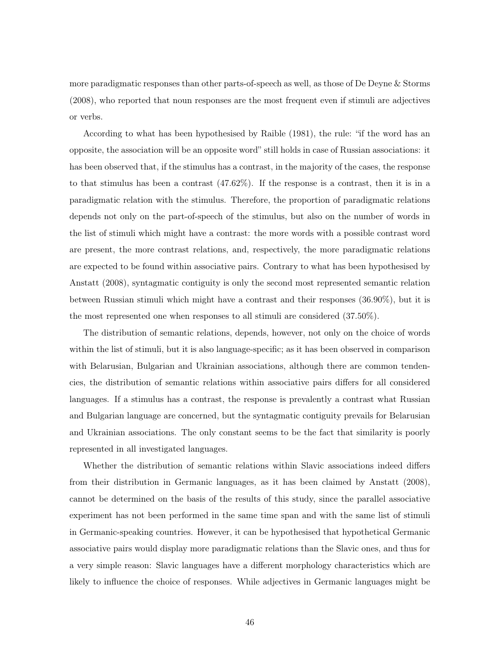more paradigmatic responses than other parts-of-speech as well, as those of De Deyne & Storms (2008), who reported that noun responses are the most frequent even if stimuli are adjectives or verbs.

According to what has been hypothesised by Raible (1981), the rule: "if the word has an opposite, the association will be an opposite word" still holds in case of Russian associations: it has been observed that, if the stimulus has a contrast, in the majority of the cases, the response to that stimulus has been a contrast (47.62%). If the response is a contrast, then it is in a paradigmatic relation with the stimulus. Therefore, the proportion of paradigmatic relations depends not only on the part-of-speech of the stimulus, but also on the number of words in the list of stimuli which might have a contrast: the more words with a possible contrast word are present, the more contrast relations, and, respectively, the more paradigmatic relations are expected to be found within associative pairs. Contrary to what has been hypothesised by Anstatt (2008), syntagmatic contiguity is only the second most represented semantic relation between Russian stimuli which might have a contrast and their responses (36.90%), but it is the most represented one when responses to all stimuli are considered (37.50%).

The distribution of semantic relations, depends, however, not only on the choice of words within the list of stimuli, but it is also language-specific; as it has been observed in comparison with Belarusian, Bulgarian and Ukrainian associations, although there are common tendencies, the distribution of semantic relations within associative pairs differs for all considered languages. If a stimulus has a contrast, the response is prevalently a contrast what Russian and Bulgarian language are concerned, but the syntagmatic contiguity prevails for Belarusian and Ukrainian associations. The only constant seems to be the fact that similarity is poorly represented in all investigated languages.

Whether the distribution of semantic relations within Slavic associations indeed differs from their distribution in Germanic languages, as it has been claimed by Anstatt (2008), cannot be determined on the basis of the results of this study, since the parallel associative experiment has not been performed in the same time span and with the same list of stimuli in Germanic-speaking countries. However, it can be hypothesised that hypothetical Germanic associative pairs would display more paradigmatic relations than the Slavic ones, and thus for a very simple reason: Slavic languages have a different morphology characteristics which are likely to influence the choice of responses. While adjectives in Germanic languages might be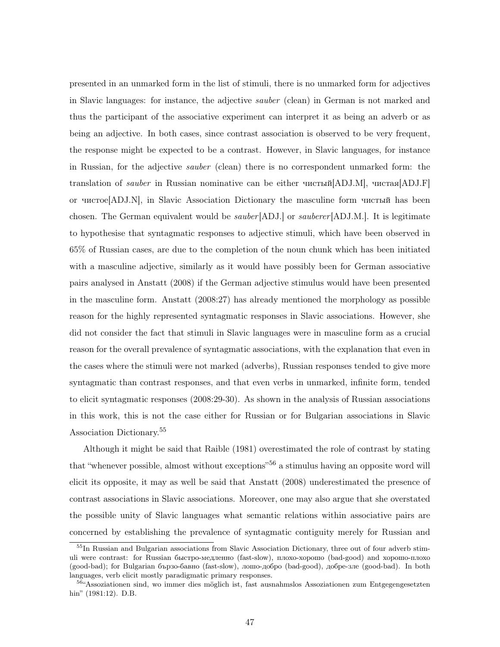presented in an unmarked form in the list of stimuli, there is no unmarked form for adjectives in Slavic languages: for instance, the adjective sauber (clean) in German is not marked and thus the participant of the associative experiment can interpret it as being an adverb or as being an adjective. In both cases, since contrast association is observed to be very frequent, the response might be expected to be a contrast. However, in Slavic languages, for instance in Russian, for the adjective sauber (clean) there is no correspondent unmarked form: the translation of sauber in Russian nominative can be either чистый[ADJ.M], чистая[ADJ.F] or чистое[ADJ.N], in Slavic Association Dictionary the masculine form чистый has been chosen. The German equivalent would be *sauber* [ADJ.] or *sauberer* [ADJ.M.]. It is legitimate to hypothesise that syntagmatic responses to adjective stimuli, which have been observed in 65% of Russian cases, are due to the completion of the noun chunk which has been initiated with a masculine adjective, similarly as it would have possibly been for German associative pairs analysed in Anstatt (2008) if the German adjective stimulus would have been presented in the masculine form. Anstatt (2008:27) has already mentioned the morphology as possible reason for the highly represented syntagmatic responses in Slavic associations. However, she did not consider the fact that stimuli in Slavic languages were in masculine form as a crucial reason for the overall prevalence of syntagmatic associations, with the explanation that even in the cases where the stimuli were not marked (adverbs), Russian responses tended to give more syntagmatic than contrast responses, and that even verbs in unmarked, infinite form, tended to elicit syntagmatic responses (2008:29-30). As shown in the analysis of Russian associations in this work, this is not the case either for Russian or for Bulgarian associations in Slavic Association Dictionary.<sup>55</sup>

Although it might be said that Raible (1981) overestimated the role of contrast by stating that "whenever possible, almost without exceptions"<sup>56</sup> a stimulus having an opposite word will elicit its opposite, it may as well be said that Anstatt (2008) underestimated the presence of contrast associations in Slavic associations. Moreover, one may also argue that she overstated the possible unity of Slavic languages what semantic relations within associative pairs are concerned by establishing the prevalence of syntagmatic contiguity merely for Russian and

<sup>&</sup>lt;sup>55</sup>In Russian and Bulgarian associations from Slavic Association Dictionary, three out of four adverb stimuli were contrast: for Russian быстро-медленно (fast-slow), плохо-хорошо (bad-good) and хорошо-плохо (good-bad); for Bulgarian бързо-бавно (fast-slow), лошо-добро (bad-good), добре-зле (good-bad). In both languages, verb elicit mostly paradigmatic primary responses.

 $56$ "Assoziationen sind, wo immer dies möglich ist, fast ausnahmslos Assoziationen zum Entgegengesetzten hin" (1981:12). D.B.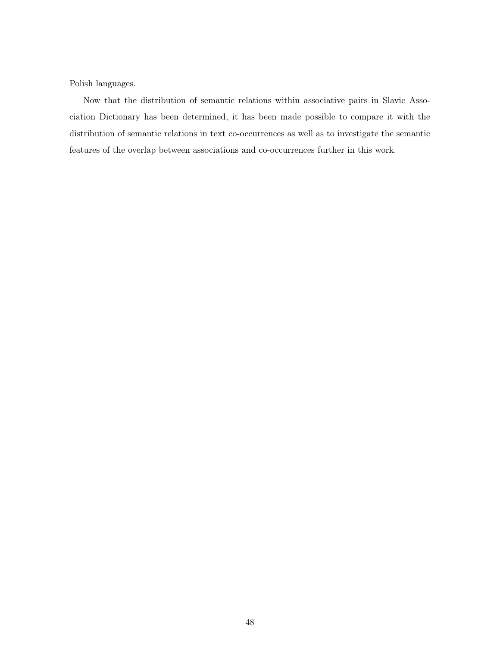Polish languages.

Now that the distribution of semantic relations within associative pairs in Slavic Association Dictionary has been determined, it has been made possible to compare it with the distribution of semantic relations in text co-occurrences as well as to investigate the semantic features of the overlap between associations and co-occurrences further in this work.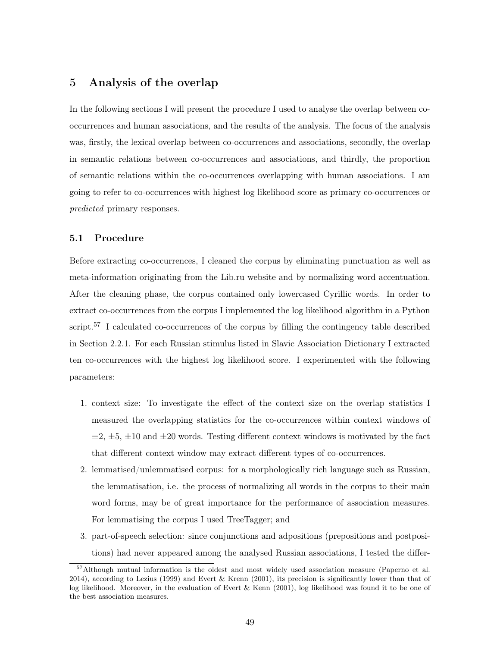# 5 Analysis of the overlap

In the following sections I will present the procedure I used to analyse the overlap between cooccurrences and human associations, and the results of the analysis. The focus of the analysis was, firstly, the lexical overlap between co-occurrences and associations, secondly, the overlap in semantic relations between co-occurrences and associations, and thirdly, the proportion of semantic relations within the co-occurrences overlapping with human associations. I am going to refer to co-occurrences with highest log likelihood score as primary co-occurrences or predicted primary responses.

## 5.1 Procedure

Before extracting co-occurrences, I cleaned the corpus by eliminating punctuation as well as meta-information originating from the Lib.ru website and by normalizing word accentuation. After the cleaning phase, the corpus contained only lowercased Cyrillic words. In order to extract co-occurrences from the corpus I implemented the log likelihood algorithm in a Python script.<sup>57</sup> I calculated co-occurrences of the corpus by filling the contingency table described in Section 2.2.1. For each Russian stimulus listed in Slavic Association Dictionary I extracted ten co-occurrences with the highest log likelihood score. I experimented with the following parameters:

- 1. context size: To investigate the effect of the context size on the overlap statistics I measured the overlapping statistics for the co-occurrences within context windows of  $\pm 2$ ,  $\pm 5$ ,  $\pm 10$  and  $\pm 20$  words. Testing different context windows is motivated by the fact that different context window may extract different types of co-occurrences.
- 2. lemmatised/unlemmatised corpus: for a morphologically rich language such as Russian, the lemmatisation, i.e. the process of normalizing all words in the corpus to their main word forms, may be of great importance for the performance of association measures. For lemmatising the corpus I used TreeTagger; and
- 3. part-of-speech selection: since conjunctions and adpositions (prepositions and postpositions) had never appeared among the analysed Russian associations, I tested the differ-

<sup>&</sup>lt;sup>57</sup>Although mutual information is the oldest and most widely used association measure (Paperno et al. 2014), according to Lezius (1999) and Evert & Krenn (2001), its precision is significantly lower than that of log likelihood. Moreover, in the evaluation of Evert & Kenn (2001), log likelihood was found it to be one of the best association measures.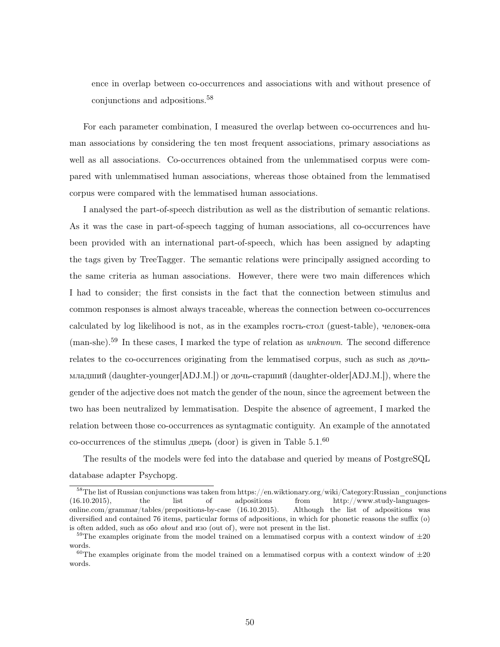ence in overlap between co-occurrences and associations with and without presence of conjunctions and adpositions.<sup>58</sup>

For each parameter combination, I measured the overlap between co-occurrences and human associations by considering the ten most frequent associations, primary associations as well as all associations. Co-occurrences obtained from the unlemmatised corpus were compared with unlemmatised human associations, whereas those obtained from the lemmatised corpus were compared with the lemmatised human associations.

I analysed the part-of-speech distribution as well as the distribution of semantic relations. As it was the case in part-of-speech tagging of human associations, all co-occurrences have been provided with an international part-of-speech, which has been assigned by adapting the tags given by TreeTagger. The semantic relations were principally assigned according to the same criteria as human associations. However, there were two main differences which I had to consider; the first consists in the fact that the connection between stimulus and common responses is almost always traceable, whereas the connection between co-occurrences calculated by log likelihood is not, as in the examples гость-стол (guest-table), человек-она (man-she).<sup>59</sup> In these cases, I marked the type of relation as unknown. The second difference relates to the co-occurrences originating from the lemmatised corpus, such as such as дочьмладший (daughter-younger[ADJ.M.]) or дочь-старший (daughter-older[ADJ.M.]), where the gender of the adjective does not match the gender of the noun, since the agreement between the two has been neutralized by lemmatisation. Despite the absence of agreement, I marked the relation between those co-occurrences as syntagmatic contiguity. An example of the annotated co-occurrences of the stimulus дверь (door) is given in Table  $5.1<sup>60</sup>$ 

The results of the models were fed into the database and queried by means of PostgreSQL database adapter Psychopg.

<sup>58</sup>The list of Russian conjunctions was taken from https://en.wiktionary.org/wiki/Category:Russian\_conjunctions (16.10.2015), the list of adpositions from http://www.study-languagesonline.com/grammar/tables/prepositions-by-case (16.10.2015). Although the list of adpositions was diversified and contained 76 items, particular forms of adpositions, in which for phonetic reasons the suffix (o) is often added, such as обо about and изо (out of), were not present in the list.

<sup>&</sup>lt;sup>59</sup>The examples originate from the model trained on a lemmatised corpus with a context window of  $\pm 20$ words.

<sup>&</sup>lt;sup>60</sup>The examples originate from the model trained on a lemmatised corpus with a context window of  $\pm 20$ words.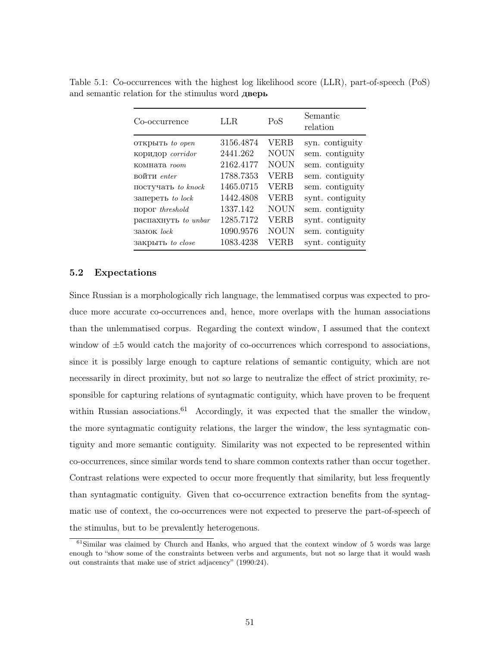| Co-occurrence       | LLR.      | PoS         | Semantic<br>relation |
|---------------------|-----------|-------------|----------------------|
| ОТКРЫТЬ to open     | 3156.4874 | <b>VERB</b> | syn. contiguity      |
| коридор corridor    | 2441.262  | <b>NOUN</b> | sem. contiguity      |
| комната <i>room</i> | 2162.4177 | <b>NOUN</b> | sem. contiguity      |
| войти enter         | 1788.7353 | <b>VERB</b> | sem. contiguity      |
| постучать to knock  | 1465.0715 | VERB        | sem. contiguity      |
| запереть to lock    | 1442.4808 | <b>VERB</b> | synt. contiguity     |
|                     | 1337.142  | <b>NOUN</b> | sem. contiguity      |
| распахнуть to unbar | 1285.7172 | VERB        | synt. contiguity     |
| <b>Замок</b> lock   | 1090.9576 | <b>NOUN</b> | sem. contiguity      |
| закрыть to close    | 1083.4238 | VERB        | synt. contiguity     |

Table 5.1: Co-occurrences with the highest log likelihood score (LLR), part-of-speech (PoS) and semantic relation for the stimulus word дверь

### 5.2 Expectations

Since Russian is a morphologically rich language, the lemmatised corpus was expected to produce more accurate co-occurrences and, hence, more overlaps with the human associations than the unlemmatised corpus. Regarding the context window, I assumed that the context window of  $\pm 5$  would catch the majority of co-occurrences which correspond to associations, since it is possibly large enough to capture relations of semantic contiguity, which are not necessarily in direct proximity, but not so large to neutralize the effect of strict proximity, responsible for capturing relations of syntagmatic contiguity, which have proven to be frequent within Russian associations.<sup>61</sup> Accordingly, it was expected that the smaller the window, the more syntagmatic contiguity relations, the larger the window, the less syntagmatic contiguity and more semantic contiguity. Similarity was not expected to be represented within co-occurrences, since similar words tend to share common contexts rather than occur together. Contrast relations were expected to occur more frequently that similarity, but less frequently than syntagmatic contiguity. Given that co-occurrence extraction benefits from the syntagmatic use of context, the co-occurrences were not expected to preserve the part-of-speech of the stimulus, but to be prevalently heterogenous.

 $61$ Similar was claimed by Church and Hanks, who argued that the context window of 5 words was large enough to "show some of the constraints between verbs and arguments, but not so large that it would wash out constraints that make use of strict adjacency" (1990:24).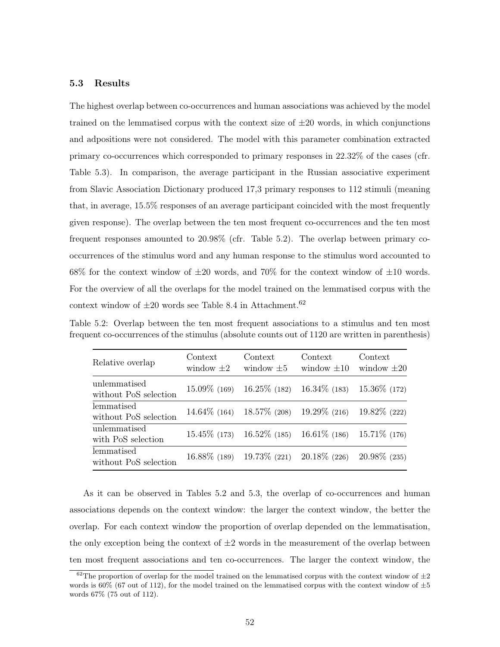## 5.3 Results

The highest overlap between co-occurrences and human associations was achieved by the model trained on the lemmatised corpus with the context size of  $\pm 20$  words, in which conjunctions and adpositions were not considered. The model with this parameter combination extracted primary co-occurrences which corresponded to primary responses in 22.32% of the cases (cfr. Table 5.3). In comparison, the average participant in the Russian associative experiment from Slavic Association Dictionary produced 17,3 primary responses to 112 stimuli (meaning that, in average, 15.5% responses of an average participant coincided with the most frequently given response). The overlap between the ten most frequent co-occurrences and the ten most frequent responses amounted to 20.98% (cfr. Table 5.2). The overlap between primary cooccurrences of the stimulus word and any human response to the stimulus word accounted to 68% for the context window of  $\pm 20$  words, and 70% for the context window of  $\pm 10$  words. For the overview of all the overlaps for the model trained on the lemmatised corpus with the context window of  $\pm 20$  words see Table 8.4 in Attachment.<sup>62</sup>

Table 5.2: Overlap between the ten most frequent associations to a stimulus and ten most frequent co-occurrences of the stimulus (absolute counts out of 1120 are written in parenthesis)

| Relative overlap                      | Context<br>window $\pm 2$ | Context<br>window $\pm 5$ | Context<br>window $\pm 10$      | Context<br>window $\pm 20$ |
|---------------------------------------|---------------------------|---------------------------|---------------------------------|----------------------------|
| unlemmatised<br>without PoS selection | $15.09\%$ (169)           | $16.25\%$ (182)           | $16.34\%$ (183)                 | $15.36\%$ (172)            |
| lemmatised<br>without PoS selection   | $14.64\%$ (164)           |                           | $18.57\%$ (208) $19.29\%$ (216) | $19.82\%$ (222)            |
| unlemmatised<br>with PoS selection    | $15.45\%$ (173)           |                           | $16.52\%$ (185) $16.61\%$ (186) | $15.71\%$ (176)            |
| lemmatised<br>without PoS selection   | $16.88\%$ (189)           |                           | $19.73\%$ (221) $20.18\%$ (226) | $20.98\%$ (235)            |

As it can be observed in Tables 5.2 and 5.3, the overlap of co-occurrences and human associations depends on the context window: the larger the context window, the better the overlap. For each context window the proportion of overlap depended on the lemmatisation, the only exception being the context of  $\pm 2$  words in the measurement of the overlap between ten most frequent associations and ten co-occurrences. The larger the context window, the

<sup>&</sup>lt;sup>62</sup>The proportion of overlap for the model trained on the lemmatised corpus with the context window of  $\pm 2$ words is 60% (67 out of 112), for the model trained on the lemmatised corpus with the context window of  $\pm 5$ words 67% (75 out of 112).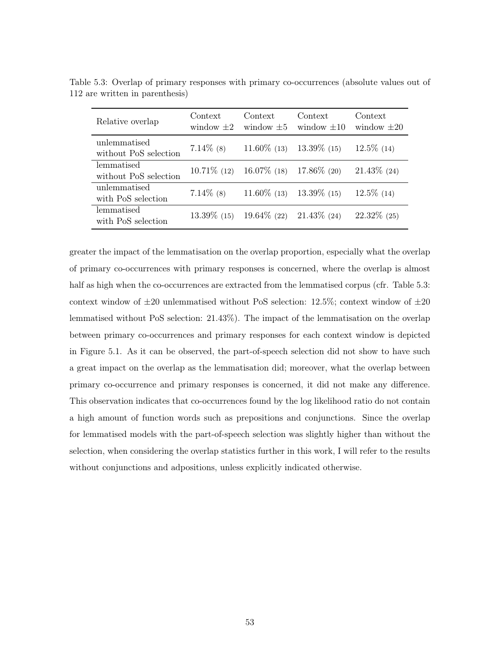| Relative overlap                      | Context<br>window $\pm 2$ | Context<br>window $\pm 5$                    | Context<br>window $\pm 10$ | Context<br>window $\pm 20$ |
|---------------------------------------|---------------------------|----------------------------------------------|----------------------------|----------------------------|
| unlemmatised<br>without PoS selection | $7.14\%$ (8)              | $11.60\%$ (13)                               | $13.39\%$ (15)             | $12.5\%$ (14)              |
| lemmatised<br>without PoS selection   |                           | $10.71\%$ (12) $16.07\%$ (18) 17.86\% (20)   |                            | $21.43\%$ (24)             |
| unlemmatised<br>with PoS selection    | $7.14\%$ (8)              | $11.60\%$ (13)                               | $13.39\%$ (15)             | $12.5\%$ (14)              |
| lemmatised<br>with PoS selection      |                           | $13.39\%$ (15) $19.64\%$ (22) $21.43\%$ (24) |                            | $22.32\%$ (25)             |

Table 5.3: Overlap of primary responses with primary co-occurrences (absolute values out of 112 are written in parenthesis)

greater the impact of the lemmatisation on the overlap proportion, especially what the overlap of primary co-occurrences with primary responses is concerned, where the overlap is almost half as high when the co-occurrences are extracted from the lemmatised corpus (cfr. Table 5.3: context window of  $\pm 20$  unlemmatised without PoS selection: 12.5%; context window of  $\pm 20$ lemmatised without PoS selection: 21.43%). The impact of the lemmatisation on the overlap between primary co-occurrences and primary responses for each context window is depicted in Figure 5.1. As it can be observed, the part-of-speech selection did not show to have such a great impact on the overlap as the lemmatisation did; moreover, what the overlap between primary co-occurrence and primary responses is concerned, it did not make any difference. This observation indicates that co-occurrences found by the log likelihood ratio do not contain a high amount of function words such as prepositions and conjunctions. Since the overlap for lemmatised models with the part-of-speech selection was slightly higher than without the selection, when considering the overlap statistics further in this work, I will refer to the results without conjunctions and adpositions, unless explicitly indicated otherwise.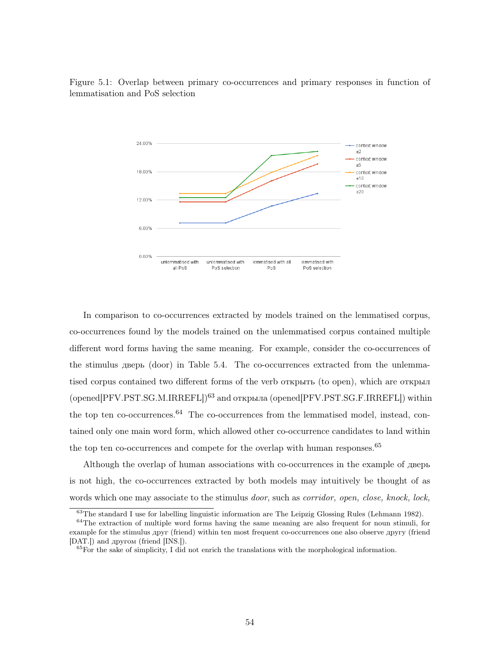

Figure 5.1: Overlap between primary co-occurrences and primary responses in function of lemmatisation and PoS selection

In comparison to co-occurrences extracted by models trained on the lemmatised corpus, co-occurrences found by the models trained on the unlemmatised corpus contained multiple different word forms having the same meaning. For example, consider the co-occurrences of the stimulus дверь (door) in Table 5.4. The co-occurrences extracted from the unlemmatised corpus contained two different forms of the verb открыть (to open), which are открыл (opened[PFV.PST.SG.M.IRREFL])<sup>63</sup> and открыла (opened[PFV.PST.SG.F.IRREFL]) within the top ten co-occurrences. $64$  The co-occurrences from the lemmatised model, instead, contained only one main word form, which allowed other co-occurrence candidates to land within the top ten co-occurrences and compete for the overlap with human responses.<sup>65</sup>

Although the overlap of human associations with co-occurrences in the example of дверь is not high, the co-occurrences extracted by both models may intuitively be thought of as words which one may associate to the stimulus *door*, such as *corridor*, *open*, *close*, *knock*, *lock*,

<sup>&</sup>lt;sup>63</sup>The standard I use for labelling linguistic information are The Leipzig Glossing Rules (Lehmann 1982).

<sup>64</sup>The extraction of multiple word forms having the same meaning are also frequent for noun stimuli, for example for the stimulus друг (friend) within ten most frequent co-occurrences one also observe другу (friend [DAT.]) and другом (friend [INS.]).

 $^{65}$ For the sake of simplicity, I did not enrich the translations with the morphological information.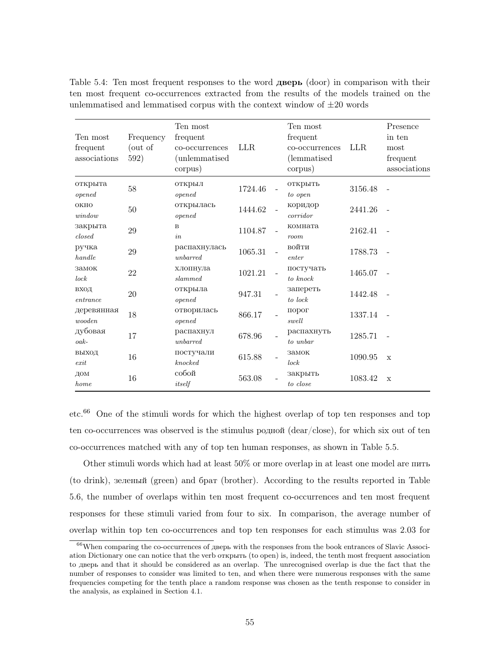| Ten most<br>frequent<br>associations | Frequency<br>(out of<br>592) | Ten most<br>frequent<br>co-occurrences<br>(unlemmatised<br>corpus) | <b>LLR</b> | Ten most<br>frequent<br>co-occurrences<br>(lemmatised)<br>corpus) | <b>LLR</b> | Presence<br>in ten<br>most<br>frequent<br>associations |
|--------------------------------------|------------------------------|--------------------------------------------------------------------|------------|-------------------------------------------------------------------|------------|--------------------------------------------------------|
| открыта<br>opened                    | 58                           | открыл<br>opened                                                   | 1724.46    | открыть<br>to open                                                | 3156.48    |                                                        |
| <b>OKHO</b><br>window                | 50                           | открылась<br>opened                                                | 1444.62    | коридор<br>corridor                                               | 2441.26    |                                                        |
| закрыта<br>closed                    | $29\,$                       | $\mathbf B$<br>in                                                  | 1104.87    | комната<br>room                                                   | 2162.41    |                                                        |
| ручка<br>handle                      | 29                           | распахнулась<br>unbarred                                           | 1065.31    | войти<br>enter                                                    | 1788.73    |                                                        |
| замок<br>lock                        | 22                           | хлопнула<br>slammed                                                | 1021.21    | постучать<br>to knock                                             | 1465.07    |                                                        |
| ВХОД<br>entrance                     | 20                           | открыла<br>opened                                                  | 947.31     | запереть<br>to lock                                               | 1442.48    |                                                        |
| деревянная<br>wooden                 | 18                           | отворилась<br>opened                                               | 866.17     | порог<br>swell                                                    | 1337.14    |                                                        |
| дубовая<br>$oak-$                    | 17                           | распахнул<br>unbarred                                              | 678.96     | распахнуть<br>to unbar                                            | 1285.71    |                                                        |
| ВЫХОД<br>exit                        | 16                           | постучали<br>$k$ noc $k$ ed                                        | 615.88     | замок<br>lock                                                     | 1090.95    | $\mathbf x$                                            |
| ДОМ<br>home                          | 16                           | собой<br>itself                                                    | 563.08     | закрыть<br>to close                                               | 1083.42    | $\mathbf x$                                            |

Table 5.4: Ten most frequent responses to the word дверь (door) in comparison with their ten most frequent co-occurrences extracted from the results of the models trained on the unlemmatised and lemmatised corpus with the context window of  $\pm 20$  words

etc.<sup>66</sup> One of the stimuli words for which the highest overlap of top ten responses and top ten co-occurrences was observed is the stimulus родной (dear/close), for which six out of ten co-occurrences matched with any of top ten human responses, as shown in Table 5.5.

Other stimuli words which had at least 50% or more overlap in at least one model are пить (to drink), зеленый (green) and брат (brother). According to the results reported in Table 5.6, the number of overlaps within ten most frequent co-occurrences and ten most frequent responses for these stimuli varied from four to six. In comparison, the average number of overlap within top ten co-occurrences and top ten responses for each stimulus was 2.03 for

<sup>&</sup>lt;sup>66</sup>When comparing the co-occurrences of дверь with the responses from the book entrances of Slavic Association Dictionary one can notice that the verb открыть (to open) is, indeed, the tenth most frequent association to дверь and that it should be considered as an overlap. The unrecognised overlap is due the fact that the number of responses to consider was limited to ten, and when there were numerous responses with the same frequencies competing for the tenth place a random response was chosen as the tenth response to consider in the analysis, as explained in Section 4.1.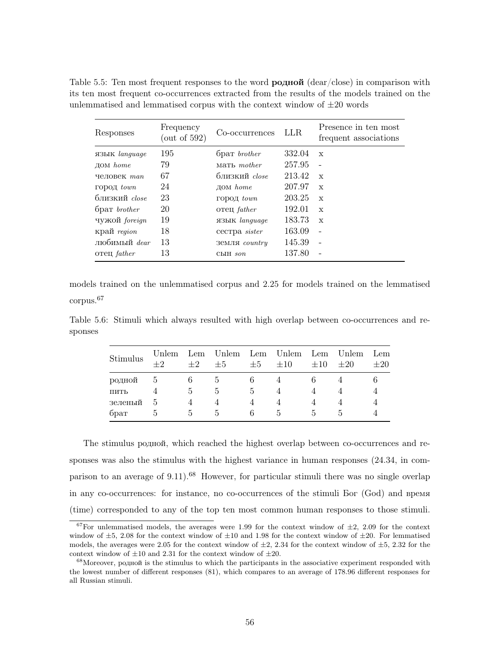| Responses             | Frequency<br>$($ out of 592 $)$ | Co-occurrences        | LLR.   | Presence in ten most<br>frequent associations |
|-----------------------|---------------------------------|-----------------------|--------|-----------------------------------------------|
| язык language         | 195                             | брат <i>brother</i>   | 332.04 | $\mathbf{x}$                                  |
| $\text{\tt JOM}$ home | 79                              | мать <i>mother</i>    | 257.95 | $\overline{a}$                                |
| человек тап           | 67                              | близкий close         | 213.42 | $\mathbf{x}$                                  |
| город town            | 24                              | $\text{\tt JOM}$ home | 207.97 | $\mathbf{x}$                                  |
| близкий <i>close</i>  | 23                              | $\Gamma$ ОрОД $town$  | 203.25 | $\mathbf{x}$                                  |
| брат <i>brother</i>   | 20                              | oтeц <i>father</i>    | 192.01 | $\mathbf{x}$                                  |
| чужой foreign         | 19                              | язык language         | 183.73 | $\mathbf{x}$                                  |
| край region           | 18                              | cecrpa sister         | 163.09 | $\overline{a}$                                |
| любимый dear          | 13                              | Земля country         | 145.39 | $\overline{a}$                                |
| oтeц <i>father</i>    | 13                              | CЫH son               | 137.80 |                                               |

Table 5.5: Ten most frequent responses to the word **родной** (dear/close) in comparison with its ten most frequent co-occurrences extracted from the results of the models trained on the unlemmatised and lemmatised corpus with the context window of  $\pm 20$  words

models trained on the unlemmatised corpus and 2.25 for models trained on the lemmatised corpus.<sup>67</sup>

Table 5.6: Stimuli which always resulted with high overlap between co-occurrences and responses

| Stimulus | Unlem<br>$+2$ | Lem<br>$\pm 2$ | Unlem<br>$\pm 5$ | $\pm 5$    | Lem Unlem<br>$\pm 10$ | Lem<br>$\pm 10$ | Unlem<br>$\pm 20$ | Lem<br>$\pm 20$ |
|----------|---------------|----------------|------------------|------------|-----------------------|-----------------|-------------------|-----------------|
| родной   | $\mathcal{O}$ |                |                  |            |                       |                 |                   |                 |
| ПИТЬ     |               | h,             | $\mathcal{L}$    | $\ddot{c}$ |                       |                 |                   |                 |
| зеленый  | h,            |                |                  |            |                       |                 |                   |                 |
| брат     | h             | h.             | h.               | h          | h                     | h.              |                   |                 |

The stimulus родной, which reached the highest overlap between co-occurrences and responses was also the stimulus with the highest variance in human responses (24.34, in comparison to an average of 9.11).<sup>68</sup> However, for particular stimuli there was no single overlap in any co-occurrences: for instance, no co-occurrences of the stimuli Бог (God) and время (time) corresponded to any of the top ten most common human responses to those stimuli.

<sup>&</sup>lt;sup>67</sup>For unlemmatised models, the averages were 1.99 for the context window of  $\pm 2$ , 2.09 for the context window of  $\pm 5$ , 2.08 for the context window of  $\pm 10$  and 1.98 for the context window of  $\pm 20$ . For lemmatised models, the averages were 2.05 for the context window of  $\pm 2$ , 2.34 for the context window of  $\pm 5$ , 2.32 for the context window of  $\pm 10$  and 2.31 for the context window of  $\pm 20$ .

<sup>68</sup>Moreover, родной is the stimulus to which the participants in the associative experiment responded with the lowest number of different responses (81), which compares to an average of 178.96 different responses for all Russian stimuli.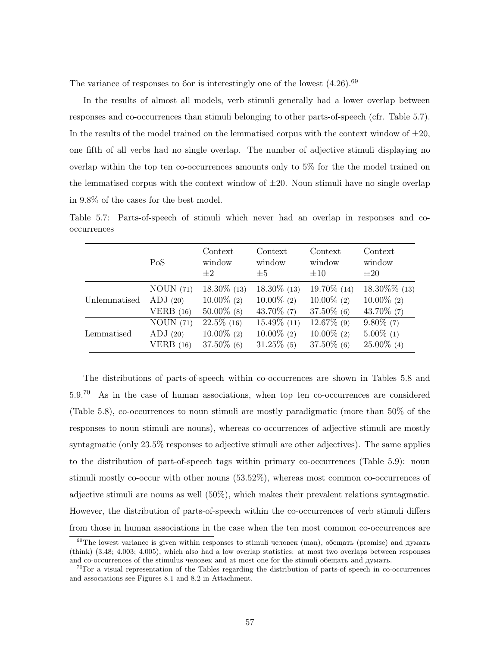The variance of responses to for is interestingly one of the lowest  $(4.26)$ .<sup>69</sup>

In the results of almost all models, verb stimuli generally had a lower overlap between responses and co-occurrences than stimuli belonging to other parts-of-speech (cfr. Table 5.7). In the results of the model trained on the lemmatised corpus with the context window of  $\pm 20$ , one fifth of all verbs had no single overlap. The number of adjective stimuli displaying no overlap within the top ten co-occurrences amounts only to 5% for the the model trained on the lemmatised corpus with the context window of  $\pm 20$ . Noun stimuli have no single overlap in 9.8% of the cases for the best model.

Table 5.7: Parts-of-speech of stimuli which never had an overlap in responses and cooccurrences

|              | PoS         | Context<br>window<br>$+2$ | Context<br>window<br>$\pm 5$ | Context<br>window<br>$\pm 10$ | Context<br>window<br>$\pm 20$ |
|--------------|-------------|---------------------------|------------------------------|-------------------------------|-------------------------------|
| Unlemmatised | NOUN (71)   | $18.30\%$ (13)            | $18.30\%$ (13)               | 19.70\% (14)                  | $18.30\%$ % (13)              |
|              | ADJ(20)     | $10.00\%$ (2)             | $10.00\%$ (2)                | $10.00\%$ (2)                 | $10.00\%$ (2)                 |
|              | VERB $(16)$ | $50.00\%$ (8)             | 43.70\% $(7)$                | $37.50\%$ (6)                 | 43.70\% $(7)$                 |
| Lemmatised   | NOUN(71)    | $22.5\%$ (16)             | $15.49\%$ (11)               | $12.67\%$ (9)                 | $9.80\%$ (7)                  |
|              | ADJ(20)     | $10.00\%$ (2)             | $10.00\%$ (2)                | $10.00\%$ (2)                 | $5.00\%$ (1)                  |
|              | VERB $(16)$ | $37.50\%$ (6)             | $31.25\%$ (5)                | $37.50\%$ (6)                 | $25.00\%$ (4)                 |

The distributions of parts-of-speech within co-occurrences are shown in Tables 5.8 and 5.9.<sup>70</sup> As in the case of human associations, when top ten co-occurrences are considered (Table 5.8), co-occurrences to noun stimuli are mostly paradigmatic (more than 50% of the responses to noun stimuli are nouns), whereas co-occurrences of adjective stimuli are mostly syntagmatic (only 23.5% responses to adjective stimuli are other adjectives). The same applies to the distribution of part-of-speech tags within primary co-occurrences (Table 5.9): noun stimuli mostly co-occur with other nouns (53.52%), whereas most common co-occurrences of adjective stimuli are nouns as well (50%), which makes their prevalent relations syntagmatic. However, the distribution of parts-of-speech within the co-occurrences of verb stimuli differs from those in human associations in the case when the ten most common co-occurrences are

<sup>&</sup>lt;sup>69</sup>The lowest variance is given within responses to stimuli человек (man), обещать (promise) and думать (think) (3.48; 4.003; 4.005), which also had a low overlap statistics: at most two overlaps between responses and co-occurrences of the stimulus человек and at most one for the stimuli обещать and думать.

 $70$ For a visual representation of the Tables regarding the distribution of parts-of speech in co-occurrences and associations see Figures 8.1 and 8.2 in Attachment.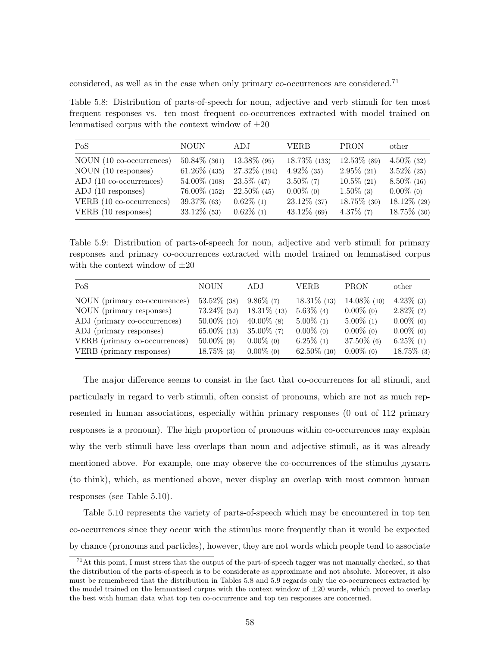considered, as well as in the case when only primary co-occurrences are considered.<sup>71</sup>

Table 5.8: Distribution of parts-of-speech for noun, adjective and verb stimuli for ten most frequent responses vs. ten most frequent co-occurrences extracted with model trained on lemmatised corpus with the context window of  $\pm 20$ 

| PoS                      | <b>NOUN</b>     | ADJ            | <b>VERB</b>     | <b>PRON</b>    | other          |
|--------------------------|-----------------|----------------|-----------------|----------------|----------------|
| NOUN (10 co-occurrences) | $50.84\%$ (361) | 13.38% (95)    | $18.73\%$ (133) | $12.53\%$ (89) | $4.50\%$ (32)  |
| NOUN (10 responses)      | $61.26\%$ (435) | 27.32\% (194)  | $4.92\%$ (35)   | $2.95\%$ (21)  | $3.52\%$ (25)  |
| ADJ (10 co-occurrences)  | 54.00% (108)    | $23.5\%$ (47)  | $3.50\%$ (7)    | $10.5\%$ (21)  | $8.50\%$ (16)  |
| ADJ (10 responses)       | $76.00\%$ (152) | $22.50\%$ (45) | $0.00\%$ (0)    | $1.50\%$ (3)   | $0.00\%$ (0)   |
| VERB (10 co-occurrences) | $39.37\%$ (63)  | $0.62\%$ (1)   | $23.12\%$ (37)  | $18.75\%$ (30) | $18.12\%$ (29) |
| VERB (10 responses)      | $33.12\%$ (53)  | $0.62\%$ (1)   | $43.12\%$ (69)  | $4.37\%$ (7)   | $18.75\%$ (30) |

Table 5.9: Distribution of parts-of-speech for noun, adjective and verb stimuli for primary responses and primary co-occurrences extracted with model trained on lemmatised corpus with the context window of  $\pm 20$ 

| PoS                           | <b>NOUN</b>    | ADJ            | <b>VERB</b>    | <b>PRON</b>    | other         |
|-------------------------------|----------------|----------------|----------------|----------------|---------------|
| NOUN (primary co-occurrences) | $53.52\%$ (38) | $9.86\%$ (7)   | $18.31\%$ (13) | $14.08\%$ (10) | $4.23\%$ (3)  |
| NOUN (primary responses)      | $73.24\%$ (52) | $18.31\%$ (13) | $5.63\%$ (4)   | $0.00\%$ (0)   | $2.82\%$ (2)  |
| ADJ (primary co-occurrences)  | $50.00\%$ (10) | $40.00\%$ (8)  | $5.00\%$ (1)   | $5.00\%$ (1)   | $0.00\%$ (0)  |
| ADJ (primary responses)       | $65.00\%$ (13) | $35.00\%$ (7)  | $0.00\%$ (0)   | $0.00\%$ (0)   | $0.00\%$ (0)  |
| VERB (primary co-occurrences) | $50.00\%$ (8)  | $0.00\%$ (0)   | $6.25\%$ (1)   | $37.50\%$ (6)  | $6.25\%$ (1)  |
| VERB (primary responses)      | $18.75\%$ (3)  | $0.00\%$ (0)   | $62.50\%$ (10) | $0.00\%$ (0)   | $18.75\%$ (3) |

The major difference seems to consist in the fact that co-occurrences for all stimuli, and particularly in regard to verb stimuli, often consist of pronouns, which are not as much represented in human associations, especially within primary responses (0 out of 112 primary responses is a pronoun). The high proportion of pronouns within co-occurrences may explain why the verb stimuli have less overlaps than noun and adjective stimuli, as it was already mentioned above. For example, one may observe the co-occurrences of the stimulus думать (to think), which, as mentioned above, never display an overlap with most common human responses (see Table 5.10).

Table 5.10 represents the variety of parts-of-speech which may be encountered in top ten co-occurrences since they occur with the stimulus more frequently than it would be expected by chance (pronouns and particles), however, they are not words which people tend to associate

 $71$ At this point, I must stress that the output of the part-of-speech tagger was not manually checked, so that the distribution of the parts-of-speech is to be considerate as approximate and not absolute. Moreover, it also must be remembered that the distribution in Tables 5.8 and 5.9 regards only the co-occurrences extracted by the model trained on the lemmatised corpus with the context window of  $\pm 20$  words, which proved to overlap the best with human data what top ten co-occurrence and top ten responses are concerned.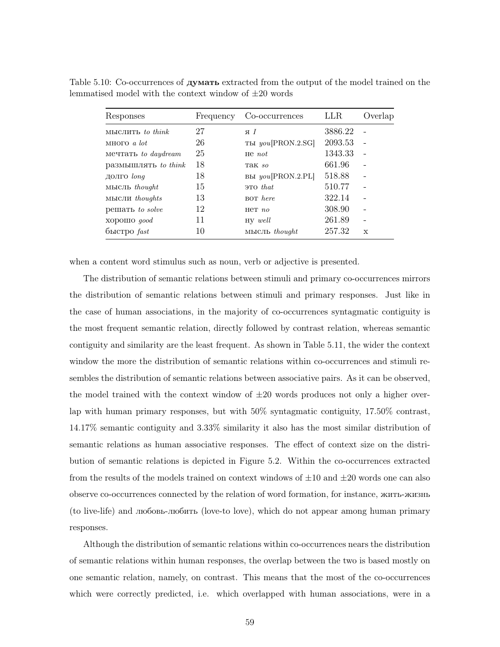| Responses               | Frequency | Co-occurrences    | LLR.    | Overlap                  |
|-------------------------|-----------|-------------------|---------|--------------------------|
| $M$ ыслить to think     | 27        | яI                | 3886.22 |                          |
| MHOTO $a$ lot           | 26        | ты you[PRON.2.SG] | 2093.53 |                          |
| мечтать to daydream     | 25        | $He$ not          | 1343.33 |                          |
| размышлять to think     | 18        | Tak so            | 661.96  |                          |
| долго long              | 18        | вы you[PRON.2.PL] | 518.88  | $\overline{\phantom{0}}$ |
| MЫCЛЬ thought           | 15        | $3TO$ that        | 510.77  |                          |
| мысли <i>thoughts</i>   | 13        | <b>BOT</b> here   | 322.14  |                          |
| решать to solve         | 12        | $HCT$ no          | 308.90  |                          |
| XODOIIIO qood           | 11        | $HV$ well         | 261.89  |                          |
| $6$ ыстро $\text{fast}$ | 10        | MHCJIb thought    | 257.32  | $\mathbf x$              |

Table 5.10: Co-occurrences of **думать** extracted from the output of the model trained on the lemmatised model with the context window of  $\pm 20$  words

when a content word stimulus such as noun, verb or adjective is presented.

The distribution of semantic relations between stimuli and primary co-occurrences mirrors the distribution of semantic relations between stimuli and primary responses. Just like in the case of human associations, in the majority of co-occurrences syntagmatic contiguity is the most frequent semantic relation, directly followed by contrast relation, whereas semantic contiguity and similarity are the least frequent. As shown in Table 5.11, the wider the context window the more the distribution of semantic relations within co-occurrences and stimuli resembles the distribution of semantic relations between associative pairs. As it can be observed, the model trained with the context window of  $\pm 20$  words produces not only a higher overlap with human primary responses, but with 50% syntagmatic contiguity, 17.50% contrast, 14.17% semantic contiguity and 3.33% similarity it also has the most similar distribution of semantic relations as human associative responses. The effect of context size on the distribution of semantic relations is depicted in Figure 5.2. Within the co-occurrences extracted from the results of the models trained on context windows of  $\pm 10$  and  $\pm 20$  words one can also observe co-occurrences connected by the relation of word formation, for instance, жить-жизнь (to live-life) and любовь-любить (love-to love), which do not appear among human primary responses.

Although the distribution of semantic relations within co-occurrences nears the distribution of semantic relations within human responses, the overlap between the two is based mostly on one semantic relation, namely, on contrast. This means that the most of the co-occurrences which were correctly predicted, i.e. which overlapped with human associations, were in a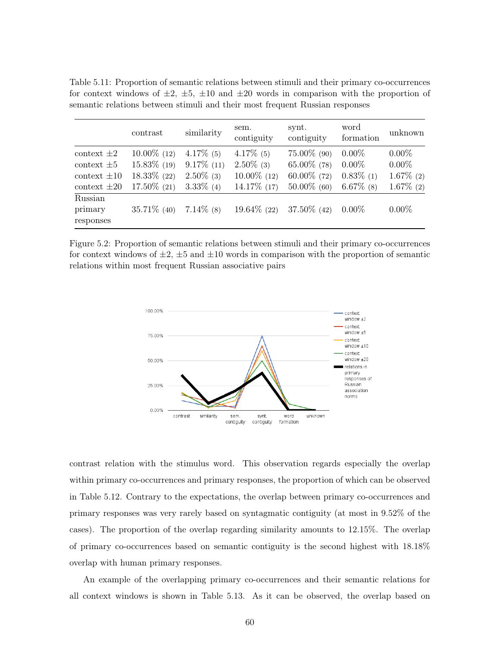|                  | contrast       | similarity    | sem.<br>contiguity | synt.<br>contiguity | word<br>formation | unknown      |
|------------------|----------------|---------------|--------------------|---------------------|-------------------|--------------|
| context $\pm 2$  | $10.00\%$ (12) | $4.17\%$ (5)  | $4.17\%$ (5)       | $75.00\%$ (90)      | $0.00\%$          | $0.00\%$     |
| context $\pm 5$  | $15.83\%$ (19) | $9.17\%$ (11) | $2.50\%$ (3)       | $65.00\%$ (78)      | $0.00\%$          | $0.00\%$     |
| $context \pm 10$ | $18.33\%$ (22) | $2.50\%$ (3)  | $10.00\%$ (12)     | $60.00\%$ (72)      | $0.83\%$ (1)      | $1.67\%$ (2) |
| context $\pm 20$ | $17.50\%$ (21) | $3.33\%$ (4)  | 14.17\% (17)       | $50.00\%$ (60)      | $6.67\%$ (8)      | $1.67\%$ (2) |
| Russian          |                |               |                    |                     |                   |              |
| primary          | $35.71\%$ (40) | $7.14\%$ (8)  | $19.64\%$ (22)     | $37.50\%$ (42)      | $0.00\%$          | $0.00\%$     |
| responses        |                |               |                    |                     |                   |              |
|                  |                |               |                    |                     |                   |              |

Table 5.11: Proportion of semantic relations between stimuli and their primary co-occurrences for context windows of  $\pm 2$ ,  $\pm 5$ ,  $\pm 10$  and  $\pm 20$  words in comparison with the proportion of semantic relations between stimuli and their most frequent Russian responses

Figure 5.2: Proportion of semantic relations between stimuli and their primary co-occurrences for context windows of  $\pm 2$ ,  $\pm 5$  and  $\pm 10$  words in comparison with the proportion of semantic relations within most frequent Russian associative pairs



contrast relation with the stimulus word. This observation regards especially the overlap within primary co-occurrences and primary responses, the proportion of which can be observed in Table 5.12. Contrary to the expectations, the overlap between primary co-occurrences and primary responses was very rarely based on syntagmatic contiguity (at most in 9.52% of the cases). The proportion of the overlap regarding similarity amounts to 12.15%. The overlap of primary co-occurrences based on semantic contiguity is the second highest with 18.18% overlap with human primary responses.

An example of the overlapping primary co-occurrences and their semantic relations for all context windows is shown in Table 5.13. As it can be observed, the overlap based on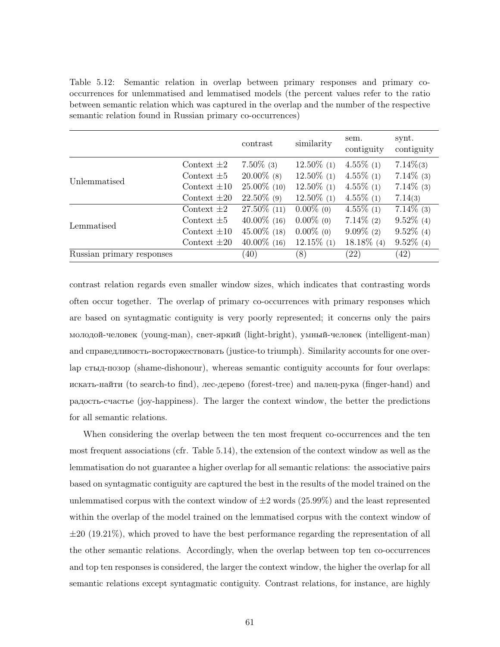Table 5.12: Semantic relation in overlap between primary responses and primary cooccurrences for unlemmatised and lemmatised models (the percent values refer to the ratio between semantic relation which was captured in the overlap and the number of the respective semantic relation found in Russian primary co-occurrences)

|                           |                  | contrast       | similarity    | sem.<br>contiguity | synt.<br>contiguity |
|---------------------------|------------------|----------------|---------------|--------------------|---------------------|
|                           | Context $\pm 2$  | $7.50\%$ (3)   | $12.50\%$ (1) | $4.55\%$ (1)       | $7.14\%(3)$         |
|                           | Context $\pm 5$  | $20.00\%$ (8)  | $12.50\%$ (1) | $4.55\%$ (1)       | $7.14\%$ (3)        |
| Unlemmatised              | Context $\pm 10$ | $25.00\%$ (10) | $12.50\%$ (1) | $4.55\%$ (1)       | $7.14\%$ (3)        |
|                           | Context $\pm 20$ | $22.50\%$ (9)  | $12.50\%$ (1) | $4.55\%$ (1)       | 7.14(3)             |
|                           | Context $\pm 2$  | 27.50% (11)    | $0.00\%$ (0)  | $4.55\%$ (1)       | $7.14\%$ (3)        |
| Lemmatised                | Context $\pm 5$  | $40.00\%$ (16) | $0.00\%$ (0)  | $7.14\%$ (2)       | $9.52\%$ (4)        |
|                           | Context $\pm 10$ | $45.00\%$ (18) | $0.00\%$ (0)  | $9.09\%$ (2)       | $9.52\%$ (4)        |
|                           | Context $\pm 20$ | $40.00\%$ (16) | $12.15\%$ (1) | $18.18\%$ (4)      | $9.52\%$ (4)        |
| Russian primary responses |                  | (40)           | (8)           | $\left( 22\right)$ | (42)                |

contrast relation regards even smaller window sizes, which indicates that contrasting words often occur together. The overlap of primary co-occurrences with primary responses which are based on syntagmatic contiguity is very poorly represented; it concerns only the pairs молодой-человек (young-man), свет-яркий (light-bright), умный-человек (intelligent-man) and справедливость-восторжествовать (justice-to triumph). Similarity accounts for one overlap стыд-позор (shame-dishonour), whereas semantic contiguity accounts for four overlaps: искать-найти (to search-to find), лес-дерево (forest-tree) and палец-рука (finger-hand) and радость-счастье (joy-happiness). The larger the context window, the better the predictions for all semantic relations.

When considering the overlap between the ten most frequent co-occurrences and the ten most frequent associations (cfr. Table 5.14), the extension of the context window as well as the lemmatisation do not guarantee a higher overlap for all semantic relations: the associative pairs based on syntagmatic contiguity are captured the best in the results of the model trained on the unlemmatised corpus with the context window of  $\pm 2$  words (25.99%) and the least represented within the overlap of the model trained on the lemmatised corpus with the context window of  $\pm 20$  (19.21%), which proved to have the best performance regarding the representation of all the other semantic relations. Accordingly, when the overlap between top ten co-occurrences and top ten responses is considered, the larger the context window, the higher the overlap for all semantic relations except syntagmatic contiguity. Contrast relations, for instance, are highly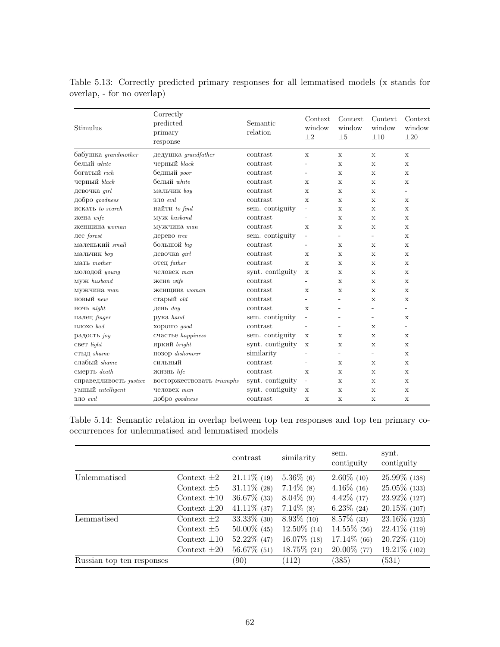| Stimulus                   | Correctly<br>predicted<br>primary<br>response | Semantic<br>relation | Context<br>window<br>$\pm 2$ | Context<br>window<br>$\pm 5$ | Context<br>window<br>$\pm 10$ | Context<br>window<br>$\pm 20$ |
|----------------------------|-----------------------------------------------|----------------------|------------------------------|------------------------------|-------------------------------|-------------------------------|
| бабушка <i>grandmother</i> | дедушка <i>grandfather</i>                    | contrast             | $\mathbf x$                  | $\mathbf{x}$                 | $\mathbf x$                   | $\mathbf{x}$                  |
| белый white                | черный black                                  | contrast             | L,                           | $\mathbf x$                  | $\mathbf x$                   | $\mathbf x$                   |
| богатый rich               | бедный <i>poor</i>                            | contrast             | $\overline{\phantom{0}}$     | $\mathbf x$                  | $\mathbf x$                   | $\mathbf x$                   |
| черный black               | белый white                                   | contrast             | $\mathbf x$                  | $\mathbf x$                  | $\mathbf x$                   | X                             |
| девочка qirl               | мальчик boy                                   | contrast             | X                            | X                            | X                             | ÷.                            |
| добро goodness             | зло evil                                      | contrast             | $\mathbf x$                  | $\mathbf x$                  | $\mathbf x$                   | $\mathbf x$                   |
| искать to search           | найти $to find$                               | sem. contiguity      | ÷,                           | X                            | X                             | X                             |
| жена wife                  | MYX husband                                   | contrast             | L                            | $\mathbf x$                  | X                             | $\mathbf{x}$                  |
| женщина woman              | мужчина man                                   | contrast             | X                            | $\mathbf x$                  | $\mathbf x$                   | $\mathbf x$                   |
| лес forest                 | дерево tree                                   | sem. contiguity      | ÷                            | $\overline{\phantom{a}}$     | $\overline{\phantom{a}}$      | $\mathbf x$                   |
| маленький small            | большой big                                   | contrast             | L,                           | X                            | X                             | X                             |
| мальчик boy                | девочка qirl                                  | contrast             | X                            | X                            | X                             | X                             |
| мать mother                | <b>отец</b> father                            | contrast             | $\mathbf{x}$                 | $\mathbf x$                  | X                             | $\mathbf x$                   |
| молодой young              | человек тап                                   | synt. contiguity     | X                            | X                            | X                             | X                             |
| MV <sub>K</sub> husband    | жена wife                                     | contrast             |                              | $\mathbf x$                  | $\mathbf x$                   | $\mathbf{x}$                  |
| мужчина тап                | женщина woman                                 | contrast             | X                            | $\mathbf x$                  | X                             | $\mathbf{x}$                  |
| новый пеш                  | старый old                                    | contrast             | L,                           | $\overline{\phantom{a}}$     | X                             | $\mathbf x$                   |
| ночь night                 | день day                                      | contrast             | X                            | $\overline{\phantom{a}}$     |                               | $\overline{\phantom{0}}$      |
| палец finger               | рука hand                                     | sem. contiguity      | ٠                            |                              | $\overline{a}$                | X                             |
| $\Pi$ ЛОХО $bad$           | хорошо доод                                   | contrast             | $\overline{a}$               | $\equiv$                     | X                             | ÷.                            |
| радость јоу                | счастье happiness                             | sem. contiguity      | X                            | X                            | X                             | X                             |
| CBeT light                 | яркий bright                                  | synt. contiguity     | $\mathbf x$                  | $\mathbf x$                  | X                             | $\mathbf{x}$                  |
| стыд shame                 | позор dishonour                               | similarity           | -                            | $\overline{\phantom{a}}$     | $\overline{\phantom{a}}$      | $\mathbf{x}$                  |
| слабый <i>shame</i>        | сильный                                       | contrast             | ٠                            | $\mathbf{x}$                 | $\mathbf x$                   | $\mathbf{x}$                  |
| смерть death               | жизнь life                                    | contrast             | X                            | $\mathbf x$                  | X                             | $\mathbf{x}$                  |
| справедливость justice     | восторжествовать triumphs                     | synt. contiguity     | ÷                            | $\mathbf x$                  | $\mathbf{x}$                  | $\mathbf{x}$                  |
| умный <i>intelligent</i>   | человек тап                                   | synt. contiguity     | X                            | $\mathbf x$                  | X                             | X                             |
| зло evil                   | добро goodness                                | contrast             | X                            | $\mathbf x$                  | $\mathbf x$                   | X                             |

Table 5.13: Correctly predicted primary responses for all lemmatised models (x stands for overlap, - for no overlap)

Table 5.14: Semantic relation in overlap between top ten responses and top ten primary cooccurrences for unlemmatised and lemmatised models

|                           |                  | contrast       | similarity     | sem.<br>contiguity | synt.<br>contiguity |
|---------------------------|------------------|----------------|----------------|--------------------|---------------------|
| Unlemmatised              | Context $\pm 2$  | $21.11\%$ (19) | $5.36\%$ (6)   | $2.60\%$ (10)      | $25.99\%$ (138)     |
|                           | Context $\pm 5$  | $31.11\%$ (28) | $7.14\%$ (8)   | $4.16\%$ (16)      | $25.05\%$ (133)     |
|                           | Context $\pm 10$ | $36.67\%$ (33) | $8.04\%$ (9)   | $4.42\%$ (17)      | 23.92\% (127)       |
|                           | Context $\pm 20$ | $41.11\%$ (37) | $7.14\%$ (8)   | $6.23\%$ (24)      | $20.15\%$ (107)     |
| Lemmatised                | Context $\pm 2$  | $33.33\%$ (30) | $8.93\%$ (10)  | $8.57\%$ (33)      | $23.16\%$ (123)     |
|                           | Context $\pm 5$  | $50.00\%$ (45) | $12.50\%$ (14) | $14.55\%$ (56)     | $22.41\%$ (119)     |
|                           | Context $\pm 10$ | $52.22\%$ (47) | $16.07\%$ (18) | $17.14\%$ (66)     | $20.72\%$ (110)     |
|                           | Context $\pm 20$ | $56.67\%$ (51) | $18.75\%$ (21) | $20.00\%$ (77)     | $19.21\%$ (102)     |
| Russian top ten responses |                  | (90)           | (112)          | (385)              | (531)               |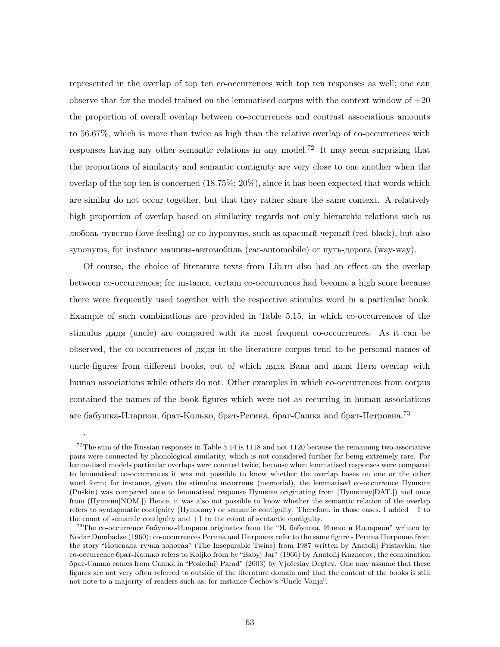represented in the overlap of top ten co-occurrences with top ten responses as well; one can observe that for the model trained on the lemmatised corpus with the context window of  $\pm 20$ the proportion of overall overlap between co-occurrences and contrast associations amounts to 56.67%, which is more than twice as high than the relative overlap of co-occurrences with responses having any other semantic relations in any model.<sup>72</sup> It may seem surprising that the proportions of similarity and semantic contiguity are very close to one another when the overlap of the top ten is concerned  $(18.75\%; 20\%)$ , since it has been expected that words which are similar do not occur together, but that they rather share the same context. A relatively high proportion of overlap based on similarity regards not only hierarchic relations such as любовь-чувство (love-feeling) or co-hyponyms, such as красный-черный (red-black), but also synonyms, for instance машина-автомобиль (car-automobile) or путь-дорога (way-way).

Of course, the choice of literature texts from Lib.ru also had an effect on the overlap between co-occurrences; for instance, certain co-occurrences had become a high score because there were frequently used together with the respective stimulus word in a particular book. Example of such combinations are provided in Table 5.15, in which co-occurrences of the stimulus дядя (uncle) are compared with its most frequent co-occurrences. As it can be observed, the co-occurrences of дядя in the literature corpus tend to be personal names of uncle-figures from different books, out of which дядя Ваня and дядя Петя overlap with human associations while others do not. Other examples in which co-occurrences from corpus contained the names of the book figures which were not as recurring in human associations are бабушка-Иларион, брат-Колько, брат-Регина, брат-Сашка and брат-Петровна.<sup>73</sup>

.

 $72$ The sum of the Russian responses in Table 5.14 is 1118 and not 1120 because the remaining two associative pairs were connected by phonological similarity, which is not considered further for being extremely rare. For lemmatised models particular overlaps were counted twice, because when lemmatised responses were compared to lemmatised co-occurrences it was not possible to know whether the overlap bases on one or the other word form; for instance, given the stimulus памятник (memorial), the lemmatised co-occurrence Пушкин (Puškin) was compared once to lemmatised response  $\Pi$ ушкин originating from ( $\Pi$ ушкину $[DAT.])$  and once from (Пушкин[NOM.]) Hence, it was also not possible to know whether the semantic relation of the overlap refers to syntagmatic contiguity (Пушкину) or semantic contiguity. Therefore, in those cases, I added +1 to the count of semantic contiguity and  $+1$  to the count of syntactic contiguity.

<sup>&</sup>lt;sup>73</sup>The co-occurrence бабушка-Иларион originates from the "Я, бабушка, Илико и Илларион" written by Nodar Dumbadze (1960); co-occurrences Регина and Петровна refer to the same figure - Регина Петровна from the story "Ночевала тучка золотая" (The Inseparable Twins) from 1987 written by Anatolij Pristavkin; the co-occurrence брат-Колько refers to Koljko from by "Babyj Jar" (1966) by Anatolij Kuznecov; the combination брат-Сашка comes from Сашка in "Poslednij Parad" (2003) by Vjaˇceslav Degtev. One may assume that these figures are not very often referred to outside of the literature domain and that the content of the books is still not note to a majority of readers such as, for instance Čechov's "Uncle Vanja".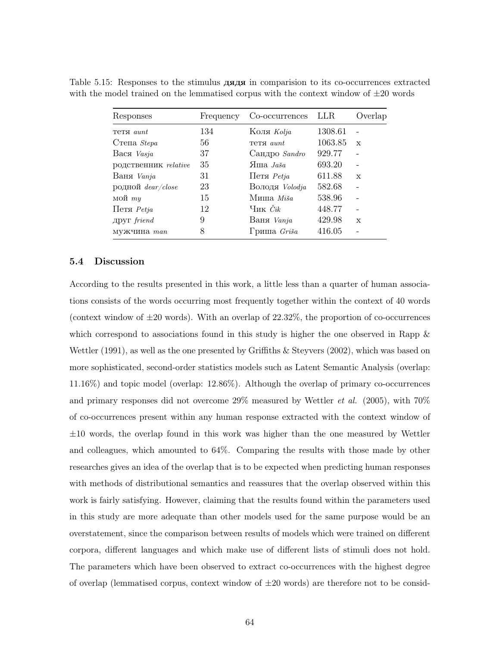Table 5.15: Responses to the stimulus дядя in comparision to its co-occurrences extracted with the model trained on the lemmatised corpus with the context window of  $\pm 20$  words

| Responses              | Frequency | Co-occurrences LLR |         | Overlap      |
|------------------------|-----------|--------------------|---------|--------------|
| Teta aunt              | 134       | Коля Kolja         | 1308.61 |              |
| $C$ тепа $Stepa$       | 56        | Teta <i>aunt</i>   | 1063.85 | $\mathbf x$  |
| Вася Vasja             | 37        | Сандро Sandro      | 929.77  |              |
| родственник relative   | 35        | $H$ ша <i>Лаšа</i> | 693.20  |              |
| Ваня Vanja             | 31        | Петя $Petja$       | 611.88  | $\mathbf{x}$ |
| родной $dear/close$    | 23        | Володя Volodja     | 582.68  |              |
| мой $my$               | 15        | Миша Міšа          | 538.96  |              |
| $IIerfi$ <i>Petja</i>  | 12        | Чик $\check{C}ik$  | 448.77  |              |
| $\mu$ руг $\it friend$ | 9         | Ваня Vanja         | 429.98  | $\mathbf x$  |
| мужчина man            | 8         | Гриша Griša        | 416.05  |              |

### 5.4 Discussion

According to the results presented in this work, a little less than a quarter of human associations consists of the words occurring most frequently together within the context of 40 words (context window of  $\pm 20$  words). With an overlap of 22.32\%, the proportion of co-occurrences which correspond to associations found in this study is higher the one observed in Rapp & Wettler (1991), as well as the one presented by Griffiths & Steyvers (2002), which was based on more sophisticated, second-order statistics models such as Latent Semantic Analysis (overlap: 11.16%) and topic model (overlap: 12.86%). Although the overlap of primary co-occurrences and primary responses did not overcome  $29\%$  measured by Wettler *et al.* (2005), with  $70\%$ of co-occurrences present within any human response extracted with the context window of  $\pm 10$  words, the overlap found in this work was higher than the one measured by Wettler and colleagues, which amounted to 64%. Comparing the results with those made by other researches gives an idea of the overlap that is to be expected when predicting human responses with methods of distributional semantics and reassures that the overlap observed within this work is fairly satisfying. However, claiming that the results found within the parameters used in this study are more adequate than other models used for the same purpose would be an overstatement, since the comparison between results of models which were trained on different corpora, different languages and which make use of different lists of stimuli does not hold. The parameters which have been observed to extract co-occurrences with the highest degree of overlap (lemmatised corpus, context window of  $\pm 20$  words) are therefore not to be consid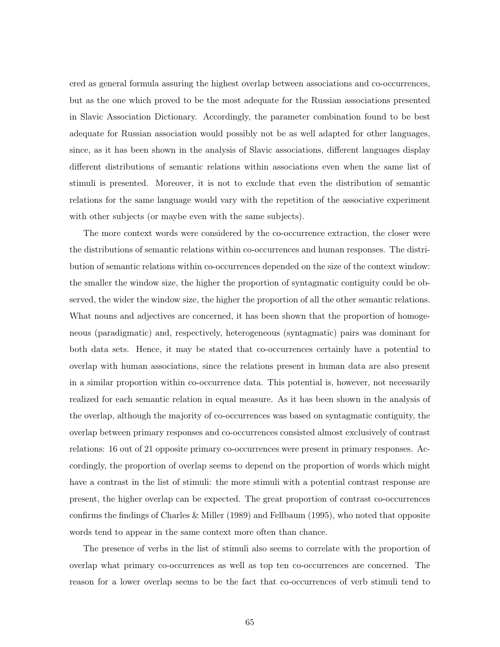ered as general formula assuring the highest overlap between associations and co-occurrences, but as the one which proved to be the most adequate for the Russian associations presented in Slavic Association Dictionary. Accordingly, the parameter combination found to be best adequate for Russian association would possibly not be as well adapted for other languages, since, as it has been shown in the analysis of Slavic associations, different languages display different distributions of semantic relations within associations even when the same list of stimuli is presented. Moreover, it is not to exclude that even the distribution of semantic relations for the same language would vary with the repetition of the associative experiment with other subjects (or maybe even with the same subjects).

The more context words were considered by the co-occurrence extraction, the closer were the distributions of semantic relations within co-occurrences and human responses. The distribution of semantic relations within co-occurrences depended on the size of the context window: the smaller the window size, the higher the proportion of syntagmatic contiguity could be observed, the wider the window size, the higher the proportion of all the other semantic relations. What nouns and adjectives are concerned, it has been shown that the proportion of homogeneous (paradigmatic) and, respectively, heterogeneous (syntagmatic) pairs was dominant for both data sets. Hence, it may be stated that co-occurrences certainly have a potential to overlap with human associations, since the relations present in human data are also present in a similar proportion within co-occurrence data. This potential is, however, not necessarily realized for each semantic relation in equal measure. As it has been shown in the analysis of the overlap, although the majority of co-occurrences was based on syntagmatic contiguity, the overlap between primary responses and co-occurrences consisted almost exclusively of contrast relations: 16 out of 21 opposite primary co-occurrences were present in primary responses. Accordingly, the proportion of overlap seems to depend on the proportion of words which might have a contrast in the list of stimuli: the more stimuli with a potential contrast response are present, the higher overlap can be expected. The great proportion of contrast co-occurrences confirms the findings of Charles & Miller (1989) and Fellbaum (1995), who noted that opposite words tend to appear in the same context more often than chance.

The presence of verbs in the list of stimuli also seems to correlate with the proportion of overlap what primary co-occurrences as well as top ten co-occurrences are concerned. The reason for a lower overlap seems to be the fact that co-occurrences of verb stimuli tend to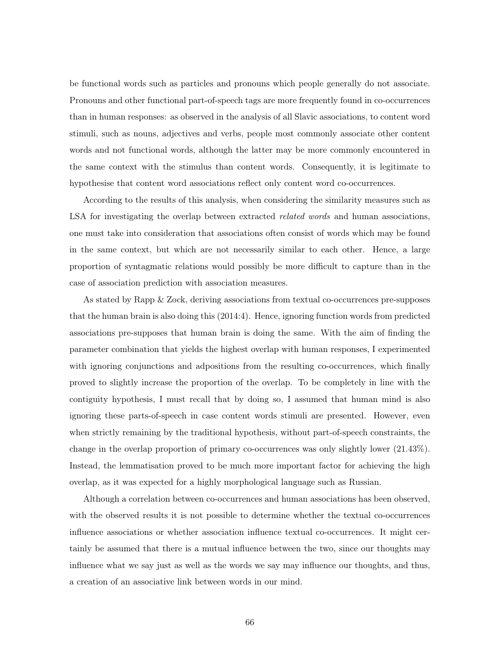be functional words such as particles and pronouns which people generally do not associate. Pronouns and other functional part-of-speech tags are more frequently found in co-occurrences than in human responses: as observed in the analysis of all Slavic associations, to content word stimuli, such as nouns, adjectives and verbs, people most commonly associate other content words and not functional words, although the latter may be more commonly encountered in the same context with the stimulus than content words. Consequently, it is legitimate to hypothesise that content word associations reflect only content word co-occurrences.

According to the results of this analysis, when considering the similarity measures such as LSA for investigating the overlap between extracted *related words* and human associations, one must take into consideration that associations often consist of words which may be found in the same context, but which are not necessarily similar to each other. Hence, a large proportion of syntagmatic relations would possibly be more difficult to capture than in the case of association prediction with association measures.

As stated by Rapp & Zock, deriving associations from textual co-occurrences pre-supposes that the human brain is also doing this (2014:4). Hence, ignoring function words from predicted associations pre-supposes that human brain is doing the same. With the aim of finding the parameter combination that yields the highest overlap with human responses, I experimented with ignoring conjunctions and adpositions from the resulting co-occurrences, which finally proved to slightly increase the proportion of the overlap. To be completely in line with the contiguity hypothesis, I must recall that by doing so, I assumed that human mind is also ignoring these parts-of-speech in case content words stimuli are presented. However, even when strictly remaining by the traditional hypothesis, without part-of-speech constraints, the change in the overlap proportion of primary co-occurrences was only slightly lower (21.43%). Instead, the lemmatisation proved to be much more important factor for achieving the high overlap, as it was expected for a highly morphological language such as Russian.

Although a correlation between co-occurrences and human associations has been observed, with the observed results it is not possible to determine whether the textual co-occurrences influence associations or whether association influence textual co-occurrences. It might certainly be assumed that there is a mutual influence between the two, since our thoughts may influence what we say just as well as the words we say may influence our thoughts, and thus, a creation of an associative link between words in our mind.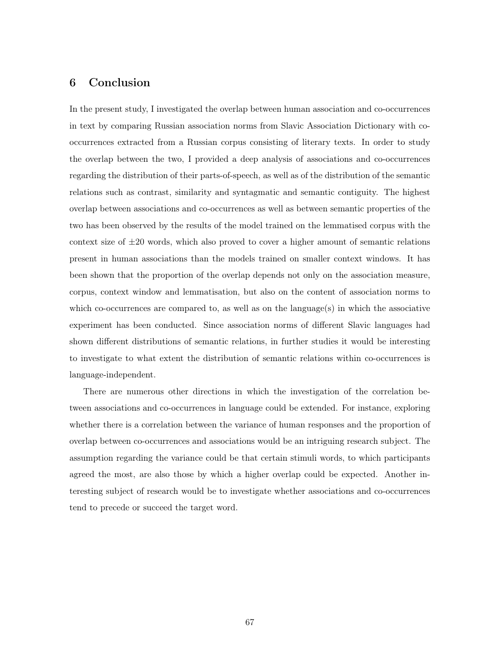# 6 Conclusion

In the present study, I investigated the overlap between human association and co-occurrences in text by comparing Russian association norms from Slavic Association Dictionary with cooccurrences extracted from a Russian corpus consisting of literary texts. In order to study the overlap between the two, I provided a deep analysis of associations and co-occurrences regarding the distribution of their parts-of-speech, as well as of the distribution of the semantic relations such as contrast, similarity and syntagmatic and semantic contiguity. The highest overlap between associations and co-occurrences as well as between semantic properties of the two has been observed by the results of the model trained on the lemmatised corpus with the context size of  $\pm 20$  words, which also proved to cover a higher amount of semantic relations present in human associations than the models trained on smaller context windows. It has been shown that the proportion of the overlap depends not only on the association measure, corpus, context window and lemmatisation, but also on the content of association norms to which co-occurrences are compared to, as well as on the language $(s)$  in which the associative experiment has been conducted. Since association norms of different Slavic languages had shown different distributions of semantic relations, in further studies it would be interesting to investigate to what extent the distribution of semantic relations within co-occurrences is language-independent.

There are numerous other directions in which the investigation of the correlation between associations and co-occurrences in language could be extended. For instance, exploring whether there is a correlation between the variance of human responses and the proportion of overlap between co-occurrences and associations would be an intriguing research subject. The assumption regarding the variance could be that certain stimuli words, to which participants agreed the most, are also those by which a higher overlap could be expected. Another interesting subject of research would be to investigate whether associations and co-occurrences tend to precede or succeed the target word.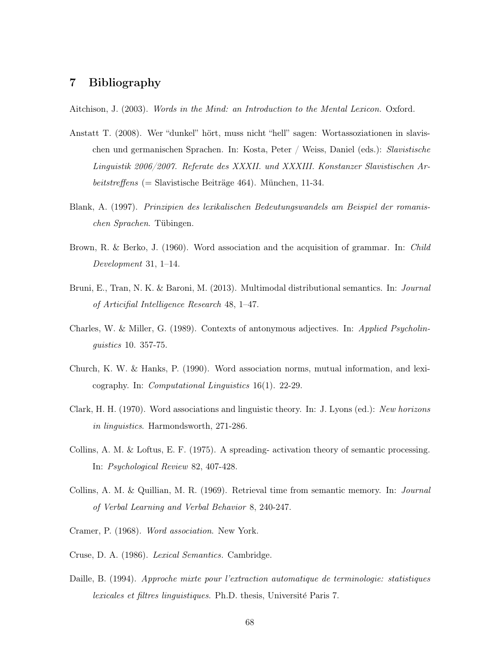## 7 Bibliography

Aitchison, J. (2003). *Words in the Mind: an Introduction to the Mental Lexicon.* Oxford.

- Anstatt T. (2008). Wer "dunkel" hört, muss nicht "hell" sagen: Wortassoziationen in slavischen und germanischen Sprachen. In: Kosta, Peter / Weiss, Daniel (eds.): Slavistische Linguistik 2006/2007. Referate des XXXII. und XXXIII. Konstanzer Slavistischen Arbeitstreffens (= Slavistische Beiträge 464). München, 11-34.
- Blank, A. (1997). Prinzipien des lexikalischen Bedeutungswandels am Beispiel der romanischen Sprachen. Tübingen.
- Brown, R. & Berko, J. (1960). Word association and the acquisition of grammar. In: Child Development 31, 1–14.
- Bruni, E., Tran, N. K. & Baroni, M. (2013). Multimodal distributional semantics. In: Journal of Articifial Intelligence Research 48, 1–47.
- Charles, W. & Miller, G. (1989). Contexts of antonymous adjectives. In: Applied Psycholinguistics 10. 357-75.
- Church, K. W. & Hanks, P. (1990). Word association norms, mutual information, and lexicography. In: Computational Linguistics 16(1). 22-29.
- Clark, H. H. (1970). Word associations and linguistic theory. In: J. Lyons (ed.): New horizons in linguistics. Harmondsworth, 271-286.
- Collins, A. M. & Loftus, E. F. (1975). A spreading- activation theory of semantic processing. In: Psychological Review 82, 407-428.
- Collins, A. M. & Quillian, M. R. (1969). Retrieval time from semantic memory. In: Journal of Verbal Learning and Verbal Behavior 8, 240-247.
- Cramer, P. (1968). Word association. New York.
- Cruse, D. A. (1986). Lexical Semantics. Cambridge.
- Daille, B. (1994). Approche mixte pour l'extraction automatique de terminologie: statistiques lexicales et filtres linguistiques. Ph.D. thesis, Université Paris 7.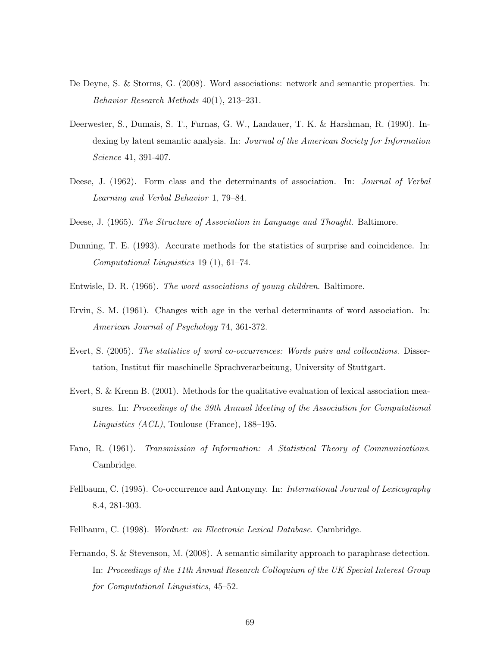- De Deyne, S. & Storms, G. (2008). Word associations: network and semantic properties. In: Behavior Research Methods 40(1), 213–231.
- Deerwester, S., Dumais, S. T., Furnas, G. W., Landauer, T. K. & Harshman, R. (1990). Indexing by latent semantic analysis. In: Journal of the American Society for Information Science 41, 391-407.
- Deese, J. (1962). Form class and the determinants of association. In: *Journal of Verbal* Learning and Verbal Behavior 1, 79–84.
- Deese, J. (1965). The Structure of Association in Language and Thought. Baltimore.
- Dunning, T. E. (1993). Accurate methods for the statistics of surprise and coincidence. In: Computational Linguistics 19 (1), 61–74.
- Entwisle, D. R. (1966). The word associations of young children. Baltimore.
- Ervin, S. M. (1961). Changes with age in the verbal determinants of word association. In: American Journal of Psychology 74, 361-372.
- Evert, S. (2005). The statistics of word co-occurrences: Words pairs and collocations. Dissertation, Institut für maschinelle Sprachverarbeitung, University of Stuttgart.
- Evert, S. & Krenn B. (2001). Methods for the qualitative evaluation of lexical association measures. In: Proceedings of the 39th Annual Meeting of the Association for Computational Linguistics (ACL), Toulouse (France), 188–195.
- Fano, R. (1961). Transmission of Information: A Statistical Theory of Communications. Cambridge.
- Fellbaum, C. (1995). Co-occurrence and Antonymy. In: *International Journal of Lexicography* 8.4, 281-303.
- Fellbaum, C. (1998). Wordnet: an Electronic Lexical Database. Cambridge.
- Fernando, S. & Stevenson, M. (2008). A semantic similarity approach to paraphrase detection. In: Proceedings of the 11th Annual Research Colloquium of the UK Special Interest Group for Computational Linguistics, 45–52.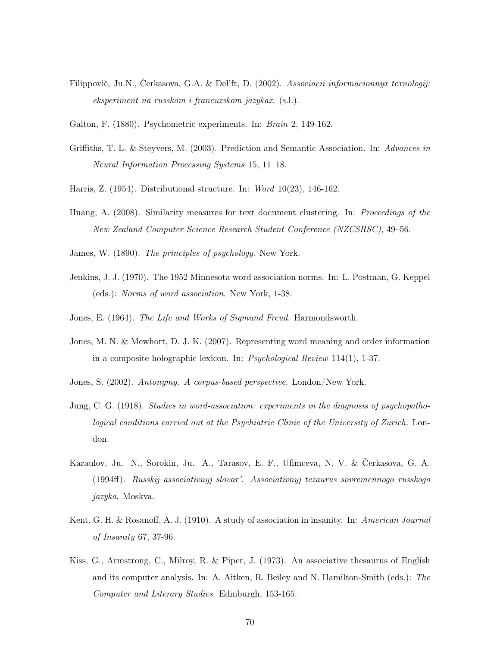- Filippovič, Ju.N., Čerkasova, G.A. & Del'ft, D. (2002). Associacii informacionnyx texnologij: eksperiment na russkom i francuzskom jazykax. (s.l.).
- Galton, F. (1880). Psychometric experiments. In: Brain 2, 149-162.
- Griffiths, T. L. & Steyvers, M. (2003). Prediction and Semantic Association. In: Advances in Neural Information Processing Systems 15, 11–18.
- Harris, Z. (1954). Distributional structure. In: Word 10(23), 146-162.
- Huang, A. (2008). Similarity measures for text document clustering. In: Proceedings of the New Zealand Computer Science Research Student Conference (NZCSRSC), 49–56.
- James, W. (1890). The principles of psychology. New York.
- Jenkins, J. J. (1970). The 1952 Minnesota word association norms. In: L. Postman, G. Keppel (eds.): Norms of word association. New York, 1-38.
- Jones, E. (1964). The Life and Works of Sigmund Freud. Harmondsworth.
- Jones, M. N. & Mewhort, D. J. K. (2007). Representing word meaning and order information in a composite holographic lexicon. In: Psychological Review 114(1), 1-37.
- Jones, S. (2002). Antonymy. A corpus-based perspective. London/New York.
- Jung, C. G. (1918). Studies in word-association: experiments in the diagnosis of psychopathological conditions carried out at the Psychiatric Clinic of the University of Zurich. London.
- Karaulov, Ju. N., Sorokin, Ju. A., Tarasov, E. F., Ufimceva, N. V. & Čerkasova, G. A. (1994ff). Russkij associativnyj slovar'. Associativnyj tezaurus sovremennogo russkogo jazyka. Moskva.
- Kent, G. H. & Rosanoff, A. J. (1910). A study of association in insanity. In: American Journal of Insanity 67, 37-96.
- Kiss, G., Armstrong, C., Milroy, R. & Piper, J. (1973). An associative thesaurus of English and its computer analysis. In: A. Aitken, R. Beiley and N. Hamilton-Smith (eds.): The Computer and Literary Studies. Edinburgh, 153-165.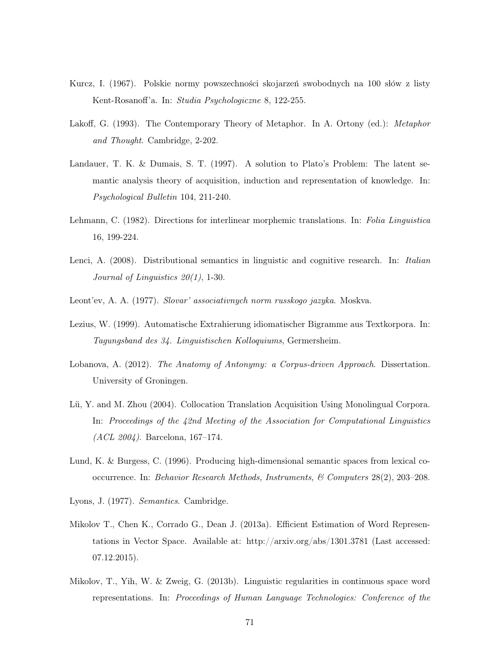- Kurcz, I. (1967). Polskie normy powszechności skojarzeń swobodnych na 100 słów z listy Kent-Rosanoff'a. In: Studia Psychologiczne 8, 122-255.
- Lakoff, G. (1993). The Contemporary Theory of Metaphor. In A. Ortony (ed.): *Metaphor* and Thought. Cambridge, 2-202.
- Landauer, T. K. & Dumais, S. T. (1997). A solution to Plato's Problem: The latent semantic analysis theory of acquisition, induction and representation of knowledge. In: Psychological Bulletin 104, 211-240.
- Lehmann, C. (1982). Directions for interlinear morphemic translations. In: Folia Linguistica 16, 199-224.
- Lenci, A. (2008). Distributional semantics in linguistic and cognitive research. In: *Italian* Journal of Linguistics 20(1), 1-30.
- Leont'ev, A. A. (1977). Slovar' associativnych norm russkogo jazyka. Moskva.
- Lezius, W. (1999). Automatische Extrahierung idiomatischer Bigramme aus Textkorpora. In: Tagungsband des 34. Linguistischen Kolloquiums, Germersheim.
- Lobanova, A. (2012). The Anatomy of Antonymy: a Corpus-driven Approach. Dissertation. University of Groningen.
- Lü, Y. and M. Zhou (2004). Collocation Translation Acquisition Using Monolingual Corpora. In: Proceedings of the 42nd Meeting of the Association for Computational Linguistics (ACL 2004). Barcelona, 167–174.
- Lund, K. & Burgess, C. (1996). Producing high-dimensional semantic spaces from lexical cooccurrence. In: Behavior Research Methods, Instruments, & Computers 28(2), 203–208.
- Lyons, J. (1977). Semantics. Cambridge.
- Mikolov T., Chen K., Corrado G., Dean J. (2013a). Efficient Estimation of Word Representations in Vector Space. Available at: http://arxiv.org/abs/1301.3781 (Last accessed: 07.12.2015).
- Mikolov, T., Yih, W. & Zweig, G. (2013b). Linguistic regularities in continuous space word representations. In: Proceedings of Human Language Technologies: Conference of the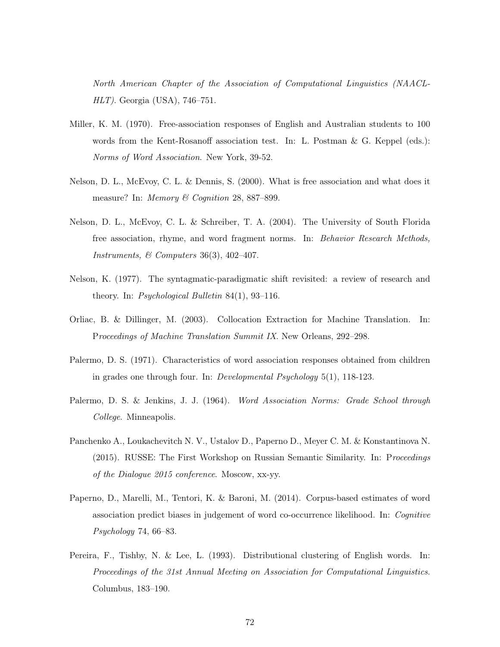North American Chapter of the Association of Computational Linguistics (NAACL-HLT). Georgia (USA), 746–751.

- Miller, K. M. (1970). Free-association responses of English and Australian students to 100 words from the Kent-Rosanoff association test. In: L. Postman & G. Keppel (eds.): Norms of Word Association. New York, 39-52.
- Nelson, D. L., McEvoy, C. L. & Dennis, S. (2000). What is free association and what does it measure? In: *Memory & Cognition 28, 887–899.*
- Nelson, D. L., McEvoy, C. L. & Schreiber, T. A. (2004). The University of South Florida free association, rhyme, and word fragment norms. In: Behavior Research Methods, Instruments, & Computers 36(3), 402-407.
- Nelson, K. (1977). The syntagmatic-paradigmatic shift revisited: a review of research and theory. In: Psychological Bulletin  $84(1)$ , 93-116.
- Orliac, B. & Dillinger, M. (2003). Collocation Extraction for Machine Translation. In: Proceedings of Machine Translation Summit IX. New Orleans, 292–298.
- Palermo, D. S. (1971). Characteristics of word association responses obtained from children in grades one through four. In: Developmental Psychology 5(1), 118-123.
- Palermo, D. S. & Jenkins, J. J. (1964). Word Association Norms: Grade School through College. Minneapolis.
- Panchenko A., Loukachevitch N. V., Ustalov D., Paperno D., Meyer C. M. & Konstantinova N. (2015). RUSSE: The First Workshop on Russian Semantic Similarity. In: Proceedings of the Dialogue 2015 conference. Moscow, xx-yy.
- Paperno, D., Marelli, M., Tentori, K. & Baroni, M. (2014). Corpus-based estimates of word association predict biases in judgement of word co-occurrence likelihood. In: Cognitive Psychology 74, 66–83.
- Pereira, F., Tishby, N. & Lee, L. (1993). Distributional clustering of English words. In: Proceedings of the 31st Annual Meeting on Association for Computational Linguistics. Columbus, 183–190.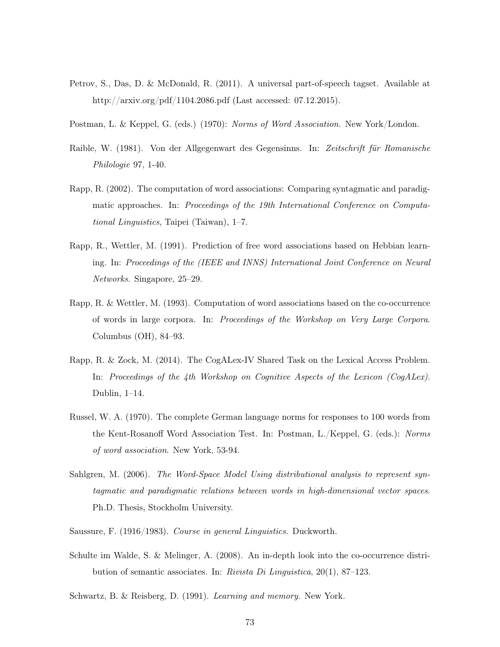- Petrov, S., Das, D. & McDonald, R. (2011). A universal part-of-speech tagset. Available at http://arxiv.org/pdf/1104.2086.pdf (Last accessed: 07.12.2015).
- Postman, L. & Keppel, G. (eds.) (1970): Norms of Word Association. New York/London.
- Raible, W. (1981). Von der Allgegenwart des Gegensinns. In: Zeitschrift für Romanische Philologie 97, 1-40.
- Rapp, R. (2002). The computation of word associations: Comparing syntagmatic and paradigmatic approaches. In: Proceedings of the 19th International Conference on Computational Linguistics, Taipei (Taiwan), 1–7.
- Rapp, R., Wettler, M. (1991). Prediction of free word associations based on Hebbian learning. In: Proceedings of the (IEEE and INNS) International Joint Conference on Neural Networks. Singapore, 25–29.
- Rapp, R. & Wettler, M. (1993). Computation of word associations based on the co-occurrence of words in large corpora. In: Proceedings of the Workshop on Very Large Corpora. Columbus (OH), 84–93.
- Rapp, R. & Zock, M. (2014). The CogALex-IV Shared Task on the Lexical Access Problem. In: Proceedings of the 4th Workshop on Cognitive Aspects of the Lexicon (CogALex). Dublin, 1–14.
- Russel, W. A. (1970). The complete German language norms for responses to 100 words from the Kent-Rosanoff Word Association Test. In: Postman, L./Keppel, G. (eds.): Norms of word association. New York, 53-94.
- Sahlgren, M. (2006). The Word-Space Model Using distributional analysis to represent syntagmatic and paradigmatic relations between words in high-dimensional vector spaces. Ph.D. Thesis, Stockholm University.
- Saussure, F. (1916/1983). Course in general Linguistics. Duckworth.
- Schulte im Walde, S. & Melinger, A. (2008). An in-depth look into the co-occurrence distribution of semantic associates. In: Rivista Di Linguistica, 20(1), 87–123.
- Schwartz, B. & Reisberg, D. (1991). Learning and memory. New York.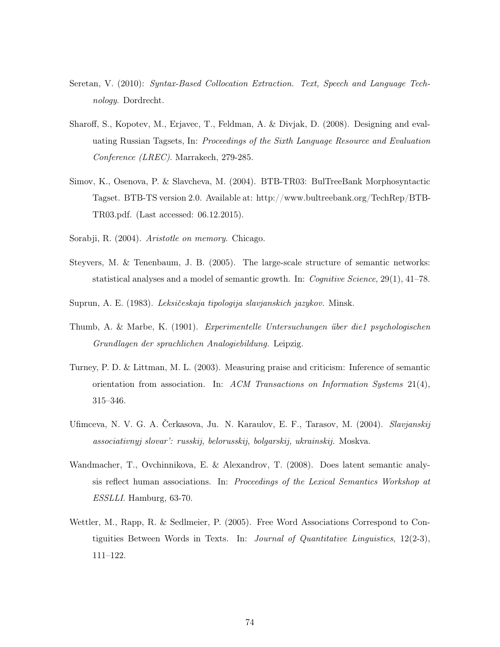- Seretan, V. (2010): Syntax-Based Collocation Extraction. Text, Speech and Language Technology. Dordrecht.
- Sharoff, S., Kopotev, M., Erjavec, T., Feldman, A. & Divjak, D. (2008). Designing and evaluating Russian Tagsets, In: Proceedings of the Sixth Language Resource and Evaluation Conference (LREC). Marrakech, 279-285.
- Simov, K., Osenova, P. & Slavcheva, M. (2004). BTB-TR03: BulTreeBank Morphosyntactic Tagset. BTB-TS version 2.0. Available at: http://www.bultreebank.org/TechRep/BTB-TR03.pdf. (Last accessed: 06.12.2015).
- Sorabji, R. (2004). Aristotle on memory. Chicago.
- Steyvers, M. & Tenenbaum, J. B. (2005). The large-scale structure of semantic networks: statistical analyses and a model of semantic growth. In: Cognitive Science, 29(1), 41–78.
- Suprun, A. E. (1983). Leksičeskaja tipologija slavjanskich jazykov. Minsk.
- Thumb, A. & Marbe, K. (1901). Experimentelle Untersuchungen über die1 psychologischen Grundlagen der sprachlichen Analogiebildung. Leipzig.
- Turney, P. D. & Littman, M. L. (2003). Measuring praise and criticism: Inference of semantic orientation from association. In: ACM Transactions on Information Systems  $21(4)$ , 315–346.
- Ufimceva, N. V. G. A. Čerkasova, Ju. N. Karaulov, E. F., Tarasov, M. (2004). *Slavjanskij* associativnyj slovar': russkij, belorusskij, bolgarskij, ukrainskij. Moskva.
- Wandmacher, T., Ovchinnikova, E. & Alexandrov, T. (2008). Does latent semantic analysis reflect human associations. In: Proceedings of the Lexical Semantics Workshop at ESSLLI. Hamburg, 63-70.
- Wettler, M., Rapp, R. & Sedlmeier, P. (2005). Free Word Associations Correspond to Contiguities Between Words in Texts. In: Journal of Quantitative Linguistics, 12(2-3), 111–122.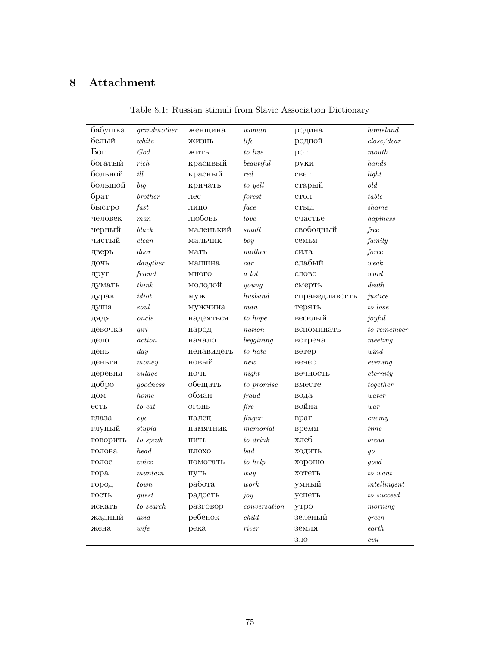## 8 Attachment

| бабушка      | grandmother       | женщина        | woman               | родина         | homeland            |
|--------------|-------------------|----------------|---------------------|----------------|---------------------|
| белый        | white             | ЖИЗНЬ          | life                | родной         | close/dear          |
| Бог          | God               | ЖИТЬ           | to live             | <b>POT</b>     | mouth               |
| богатый      | rich              | красивый       | be a utilful        | руки           | hands               |
| больной      | ill               | красный        | $_{red}$            | свет           | light               |
| большой      | big               | кричать        | to yell             | старый         | old                 |
| брат         | brother           | $_{\rm{Jrec}}$ | forest              | CTOJI          | table               |
| быстро       | $\mathit{fast}$   | ЛИЦО           | face                | СТЫД           | shame               |
| человек      | man               | любовь         | love                | счастье        | hapiness            |
| черный       | black             | маленький      | small               | свободный      | free                |
| чистый       | clean             | мальчик        | boy                 | семья          | family              |
| дверь        | door              | мать           | mother              | сила           | force               |
| дочь         | $d$ augther       | машина         | car                 | слабый         | weak                |
| друг         | friend            | МНОГО          | a lot               | слово          | word                |
| думать       | think             | молодой        | $\mathit{young}$    | смерть         | death               |
| дурак        | $idiot$           | муж            | husband             | справедливость | justice             |
| душа         | $\mathit{soul}$   | мужчина        | man                 | терять         | to lose             |
| ДЯДЯ         | oncle             | надеяться      | to hope             | веселый        | joyful              |
| девочка      | qirl              | народ          | nation              | вспоминать     | to remember         |
| дело         | action            | начало         | beggining           | встреча        | meeting             |
| день         | day               | ненавидеть     | to hate             | ветер          | wind                |
| деньги       | money             | новый          | new                 | вечер          | evening             |
| деревня      | village           | НОЧЬ           | night               | вечность       | $\mathit{eternity}$ |
| добро        | goodness          | обещать        | to promise          | вместе         | together            |
| ДОМ          | home              | обман          | fraud               | вода           | water               |
| $_{\rm CTL}$ | to eat            | OFOHL          | fire                | война          | $\it{war}$          |
| глаза        | eye               | палец          | finger              | враг           | enemy               |
| глупый       | stupid            | памятник       | $\it{memorial}$     | время          | time                |
| говорить     | to speak          | ПИТЬ           | to drink            | хлеб           | <i>bread</i>        |
| голова       | head              | ПЛОХО          | bad                 | ходить         | $g$ o               |
| ГОЛОС        | $v^{\text{o}ice}$ | помогать       | to help             | хорошо         | good                |
| гора         | muntain           | ПУТЬ           | way                 | хотеть         | to want             |
| город        | town              | работа         | work                | умный          | intellingent        |
| ГОСТЬ        | guest             | радость        | joy                 | успеть         | to succeed          |
| искать       | to search         | разговор       | $\emph{conversion}$ | утро           | $m$                 |
| жадный       | $avid$            | ребенок        | $child$             | зеленый        | qreen               |
| жена         | wife              | река           | river               | земля          | earth               |
|              |                   |                |                     | ЗЛО            | evil                |

Table 8.1: Russian stimuli from Slavic Association Dictionary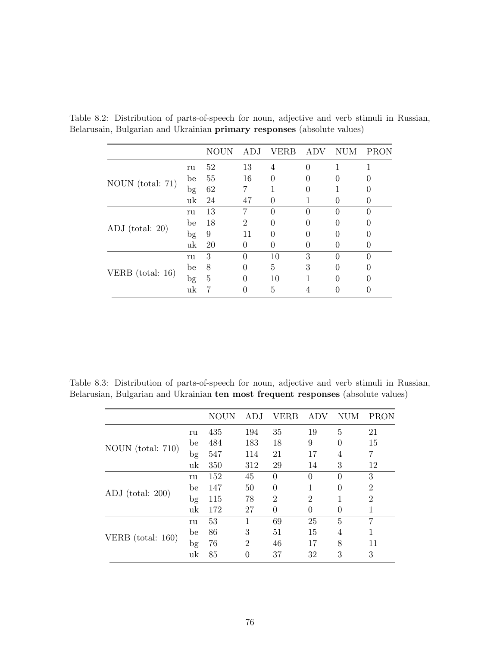|                    |             | NOUN | ADJ.           | ERB      | ADV      | NUM      | PRON     |
|--------------------|-------------|------|----------------|----------|----------|----------|----------|
|                    | ru          | 52   | 13             | 4        |          |          |          |
|                    | be          | 55   | 16             | $\Omega$ | 0        | $\theta$ |          |
| NOUN $(total: 71)$ | $_{\rm bg}$ | 62   | 7              |          | 0        |          |          |
|                    | uk          | 24   | 47             | 0        |          | 0        |          |
|                    | ru          | 13   | 7              | 0        |          | 0        |          |
| $ADJ$ (total: 20)  | be          | 18   | $\overline{2}$ | 0        | ∩        | 0        |          |
|                    | $_{\rm bg}$ | 9    | 11             | 0        | $\Omega$ | 0        |          |
|                    | uk          | 20   | 0              |          |          | 0        | 0        |
|                    | ru          | 3    | $\Omega$       | 10       | 3        | $\Omega$ | $\Omega$ |
| VERB $(total: 16)$ | be          | 8    | 0              | 5        | 3        | 0        | 0        |
|                    | $_{\rm bg}$ | 5    | 0              | 10       |          | 0        |          |
|                    | uk          |      |                | 5        |          |          |          |

Table 8.2: Distribution of parts-of-speech for noun, adjective and verb stimuli in Russian, Belarusain, Bulgarian and Ukrainian primary responses (absolute values)

Table 8.3: Distribution of parts-of-speech for noun, adjective and verb stimuli in Russian, Belarusian, Bulgarian and Ukrainian ten most frequent responses (absolute values)

|                     |        | <b>NOUN</b> | ADJ            | VERB           | <b>ADV</b>     | NUM      | PRON           |
|---------------------|--------|-------------|----------------|----------------|----------------|----------|----------------|
|                     | ru     | 435         | 194            | 35             | 19             | 5        | 21             |
|                     | be     | 484         | 183            | 18             | 9              | $\theta$ | 15             |
| NOUN (total: 710)   | bg     | 547         | 114            | 21             | 17             | 4        | 7              |
|                     | uk     | 350         | 312            | 29             | 14             | 3        | 12             |
|                     | ru     | 152         | 45             | $\Omega$       | $\Omega$       | $\Omega$ | 3              |
| ADJ $(total: 200)$  | be     | 147         | 50             | $\theta$       | 1              | $\Omega$ | $\overline{2}$ |
|                     | $\log$ | 115         | 78             | $\overline{2}$ | $\overline{2}$ | 1        | $\overline{2}$ |
|                     | uk     | 172         | 27             | $\theta$       | 0              | $\theta$ | 1              |
|                     | ru     | 53          |                | 69             | 25             | 5        | 7              |
|                     | be     | 86          | 3              | 51             | 15             | 4        | 1              |
| VERB $(total: 160)$ | bg     | 76          | $\overline{2}$ | 46             | 17             | 8        | 11             |
|                     | uk     | 85          | $\Omega$       | 37             | 32             | 3        | 3              |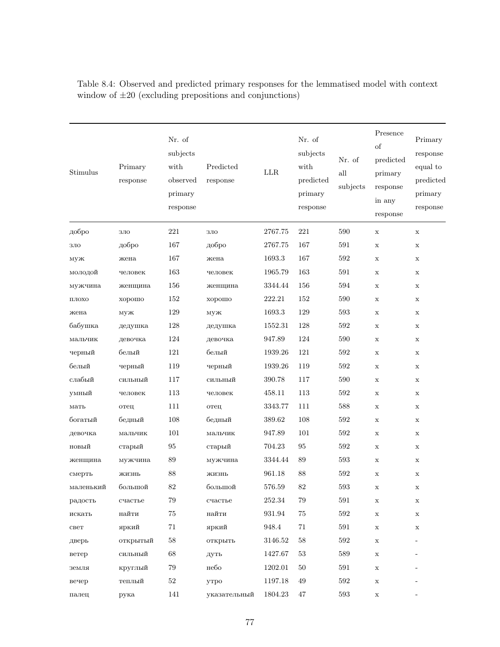| Stimulus           | Primary<br>response | Nr. of<br>subjects<br>with<br>observed<br>primary<br>response | Predicted<br>response | $_{\rm LLR}$ | Nr. of<br>subjects<br>with<br>predicted<br>primary<br>response | Nr. of<br>$\operatorname{all}$<br>subjects | Presence<br>$_{\rm of}$<br>predicted<br>primary<br>response<br>in any<br>response | Primary<br>response<br>equal to<br>predicted<br>primary<br>response |
|--------------------|---------------------|---------------------------------------------------------------|-----------------------|--------------|----------------------------------------------------------------|--------------------------------------------|-----------------------------------------------------------------------------------|---------------------------------------------------------------------|
| добро              | ЗЛО                 | 221                                                           | ЗЛО                   | 2767.75      | 221                                                            | 590                                        | $\mathbf x$                                                                       | $\mathbf x$                                                         |
| ЗЛО                | добро               | 167                                                           | добро                 | 2767.75      | 167                                                            | 591                                        | X                                                                                 | X                                                                   |
| муж                | жена                | 167                                                           | жена                  | 1693.3       | 167                                                            | 592                                        | X                                                                                 | X                                                                   |
| молодой            | человек             | 163                                                           | человек               | 1965.79      | 163                                                            | 591                                        | $\mathbf x$                                                                       | X                                                                   |
| мужчина            | женщина             | 156                                                           | женщина               | 3344.44      | 156                                                            | 594                                        | $\mathbf x$                                                                       | $\mathbf x$                                                         |
| $\Pi\mathsf{JOXO}$ | хорошо              | 152                                                           | хорошо                | 222.21       | 152                                                            | 590                                        | $\mathbf x$                                                                       | $\mathbf x$                                                         |
| жена               | муж                 | $129\,$                                                       | муж                   | 1693.3       | 129                                                            | 593                                        | $\mathbf x$                                                                       | X                                                                   |
| бабушка            | дедушка             | 128                                                           | дедушка               | 1552.31      | 128                                                            | 592                                        | $\mathbf x$                                                                       | X                                                                   |
| мальчик            | девочка             | 124                                                           | девочка               | 947.89       | 124                                                            | 590                                        | X                                                                                 | $\mathbf X$                                                         |
| черный             | белый               | 121                                                           | белый                 | 1939.26      | 121                                                            | 592                                        | $\mathbf x$                                                                       | $\mathbf x$                                                         |
| белый              | черный              | 119                                                           | черный                | 1939.26      | 119                                                            | 592                                        | X                                                                                 | $\mathbf x$                                                         |
| слабый             | сильный             | 117                                                           | сильный               | 390.78       | 117                                                            | 590                                        | X                                                                                 | $\mathbf x$                                                         |
| умный              | человек             | 113                                                           | человек               | 458.11       | 113                                                            | 592                                        | X                                                                                 | $\mathbf x$                                                         |
| мать               | отец                | 111                                                           | отец                  | 3343.77      | 111                                                            | 588                                        | $\mathbf x$                                                                       | $\mathbf x$                                                         |
| богатый            | бедный              | 108                                                           | бедный                | 389.62       | 108                                                            | 592                                        | X                                                                                 | $\mathbf x$                                                         |
| девочка            | мальчик             | 101                                                           | мальчик               | 947.89       | 101                                                            | 592                                        | $\mathbf x$                                                                       | $\mathbf X$                                                         |
| новый              | старый              | 95                                                            | старый                | 704.23       | 95                                                             | 592                                        | X                                                                                 | $\mathbf x$                                                         |
| женщина            | мужчина             | 89                                                            | мужчина               | 3344.44      | 89                                                             | 593                                        | X                                                                                 | $\mathbf x$                                                         |
| смерть             | жизнь               | 88                                                            | жизнь                 | 961.18       | 88                                                             | 592                                        | X                                                                                 | X                                                                   |
| маленький          | большой             | $82\,$                                                        | большой               | 576.59       | 82                                                             | $593\,$                                    | X                                                                                 | х                                                                   |
| радость            | счастье             | 79                                                            | счастье               | $252.34\,$   | 79                                                             | 591                                        | X                                                                                 | $\mathbf X$                                                         |
| искать             | найти               | 75                                                            | найти                 | 931.94       | 75                                                             | 592                                        | $\mathbf x$                                                                       | $\mathbf x$                                                         |
| свет               | яркий               | 71                                                            | яркий                 | 948.4        | 71                                                             | 591                                        | X                                                                                 | $\mathbf x$                                                         |
| дверь              | открытый            | 58                                                            | открыть               | 3146.52      | 58                                                             | 592                                        | X                                                                                 | $\overline{\phantom{a}}$                                            |
| ветер              | сильный             | 68                                                            | дуть                  | 1427.67      | 53                                                             | 589                                        | X                                                                                 |                                                                     |
| земля              | круглый             | 79                                                            | небо                  | 1202.01      | 50                                                             | 591                                        | X                                                                                 |                                                                     |
| вечер              | теплый              | $52\,$                                                        | утро                  | 1197.18      | 49                                                             | 592                                        | $\mathbf x$                                                                       |                                                                     |
| палец              | рука                | 141                                                           | указательный          | 1804.23      | $47\,$                                                         | $593\,$                                    | $\mathbf X$                                                                       |                                                                     |

Table 8.4: Observed and predicted primary responses for the lemmatised model with context window of  $\pm 20$  (excluding prepositions and conjunctions)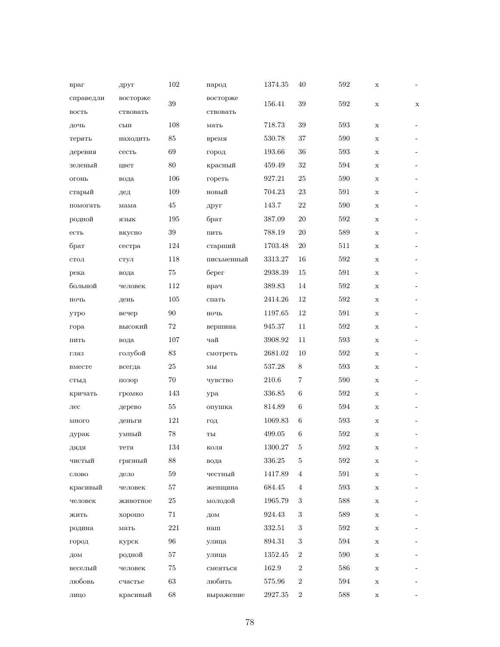| враг              | друг     | 102       | народ                            | 1374.35     | 40             | 592     | $\mathbf x$ |                          |
|-------------------|----------|-----------|----------------------------------|-------------|----------------|---------|-------------|--------------------------|
| справедли         | восторже | 39        | восторже                         | 156.41      | 39             | 592     | $\mathbf x$ | $\mathbf x$              |
| BOCTD             | ствовать |           | ствовать                         |             |                |         |             |                          |
| дочь              | сын      | 108       | мать                             | 718.73      | 39             | 593     | X           |                          |
| терять            | находить | 85        | время                            | 530.78      | 37             | 590     | $\mathbf x$ | ٠                        |
| деревня           | сесть    | 69        | город                            | 193.66      | 36             | 593     | $\mathbf x$ |                          |
| зеленый           | цвет     | 80        | красный                          | 459.49      | 32             | 594     | X           | -                        |
| O <sub>LOHD</sub> | вода     | 106       | гореть                           | 927.21      | 25             | 590     | X           |                          |
| старый            | дед      | 109       | новый                            | 704.23      | 23             | 591     | $\mathbf x$ | ٠                        |
| помогать          | мама     | 45        | друг                             | 143.7       | 22             | 590     | $\mathbf x$ |                          |
| родной            | ЯЗЫК     | 195       | брат                             | 387.09      | $20\,$         | 592     | $\mathbf x$ |                          |
| ${cCD}$           | вкусно   | 39        | ПИТЬ                             | 788.19      | $20\,$         | 589     | X           |                          |
| брат              | сестра   | 124       | старший                          | 1703.48     | $20\,$         | 511     | $\mathbf x$ |                          |
| $_{\rm CTOJ I}$   | стул     | 118       | письменный                       | 3313.27     | 16             | 592     | $\mathbf x$ |                          |
| река              | вода     | 75        | берег                            | 2938.39     | 15             | 591     | $\mathbf x$ | $\overline{\phantom{a}}$ |
| больной           | человек  | 112       | врач                             | 389.83      | 14             | 592     | $\mathbf x$ |                          |
| ночь              | день     | 105       | спать                            | 2414.26     | 12             | 592     | $\mathbf x$ |                          |
| утро              | вечер    | 90        | ночь                             | 1197.65     | 12             | 591     | $\mathbf x$ |                          |
| гора              | высокий  | 72        | вершина                          | 945.37      | 11             | 592     | $\mathbf x$ |                          |
| ПИТЬ              | вода     | 107       | чай                              | 3908.92     | 11             | 593     | $\mathbf x$ | $\overline{\phantom{a}}$ |
| глаз              | голубой  | 83        | смотреть                         | 2681.02     | 10             | 592     | $\mathbf x$ |                          |
| вместе            | всегда   | $25\,$    | $\mathbf{M}\mathbf{b}\mathbf{I}$ | 537.28      | 8              | 593     | $\mathbf x$ |                          |
| стыд              | позор    | 70        | чувство                          | 210.6       | 7              | 590     | X           | $\overline{\phantom{a}}$ |
| кричать           | громко   | 143       | ypa                              | 336.85      | 6              | 592     | $\mathbf x$ |                          |
| лес               | дерево   | 55        | опушка                           | 814.89      | 6              | 594     | X           |                          |
| МНОГО             | деньги   | 121       | ГОД                              | 1069.83     | 6              | 593     | $\mathbf x$ |                          |
| дурак             | умный    | 78        | TЫ                               | 499.05      | 6              | 592     | X           |                          |
| дядя              | тетя     | $134\,$   | коля                             | $1300.27\,$ | $\bf 5$        | $592\,$ | х           |                          |
| чистый            | грязный  | 88        | вода                             | 336.25      | $\overline{5}$ | 592     | $\mathbf x$ |                          |
| слово             | дело     | 59        | честный                          | 1417.89     | 4              | 591     | X           |                          |
| красивый          | человек  | 57        | женщина                          | 684.45      | 4              | 593     | X           |                          |
| человек           | животное | <b>25</b> | молодой                          | 1965.79     | 3              | 588     | $\mathbf x$ |                          |
| жить              | хорошо   | 71        | дом                              | 924.43      | 3              | 589     | $\mathbf x$ |                          |
| родина            | мать     | 221       | наш                              | 332.51      | 3              | 592     | X           |                          |
| город             | курск    | 96        | улица                            | 894.31      | 3              | 594     | X           |                          |
| ДОМ               | родной   | 57        | улица                            | 1352.45     | $\overline{2}$ | 590     | X           |                          |
| веселый           | человек  | 75        | смеяться                         | 162.9       | $\overline{2}$ | 586     | X           |                          |
| любовь            | счастье  | 63        | любить                           | 575.96      | $\overline{2}$ | 594     | $\mathbf X$ |                          |
| лицо              | красивый | $68\,$    | выражение                        | 2927.35     | $\overline{2}$ | 588     | $\mathbf X$ |                          |
|                   |          |           |                                  |             |                |         |             |                          |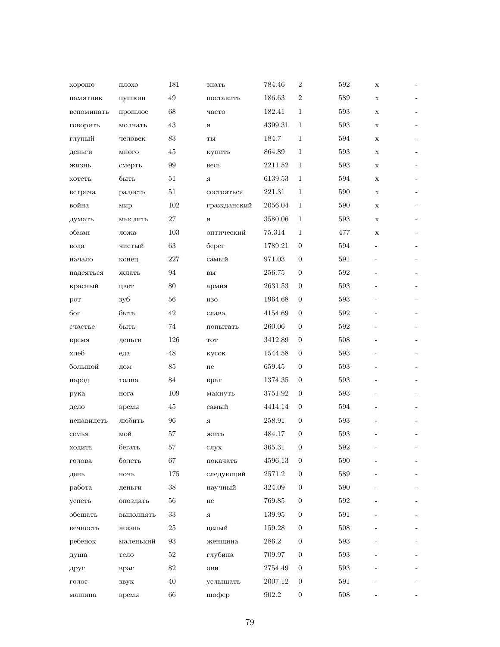| хорошо           | ПЛОХО         | 181 | знать           | 784.46     | $\overline{2}$   | 592 | $\mathbf x$ | $\overline{\phantom{a}}$ |
|------------------|---------------|-----|-----------------|------------|------------------|-----|-------------|--------------------------|
| памятник         | пушкин        | 49  | поставить       | 186.63     | $\overline{2}$   | 589 | $\mathbf x$ | ٠                        |
| вспоминать       | прошлое       | 68  | часто           | 182.41     | $\mathbf{1}$     | 593 | $\mathbf x$ |                          |
| говорить         | молчать       | 43  | я               | 4399.31    | $\mathbf{1}$     | 593 | X           | $\overline{\phantom{a}}$ |
| глупый           | человек       | 83  | ты              | 184.7      | 1                | 594 | X           |                          |
| деньги           | много         | 45  | купить          | 864.89     | 1                | 593 | $\mathbf x$ | $\overline{\phantom{a}}$ |
| жизнь            | смерть        | 99  | весь            | 2211.52    | 1                | 593 | $\mathbf x$ |                          |
| хотеть           | быть          | 51  | Я               | 6139.53    | $\mathbf{1}$     | 594 | X           | ٠                        |
| встреча          | радость       | 51  | состояться      | 221.31     | 1                | 590 | X           |                          |
| война            | мир           | 102 | гражданский     | 2056.04    | $\mathbf{1}$     | 590 | X           | $\overline{\phantom{a}}$ |
| думать           | мыслить       | 27  | Я               | 3580.06    | 1                | 593 | X           |                          |
| обман            | ложа          | 103 | оптический      | 75.314     | 1                | 477 | X           | -                        |
| вода             | чистый        | 63  | берег           | 1789.21    | $\overline{0}$   | 594 |             |                          |
| начало           | конец         | 227 | самый           | 971.03     | $\overline{0}$   | 591 |             | $\overline{\phantom{a}}$ |
| надеяться        | ждать         | 94  | B <sub>DI</sub> | 256.75     | $\mathbf{0}$     | 592 |             | $\overline{\phantom{a}}$ |
| красный          | цвет          | 80  | армия           | 2631.53    | $\overline{0}$   | 593 |             | $\overline{\phantom{a}}$ |
| por              | зуб           | 56  | изо             | 1964.68    | $\overline{0}$   | 593 |             |                          |
| бог              | быть          | 42  | слава           | 4154.69    | $\theta$         | 592 |             |                          |
| счастье          | быть          | 74  | попытать        | 260.06     | $\mathbf{0}$     | 592 |             |                          |
| время            | деньги        | 126 | <b>TOT</b>      | 3412.89    | $\theta$         | 508 |             |                          |
| хлеб             | еда           | 48  | кусок           | 1544.58    | $\mathbf{0}$     | 593 |             |                          |
| большой          | ДОМ           | 85  | не              | 659.45     | $\overline{0}$   | 593 |             |                          |
| народ            | толпа         | 84  | враг            | 1374.35    | $\overline{0}$   | 593 |             |                          |
| рука             | нога          | 109 | махнуть         | 3751.92    | $\overline{0}$   | 593 |             |                          |
| дело             | время         | 45  | самый           | 4414.14    | $\overline{0}$   | 594 |             |                          |
| ненавидеть       | любить        | 96  | Я               | 258.91     | $\overline{0}$   | 593 |             |                          |
| семья            | мой           | 57  | ЖИТЬ            | 484.17     | $\mathbf{0}$     | 593 |             |                          |
| ходить           | бегать        | 57  | $c$ лух         | 365.31     | $\boldsymbol{0}$ | 592 |             |                          |
| голова           | болеть        | 67  | покачать        | 4596.13    | $\overline{0}$   | 590 |             |                          |
| день             | $_{\rm HO4P}$ | 175 | следующий       | 2571.2     | $\boldsymbol{0}$ | 589 |             |                          |
| работа           | деньги        | 38  | научный         | 324.09     | $\overline{0}$   | 590 |             |                          |
| успеть           | опоздать      | 56  | He              | $769.85\,$ | $\overline{0}$   | 592 |             |                          |
| обещать          | выполнять     | 33  | Я               | 139.95     | $\boldsymbol{0}$ | 591 |             |                          |
| вечность         | жизнь         | 25  | целый           | 159.28     | $\overline{0}$   | 508 |             |                          |
| ребенок          | маленький     | 93  | женщина         | $286.2\,$  | 0                | 593 |             |                          |
| душа             | тело          | 52  | глубина         | 709.97     | $\boldsymbol{0}$ | 593 |             |                          |
| друг             | враг          | 82  | ОНИ             | 2754.49    | $\boldsymbol{0}$ | 593 |             |                          |
| $_{\rm{LOJIOC}}$ | звук          | 40  | услышать        | 2007.12    | $\boldsymbol{0}$ | 591 |             |                          |
| машина           | время         | 66  | шофер           | $902.2\,$  | $\boldsymbol{0}$ | 508 |             |                          |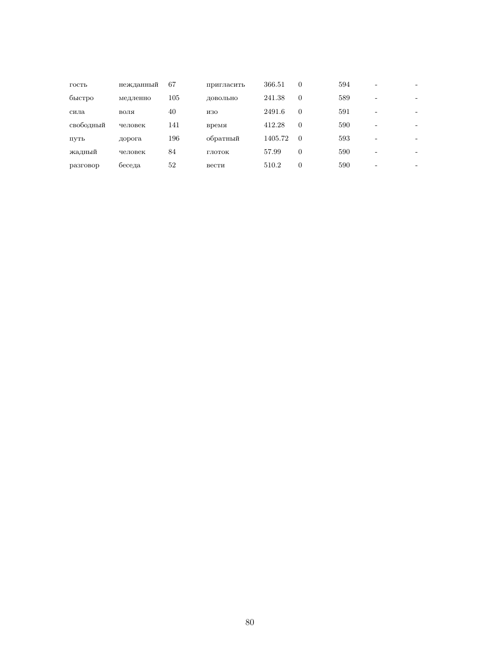| гость     | нежданный | 67  | пригласить | 366.51  | 0        | 594 |   |                          |
|-----------|-----------|-----|------------|---------|----------|-----|---|--------------------------|
| быстро    | медленно  | 105 | ЛОВОЛЬНО   | 241.38  | 0        | 589 |   |                          |
| сила      | воля      | 40  | изо        | 2491.6  | 0        | 591 | - |                          |
| свободный | человек   | 141 | время      | 412.28  | 0        | 590 |   | -                        |
| ПУТЬ      | дорога    | 196 | обратный   | 1405.72 | $\theta$ | 593 | - |                          |
| жадный    | человек   | 84  | ГЛОТОК     | 57.99   | 0        | 590 |   | $\overline{\phantom{0}}$ |
| разговор  | беседа    | 52  | вести      | 510.2   | $\Omega$ | 590 |   | ۰                        |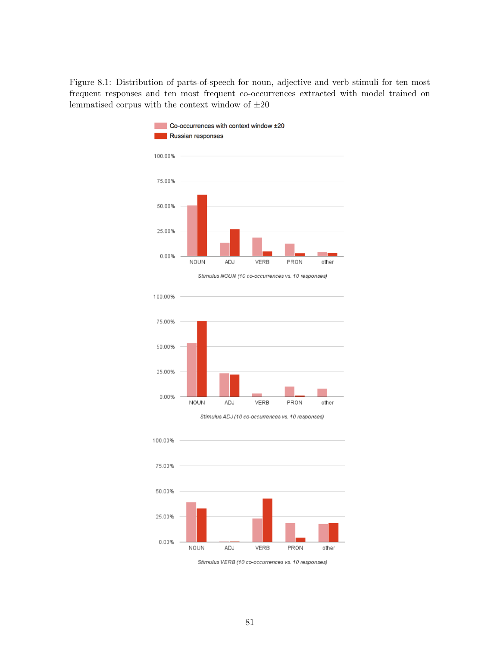Figure 8.1: Distribution of parts-of-speech for noun, adjective and verb stimuli for ten most frequent responses and ten most frequent co-occurrences extracted with model trained on lemmatised corpus with the context window of  $\pm 20$ 



Stimulus NOUN (10 co-occurrences vs. 10 responses)



Stimulus ADJ (10 co-occurrences vs. 10 responses)



Stimulus VERB (10 co-occurrences vs. 10 responses)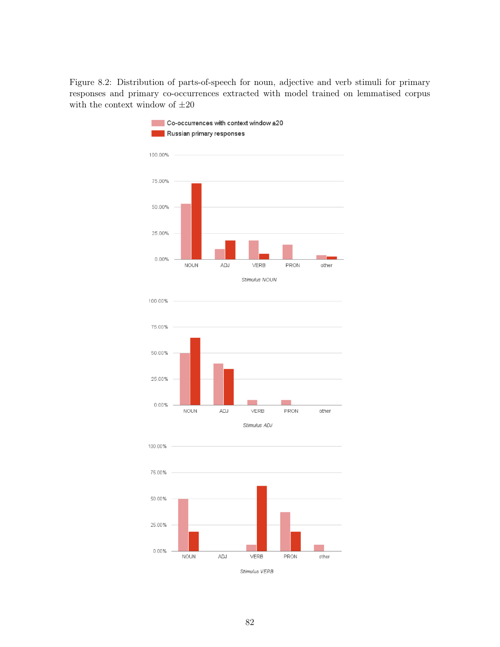Figure 8.2: Distribution of parts-of-speech for noun, adjective and verb stimuli for primary responses and primary co-occurrences extracted with model trained on lemmatised corpus with the context window of  $\pm 20$ 







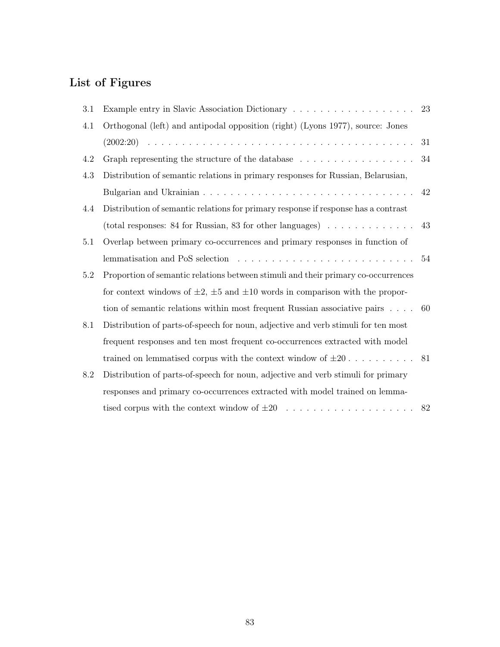## List of Figures

| 3.1     |                                                                                                     | 23 |
|---------|-----------------------------------------------------------------------------------------------------|----|
| 4.1     | Orthogonal (left) and antipodal opposition (right) (Lyons 1977), source: Jones                      |    |
|         |                                                                                                     | 31 |
| 4.2     |                                                                                                     | 34 |
| 4.3     | Distribution of semantic relations in primary responses for Russian, Belarusian,                    |    |
|         |                                                                                                     | 42 |
| 4.4     | Distribution of semantic relations for primary response if response has a contrast                  |    |
|         | (total responses: 84 for Russian, 83 for other languages) $\ldots \ldots \ldots \ldots$             | 43 |
| 5.1     | Overlap between primary co-occurrences and primary responses in function of                         |    |
|         | lemmatisation and PoS selection $\ldots \ldots \ldots \ldots \ldots \ldots \ldots \ldots \ldots 54$ |    |
| $5.2\,$ | Proportion of semantic relations between stimuli and their primary co-occurrences                   |    |
|         | for context windows of $\pm 2$ , $\pm 5$ and $\pm 10$ words in comparison with the propor-          |    |
|         | tion of semantic relations within most frequent Russian associative pairs $\dots$ 60                |    |
| 8.1     | Distribution of parts-of-speech for noun, adjective and verb stimuli for ten most                   |    |
|         | frequent responses and ten most frequent co-occurrences extracted with model                        |    |
|         | trained on lemmatised corpus with the context window of $\pm 20$ 81                                 |    |
| 8.2     | Distribution of parts-of-speech for noun, adjective and verb stimuli for primary                    |    |
|         | responses and primary co-occurrences extracted with model trained on lemma-                         |    |
|         |                                                                                                     | 82 |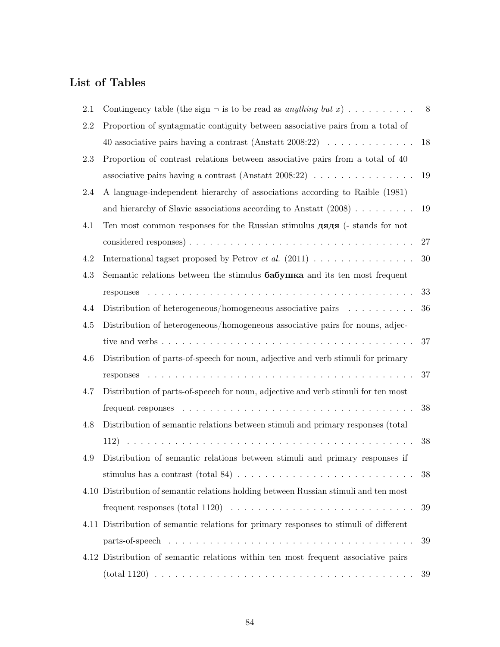## List of Tables

| 2.1 | Contingency table (the sign $\neg$ is to be read as anything but x)                    | 8      |
|-----|----------------------------------------------------------------------------------------|--------|
| 2.2 | Proportion of syntagmatic contiguity between associative pairs from a total of         |        |
|     | 40 associative pairs having a contrast (Anstatt 2008:22) $\ldots \ldots \ldots \ldots$ | 18     |
| 2.3 | Proportion of contrast relations between associative pairs from a total of 40          |        |
|     |                                                                                        | 19     |
| 2.4 | A language-independent hierarchy of associations according to Raible (1981)            |        |
|     | and hierarchy of Slavic associations according to Anstatt $(2008)$                     | 19     |
| 4.1 | Ten most common responses for the Russian stimulus дядя (- stands for not              |        |
|     |                                                                                        | 27     |
| 4.2 | International tagset proposed by Petrov <i>et al.</i> $(2011)$                         | $30\,$ |
| 4.3 | Semantic relations between the stimulus $6a6y$ IIKa and its ten most frequent          |        |
|     |                                                                                        | 33     |
| 4.4 | Distribution of heterogeneous/homogeneous associative pairs                            | 36     |
| 4.5 | Distribution of heterogeneous/homogeneous associative pairs for nouns, adjec-          |        |
|     |                                                                                        | 37     |
| 4.6 | Distribution of parts-of-speech for noun, adjective and verb stimuli for primary       |        |
|     |                                                                                        | 37     |
| 4.7 | Distribution of parts-of-speech for noun, adjective and verb stimuli for ten most      |        |
|     |                                                                                        | 38     |
| 4.8 | Distribution of semantic relations between stimuli and primary responses (total        |        |
|     |                                                                                        | 38     |
| 4.9 | Distribution of semantic relations between stimuli and primary responses if            |        |
|     |                                                                                        | 38     |
|     | 4.10 Distribution of semantic relations holding between Russian stimuli and ten most   |        |
|     |                                                                                        | 39     |
|     | 4.11 Distribution of semantic relations for primary responses to stimuli of different  |        |
|     |                                                                                        | 39     |
|     | 4.12 Distribution of semantic relations within ten most frequent associative pairs     |        |
|     |                                                                                        | 39     |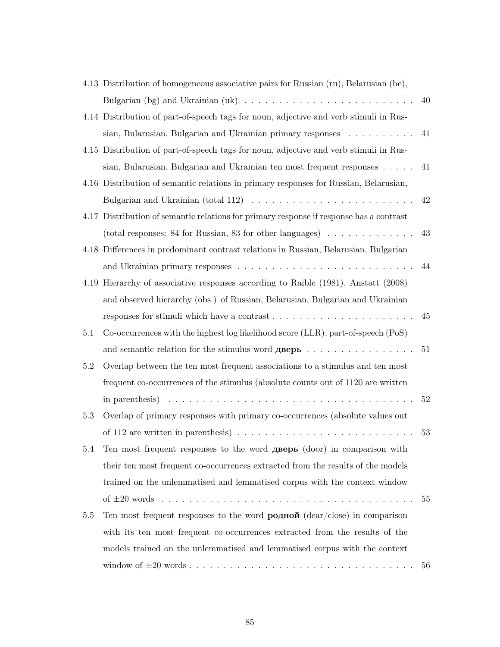|     | 4.13 Distribution of homogeneous associative pairs for Russian (ru), Belarusian (be),                        |     |
|-----|--------------------------------------------------------------------------------------------------------------|-----|
|     |                                                                                                              | 40  |
|     | 4.14 Distribution of part-of-speech tags for noun, adjective and verb stimuli in Rus-                        |     |
|     | sian, Bularusian, Bulgarian and Ukrainian primary responses                                                  | 41  |
|     | 4.15 Distribution of part-of-speech tags for noun, adjective and verb stimuli in Rus-                        |     |
|     | sian, Bularusian, Bulgarian and Ukrainian ten most frequent responses $\dots$ .                              | 41  |
|     | 4.16 Distribution of semantic relations in primary responses for Russian, Belarusian,                        |     |
|     | Bulgarian and Ukrainian (total 112) $\ldots \ldots \ldots \ldots \ldots \ldots \ldots \ldots$                | 42  |
|     | 4.17 Distribution of semantic relations for primary response if response has a contrast                      |     |
|     | (total responses: 84 for Russian, 83 for other languages) $\dots \dots \dots \dots$                          | 43  |
|     | 4.18 Differences in predominant contrast relations in Russian, Belarusian, Bulgarian                         |     |
|     |                                                                                                              | 44  |
|     | 4.19 Hierarchy of associative responses according to Raible (1981), Anstatt (2008)                           |     |
|     | and observed hierarchy (obs.) of Russian, Belarusian, Bulgarian and Ukrainian                                |     |
|     | responses for stimuli which have a contrast $\ldots \ldots \ldots \ldots \ldots \ldots \ldots \ldots$        | 45  |
| 5.1 | Co-occurrences with the highest log likelihood score (LLR), part-of-speech (PoS)                             |     |
|     | and semantic relation for the stimulus word $\mathbf{q}$ <b>Bepb</b>                                         | 51  |
| 5.2 | Overlap between the ten most frequent associations to a stimulus and ten most                                |     |
|     | frequent co-occurrences of the stimulus (absolute counts out of 1120 are written                             |     |
|     | in parenthesis) $\ldots \ldots \ldots \ldots \ldots \ldots \ldots \ldots \ldots \ldots \ldots \ldots \ldots$ | 52  |
| 5.3 | Overlap of primary responses with primary co-occurrences (absolute values out                                |     |
|     | of 112 are written in parenthesis) $\ldots \ldots \ldots \ldots \ldots \ldots \ldots \ldots \ldots$          | 53  |
| 5.4 | Ten most frequent responses to the word дверь (door) in comparison with                                      |     |
|     | their ten most frequent co-occurrences extracted from the results of the models                              |     |
|     | trained on the unlemmatised and lemmatised corpus with the context window                                    |     |
|     |                                                                                                              | -55 |
| 5.5 | Ten most frequent responses to the word $\bf{po\pi\omega\widetilde{n}}$ (dear/close) in comparison           |     |
|     | with its ten most frequent co-occurrences extracted from the results of the                                  |     |
|     | models trained on the unlemmatised and lemmatised corpus with the context                                    |     |
|     |                                                                                                              | 56  |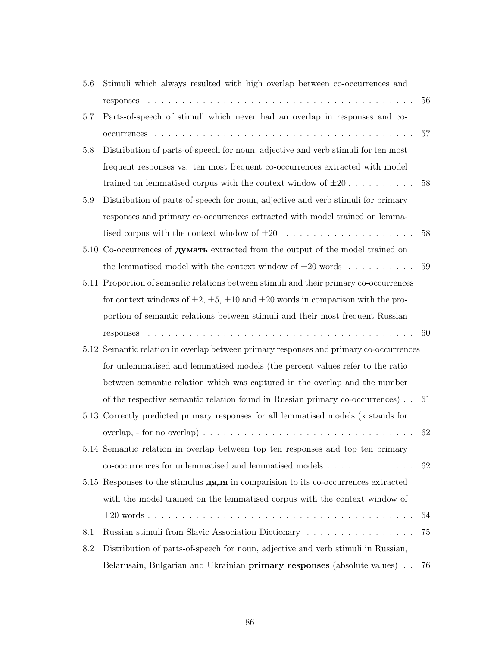| 5.6     | Stimuli which always resulted with high overlap between co-occurrences and                                                   |    |
|---------|------------------------------------------------------------------------------------------------------------------------------|----|
|         |                                                                                                                              | 56 |
| 5.7     | Parts-of-speech of stimuli which never had an overlap in responses and co-                                                   |    |
|         |                                                                                                                              | 57 |
| 5.8     | Distribution of parts-of-speech for noun, adjective and verb stimuli for ten most                                            |    |
|         | frequent responses vs. ten most frequent co-occurrences extracted with model                                                 |    |
|         | trained on lemmatised corpus with the context window of $\pm 20$                                                             | 58 |
| $5.9\,$ | Distribution of parts-of-speech for noun, adjective and verb stimuli for primary                                             |    |
|         | responses and primary co-occurrences extracted with model trained on lemma-                                                  |    |
|         |                                                                                                                              | 58 |
|         | 5.10 Co-occurrences of <b>думать</b> extracted from the output of the model trained on                                       |    |
|         | the lemmatised model with the context window of $\pm 20$ words                                                               | 59 |
|         | 5.11 Proportion of semantic relations between stimuli and their primary co-occurrences                                       |    |
|         | for context windows of $\pm 2$ , $\pm 5$ , $\pm 10$ and $\pm 20$ words in comparison with the pro-                           |    |
|         | portion of semantic relations between stimuli and their most frequent Russian                                                |    |
|         | the contract of the contract of the contract of the contract of the contract of the contract of the contract of<br>responses | 60 |
|         |                                                                                                                              |    |
|         | 5.12 Semantic relation in overlap between primary responses and primary co-occurrences                                       |    |
|         | for unlemmatised and lemmatised models (the percent values refer to the ratio                                                |    |
|         | between semantic relation which was captured in the overlap and the number                                                   |    |
|         | of the respective semantic relation found in Russian primary co-occurrences)                                                 | 61 |
|         | 5.13 Correctly predicted primary responses for all lemmatised models (x stands for                                           |    |
|         | overlap, - for no overlap) $\ldots \ldots \ldots \ldots \ldots \ldots \ldots \ldots \ldots \ldots \ldots$                    | 62 |
|         | 5.14 Semantic relation in overlap between top ten responses and top ten primary                                              |    |
|         |                                                                                                                              | 62 |
|         | 5.15 Responses to the stimulus дядя in comparision to its co-occurrences extracted                                           |    |
|         | with the model trained on the lemmatised corpus with the context window of                                                   |    |
|         |                                                                                                                              | 64 |
| 8.1     | Russian stimuli from Slavic Association Dictionary                                                                           | 75 |
| 8.2     | Distribution of parts-of-speech for noun, adjective and verb stimuli in Russian,                                             |    |